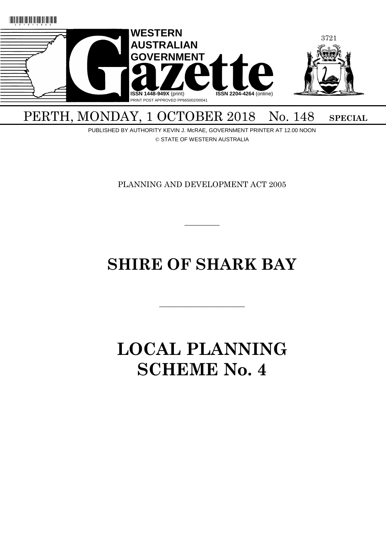

# PERTH, MONDAY, 1 OCTOBER 2018 No. 148 SPECIAL

PUBLISHED BY AUTHORITY KEVIN J. McRAE, GOVERNMENT PRINTER AT 12.00 NOON © STATE OF WESTERN AUSTRALIA

PLANNING AND DEVELOPMENT ACT 2005

 $\overline{\phantom{a}}$ 

# **SHIRE OF SHARK BAY**

———————————

# **LOCAL PLANNING SCHEME No. 4**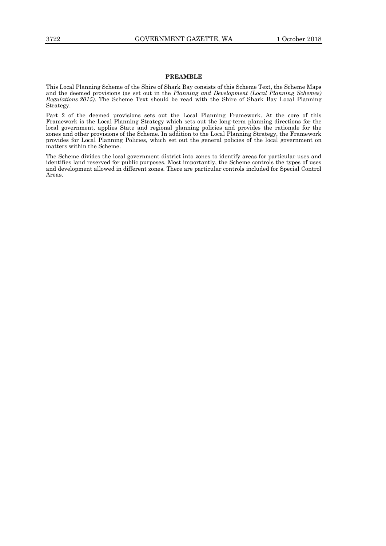# **PREAMBLE**

This Local Planning Scheme of the Shire of Shark Bay consists of this Scheme Text, the Scheme Maps and the deemed provisions (as set out in the *Planning and Development (Local Planning Schemes) Regulations 2015)*. The Scheme Text should be read with the Shire of Shark Bay Local Planning Strategy.

Part 2 of the deemed provisions sets out the Local Planning Framework. At the core of this Framework is the Local Planning Strategy which sets out the long-term planning directions for the local government, applies State and regional planning policies and provides the rationale for the zones and other provisions of the Scheme. In addition to the Local Planning Strategy, the Framework provides for Local Planning Policies, which set out the general policies of the local government on matters within the Scheme.

The Scheme divides the local government district into zones to identify areas for particular uses and identifies land reserved for public purposes. Most importantly, the Scheme controls the types of uses and development allowed in different zones. There are particular controls included for Special Control Areas.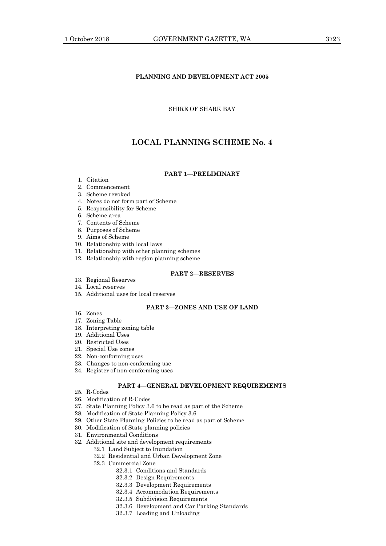# **PLANNING AND DEVELOPMENT ACT 2005**

# SHIRE OF SHARK BAY

# **LOCAL PLANNING SCHEME No. 4**

# **PART 1—PRELIMINARY**

- 1. Citation
- 2. Commencement

# 3. Scheme revoked

- 4. Notes do not form part of Scheme
- 5. Responsibility for Scheme
- 6. Scheme area
- 7. Contents of Scheme
- 8. Purposes of Scheme
- 9. Aims of Scheme
- 10. Relationship with local laws
- 11. Relationship with other planning schemes
- 12. Relationship with region planning scheme

# **PART 2—RESERVES**

13. Regional Reserves

# 14. Local reserves

15. Additional uses for local reserves

# **PART 3—ZONES AND USE OF LAND**

- 16. Zones
- 17. Zoning Table
- 18. Interpreting zoning table
- 19. Additional Uses
- 20. Restricted Uses
- 21. Special Use zones
- 22. Non-conforming uses
- 23. Changes to non-conforming use
- 24. Register of non-conforming uses

# **PART 4—GENERAL DEVELOPMENT REQUIREMENTS**

- 25. R-Codes
- 26. Modification of R-Codes
- 27. State Planning Policy 3.6 to be read as part of the Scheme
- 28. Modification of State Planning Policy 3.6
- 29. Other State Planning Policies to be read as part of Scheme
- 30. Modification of State planning policies
- 31. Environmental Conditions
- 32. Additional site and development requirements
	- 32.1 Land Subject to Inundation
		- 32.2 Residential and Urban Development Zone
		- 32.3 Commercial Zone
			- 32.3.1 Conditions and Standards
			- 32.3.2 Design Requirements
			- 32.3.3 Development Requirements
			- 32.3.4 Accommodation Requirements
			- 32.3.5 Subdivision Requirements
			- 32.3.6 Development and Car Parking Standards
			- 32.3.7 Loading and Unloading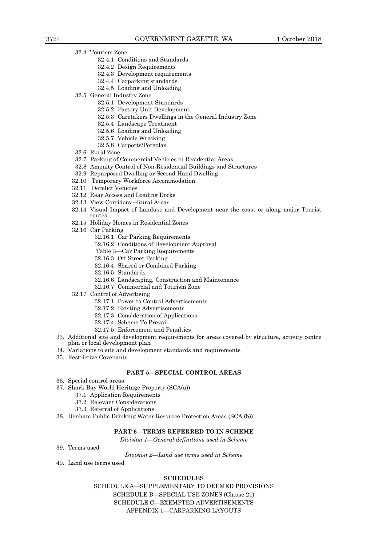- 32.4 Tourism Zone
	- 32.4.1 Conditions and Standards
	- 32.4.2 Design Requirements
	- 32.4.3 Development requirements
	- 32.4.4 Carparking standards
	- 32.4.5 Loading and Unloading
- 32.5 General Industry Zone
	- 32.5.1 Development Standards
	- 32.5.2 Factory Unit Development
	- 32.5.3 Caretakers Dwellings in the General Industry Zone
	- 32.5.4 Landscape Treatment
	- 32.5.6 Loading and Unloading
	- 32.5.7 Vehicle Wrecking
	- 32.5.8 Carports/Pergolas
- 32.6 Rural Zone
- 32.7 Parking of Commercial Vehicles in Residential Areas
- 32.8 Amenity Control of Non-Residential Buildings and Structures
- 32.9 Repurposed Dwelling or Second Hand Dwelling
- 32.10 Temporary Workforce Accommodation
- 32.11 Derelict Vehicles
- 32.12 Rear Access and Loading Docks
- 32.13 View Corridors—Rural Areas
- 32.14 Visual Impact of Landuse and Development near the coast or along major Tourist routes
- 32.15 Holiday Homes in Residential Zones
- 32.16 Car Parking
	- 32.16.1 Car Parking Requirements
	- 32.16.2 Conditions of Development Approval
	- Table 3—Car Parking Requirements
	- 32.16.3 Off Street Parking
	- 32.16.4 Shared or Combined Parking
	- 32.16.5 Standards
	- 32.16.6 Landscaping, Construction and Maintenance
	- 32.16.7 Commercial and Tourism Zone
- 32.17 Control of Advertising
	- 32.17.1 Power to Control Advertisements
	- 32.17.2 Existing Advertisements
	- 32.17.3 Consideration of Applications
	- 32.17.4 Scheme To Prevail
	- 32.17.5 Enforcement and Penalties
- 33. Additional site and development requirements for areas covered by structure, activity centre plan or local development plan
- 34. Variations to site and development standards and requirements
- 35. Restrictive Covenants

#### **PART 5—SPECIAL CONTROL AREAS**

- 36. Special control areas
- 37. Shark Bay World Heritage Property (SCA(a))
	- 37.1 Application Requirements
	- 37.2 Relevant Considerations
	- 37.3 Referral of Applications
- 38. Denham Public Drinking Water Resource Protection Areas (SCA (b))

# **PART 6—TERMS REFERRED TO IN SCHEME**

*Division 1—General definitions used in Scheme*

39. Terms used

*Division 2—Land use terms used in Scheme*

40. Land use terms used

# **SCHEDULES**

SCHEDULE A—SUPPLEMENTARY TO DEEMED PROVISIONS SCHEDULE B—SPECIAL USE ZONES (Clause 21) SCHEDULE C—EXEMPTED ADVERTISEMENTS APPENDIX 1—CARPARKING LAYOUTS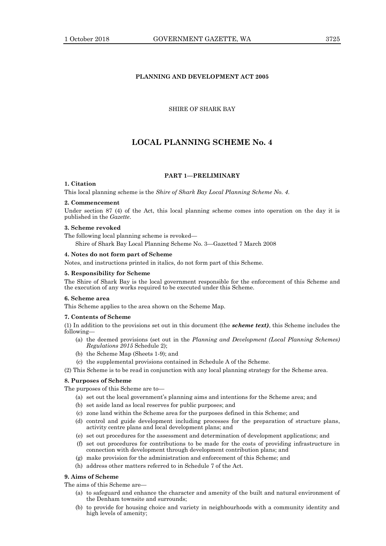# **PLANNING AND DEVELOPMENT ACT 2005**

# SHIRE OF SHARK BAY

# **LOCAL PLANNING SCHEME No. 4**

# **PART 1—PRELIMINARY**

# **1. Citation**

This local planning scheme is the *Shire of Shark Bay Local Planning Scheme No. 4*.

#### **2. Commencement**

Under section 87 (4) of the Act, this local planning scheme comes into operation on the day it is published in the *Gazette*.

#### **3. Scheme revoked**

The following local planning scheme is revoked—

Shire of Shark Bay Local Planning Scheme No. 3—Gazetted 7 March 2008

### **4. Notes do not form part of Scheme**

Notes, and instructions printed in italics, do not form part of this Scheme.

### **5. Responsibility for Scheme**

The Shire of Shark Bay is the local government responsible for the enforcement of this Scheme and the execution of any works required to be executed under this Scheme.

### **6. Scheme area**

This Scheme applies to the area shown on the Scheme Map.

### **7. Contents of Scheme**

(1) In addition to the provisions set out in this document (the *scheme text)*, this Scheme includes the following—

- (a) the deemed provisions (set out in the *Planning and Development (Local Planning Schemes) Regulations 2015* Schedule 2);
- (b) the Scheme Map (Sheets 1-9); and
- (c) the supplemental provisions contained in Schedule A of the Scheme.
- (2) This Scheme is to be read in conjunction with any local planning strategy for the Scheme area.

# **8. Purposes of Scheme**

The purposes of this Scheme are to—

- (a) set out the local government's planning aims and intentions for the Scheme area; and
- (b) set aside land as local reserves for public purposes; and
- (c) zone land within the Scheme area for the purposes defined in this Scheme; and
- (d) control and guide development including processes for the preparation of structure plans, activity centre plans and local development plans; and
- (e) set out procedures for the assessment and determination of development applications; and
- (f) set out procedures for contributions to be made for the costs of providing infrastructure in connection with development through development contribution plans; and
- (g) make provision for the administration and enforcement of this Scheme; and
- (h) address other matters referred to in Schedule 7 of the Act.

# **9. Aims of Scheme**

The aims of this Scheme are—

- (a) to safeguard and enhance the character and amenity of the built and natural environment of the Denham townsite and surrounds;
- (b) to provide for housing choice and variety in neighbourhoods with a community identity and high levels of amenity;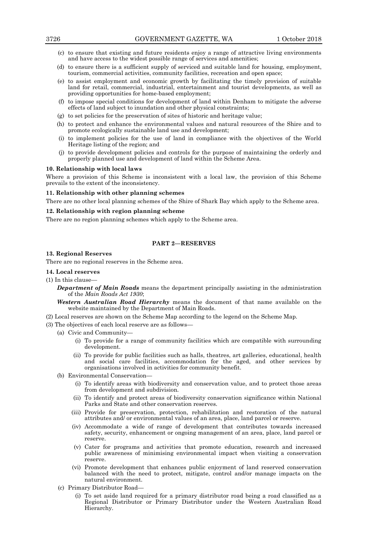- (c) to ensure that existing and future residents enjoy a range of attractive living environments and have access to the widest possible range of services and amenities;
- (d) to ensure there is a sufficient supply of serviced and suitable land for housing, employment, tourism, commercial activities, community facilities, recreation and open space;
- (e) to assist employment and economic growth by facilitating the timely provision of suitable land for retail, commercial, industrial, entertainment and tourist developments, as well as providing opportunities for home-based employment;
- (f) to impose special conditions for development of land within Denham to mitigate the adverse effects of land subject to inundation and other physical constraints;
- (g) to set policies for the preservation of sites of historic and heritage value;
- (h) to protect and enhance the environmental values and natural resources of the Shire and to promote ecologically sustainable land use and development;
- (i) to implement policies for the use of land in compliance with the objectives of the World Heritage listing of the region; and
- (j) to provide development policies and controls for the purpose of maintaining the orderly and properly planned use and development of land within the Scheme Area.

### **10. Relationship with local laws**

Where a provision of this Scheme is inconsistent with a local law, the provision of this Scheme prevails to the extent of the inconsistency.

## **11. Relationship with other planning schemes**

There are no other local planning schemes of the Shire of Shark Bay which apply to the Scheme area.

# **12. Relationship with region planning scheme**

There are no region planning schemes which apply to the Scheme area.

# **PART 2—RESERVES**

# **13. Regional Reserves**

There are no regional reserves in the Scheme area.

### **14. Local reserves**

#### $(1)$  In this clause-

*Department of Main Roads* means the department principally assisting in the administration of the *Main Roads Act 1930*;

*Western Australian Road Hierarchy* means the document of that name available on the website maintained by the Department of Main Roads.

(2) Local reserves are shown on the Scheme Map according to the legend on the Scheme Map.

- (3) The objectives of each local reserve are as follows—
	- (a) Civic and Community—
		- (i) To provide for a range of community facilities which are compatible with surrounding development.
		- (ii) To provide for public facilities such as halls, theatres, art galleries, educational, health and social care facilities, accommodation for the aged, and other services by organisations involved in activities for community benefit.
	- (b) Environmental Conservation—
		- (i) To identify areas with biodiversity and conservation value, and to protect those areas from development and subdivision.
		- (ii) To identify and protect areas of biodiversity conservation significance within National Parks and State and other conservation reserves.
		- (iii) Provide for preservation, protection, rehabilitation and restoration of the natural attributes and/ or environmental values of an area, place, land parcel or reserve.
		- (iv) Accommodate a wide of range of development that contributes towards increased safety, security, enhancement or ongoing management of an area, place, land parcel or reserve.
		- (v) Cater for programs and activities that promote education, research and increased public awareness of minimising environmental impact when visiting a conservation reserve.
		- (vi) Promote development that enhances public enjoyment of land reserved conservation balanced with the need to protect, mitigate, control and/or manage impacts on the natural environment.
	- (c) Primary Distributor Road—
		- (i) To set aside land required for a primary distributor road being a road classified as a Regional Distributor or Primary Distributor under the Western Australian Road Hierarchy.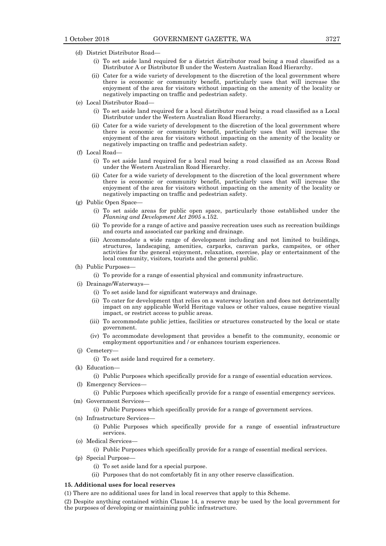- (d) District Distributor Road—
	- (i) To set aside land required for a district distributor road being a road classified as a Distributor A or Distributor B under the Western Australian Road Hierarchy.
	- (ii) Cater for a wide variety of development to the discretion of the local government where there is economic or community benefit, particularly uses that will increase the enjoyment of the area for visitors without impacting on the amenity of the locality or negatively impacting on traffic and pedestrian safety.
- (e) Local Distributor Road—
	- (i) To set aside land required for a local distributor road being a road classified as a Local Distributor under the Western Australian Road Hierarchy.
	- (ii) Cater for a wide variety of development to the discretion of the local government where there is economic or community benefit, particularly uses that will increase the enjoyment of the area for visitors without impacting on the amenity of the locality or negatively impacting on traffic and pedestrian safety.
- (f) Local Road—
	- (i) To set aside land required for a local road being a road classified as an Access Road under the Western Australian Road Hierarchy.
	- (ii) Cater for a wide variety of development to the discretion of the local government where there is economic or community benefit, particularly uses that will increase the enjoyment of the area for visitors without impacting on the amenity of the locality or negatively impacting on traffic and pedestrian safety.
- (g) Public Open Space—
	- (i) To set aside areas for public open space, particularly those established under the *Planning and Development Act 2005* s.152.
	- (ii) To provide for a range of active and passive recreation uses such as recreation buildings and courts and associated car parking and drainage.
	- (iii) Accommodate a wide range of development including and not limited to buildings, structures, landscaping, amenities, carparks, caravan parks, campsites, or other activities for the general enjoyment, relaxation, exercise, play or entertainment of the local community, visitors, tourists and the general public.
- (h) Public Purposes—
	- (i) To provide for a range of essential physical and community infrastructure.
- (i) Drainage/Waterways—
	- (i) To set aside land for significant waterways and drainage.
	- (ii) To cater for development that relies on a waterway location and does not detrimentally impact on any applicable World Heritage values or other values, cause negative visual impact, or restrict access to public areas.
	- (iii) To accommodate public jetties, facilities or structures constructed by the local or state government.
	- (iv) To accommodate development that provides a benefit to the community, economic or employment opportunities and / or enhances tourism experiences.
- (j) Cemetery—
	- (i) To set aside land required for a cemetery.
- (k) Education—
	- (i) Public Purposes which specifically provide for a range of essential education services.
- (l) Emergency Services—
	- (i) Public Purposes which specifically provide for a range of essential emergency services.
- (m) Government Services—
	- (i) Public Purposes which specifically provide for a range of government services.
- (n) Infrastructure Services—
	- (i) Public Purposes which specifically provide for a range of essential infrastructure services.
- (o) Medical Services—
	- (i) Public Purposes which specifically provide for a range of essential medical services.
- (p) Special Purpose—
	- (i) To set aside land for a special purpose.
	- (ii) Purposes that do not comfortably fit in any other reserve classification.

# **15. Additional uses for local reserves**

(1) There are no additional uses for land in local reserves that apply to this Scheme.

(2) Despite anything contained within Clause 14, a reserve may be used by the local government for the purposes of developing or maintaining public infrastructure.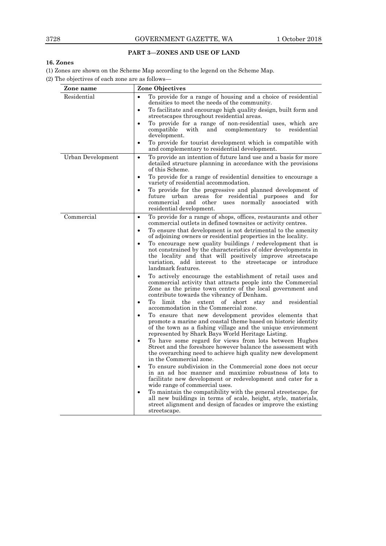# **PART 3—ZONES AND USE OF LAND**

# **16. Zones**

(1) Zones are shown on the Scheme Map according to the legend on the Scheme Map.

(2) The objectives of each zone are as follows—

| Zone name                | <b>Zone Objectives</b>                                                                                                                                                                                                                                                                   |
|--------------------------|------------------------------------------------------------------------------------------------------------------------------------------------------------------------------------------------------------------------------------------------------------------------------------------|
| Residential              | To provide for a range of housing and a choice of residential<br>densities to meet the needs of the community.                                                                                                                                                                           |
|                          | To facilitate and encourage high quality design, built form and<br>streetscapes throughout residential areas.                                                                                                                                                                            |
|                          | To provide for a range of non-residential uses, which are<br>$\bullet$<br>compatible<br>with<br>and<br>complementary<br>to<br>residential                                                                                                                                                |
|                          | development.<br>To provide for tourist development which is compatible with<br>$\bullet$<br>and complementary to residential development.                                                                                                                                                |
| <b>Urban Development</b> | To provide an intention of future land use and a basis for more<br>$\bullet$<br>detailed structure planning in accordance with the provisions<br>of this Scheme.                                                                                                                         |
|                          | To provide for a range of residential densities to encourage a<br>$\bullet$<br>variety of residential accommodation.                                                                                                                                                                     |
|                          | To provide for the progressive and planned development of<br>$\bullet$<br>future urban areas for residential purposes and for<br>normally associated<br>commercial<br>and<br>other uses<br>with<br>residential development.                                                              |
| Commercial               | To provide for a range of shops, offices, restaurants and other<br>$\bullet$<br>commercial outlets in defined townsites or activity centres.                                                                                                                                             |
|                          | To ensure that development is not detrimental to the amenity<br>$\bullet$<br>of adjoining owners or residential properties in the locality.                                                                                                                                              |
|                          | To encourage new quality buildings / redevelopment that is<br>$\bullet$<br>not constrained by the characteristics of older developments in<br>the locality and that will positively improve streetscape<br>variation, add interest to the streetscape or introduce<br>landmark features. |
|                          | To actively encourage the establishment of retail uses and<br>$\bullet$<br>commercial activity that attracts people into the Commercial<br>Zone as the prime town centre of the local government and<br>contribute towards the vibrancy of Denham.                                       |
|                          | To<br>limit the extent of<br>short<br>stav<br>and<br>residential<br>$\bullet$<br>accommodation in the Commercial zone.                                                                                                                                                                   |
|                          | To ensure that new development provides elements that<br>$\bullet$<br>promote a marine and coastal theme based on historic identity<br>of the town as a fishing village and the unique environment<br>represented by Shark Bays World Heritage Listing.                                  |
|                          | To have some regard for views from lots between Hughes<br>$\bullet$<br>Street and the foreshore however balance the assessment with<br>the overarching need to achieve high quality new development<br>in the Commercial zone.                                                           |
|                          | To ensure subdivision in the Commercial zone does not occur<br>$\bullet$<br>in an ad hoc manner and maximize robustness of lots to<br>facilitate new development or redevelopment and cater for a<br>wide range of commercial uses.                                                      |
|                          | To maintain the compatibility with the general streetscape, for<br>$\bullet$<br>all new buildings in terms of scale, height, style, materials,<br>street alignment and design of facades or improve the existing<br>streetscape.                                                         |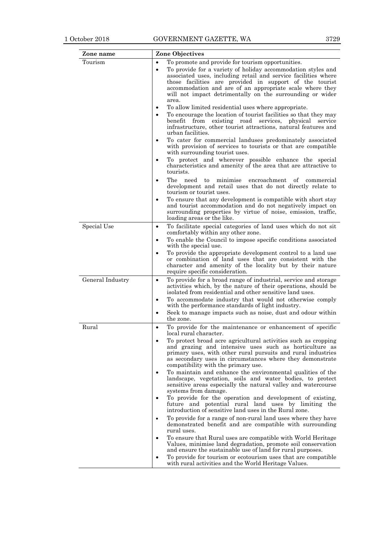| Zone name        | <b>Zone Objectives</b>                                                                                                                                                                                                                                                                                                                                                                                                                                                                                                                                                                                                                                                                                                                                                                                                                                                                                                                                                                                                                                                                                                                                                                                                                                                                                                                               |
|------------------|------------------------------------------------------------------------------------------------------------------------------------------------------------------------------------------------------------------------------------------------------------------------------------------------------------------------------------------------------------------------------------------------------------------------------------------------------------------------------------------------------------------------------------------------------------------------------------------------------------------------------------------------------------------------------------------------------------------------------------------------------------------------------------------------------------------------------------------------------------------------------------------------------------------------------------------------------------------------------------------------------------------------------------------------------------------------------------------------------------------------------------------------------------------------------------------------------------------------------------------------------------------------------------------------------------------------------------------------------|
| Tourism          | To promote and provide for tourism opportunities.<br>$\bullet$<br>To provide for a variety of holiday accommodation styles and<br>$\bullet$<br>associated uses, including retail and service facilities where<br>those facilities are provided in support of the tourist<br>accommodation and are of an appropriate scale where they<br>will not impact detrimentally on the surrounding or wider<br>area.<br>To allow limited residential uses where appropriate.<br>$\bullet$<br>To encourage the location of tourist facilities so that they may<br>$\bullet$<br>benefit from existing road services, physical service<br>infrastructure, other tourist attractions, natural features and<br>urban facilities.<br>To cater for commercial landuses predominately associated<br>with provision of services to tourists or that are compatible<br>with surrounding tourist uses.<br>To protect and wherever possible enhance the special<br>$\bullet$<br>characteristics and amenity of the area that are attractive to<br>tourists.<br>encroachment<br>The<br>need<br>minimise<br>of<br>to<br>commercial<br>$\bullet$<br>development and retail uses that do not directly relate to<br>tourism or tourist uses.<br>To ensure that any development is compatible with short stay<br>$\bullet$                                                       |
|                  | and tourist accommodation and do not negatively impact on<br>surrounding properties by virtue of noise, emission, traffic,<br>loading areas or the like.                                                                                                                                                                                                                                                                                                                                                                                                                                                                                                                                                                                                                                                                                                                                                                                                                                                                                                                                                                                                                                                                                                                                                                                             |
| Special Use      | To facilitate special categories of land uses which do not sit<br>$\bullet$<br>comfortably within any other zone.<br>To enable the Council to impose specific conditions associated<br>$\bullet$<br>with the special use.<br>To provide the appropriate development control to a land use<br>$\bullet$<br>or combination of land uses that are consistent with the<br>character and amenity of the locality but by their nature<br>require specific consideration.                                                                                                                                                                                                                                                                                                                                                                                                                                                                                                                                                                                                                                                                                                                                                                                                                                                                                   |
| General Industry | To provide for a broad range of industrial, service and storage<br>$\bullet$<br>activities which, by the nature of their operations, should be<br>isolated from residential and other sensitive land uses.<br>To accommodate industry that would not otherwise comply<br>٠<br>with the performance standards of light industry.<br>Seek to manage impacts such as noise, dust and odour within<br>$\bullet$<br>the zone.                                                                                                                                                                                                                                                                                                                                                                                                                                                                                                                                                                                                                                                                                                                                                                                                                                                                                                                             |
| Rural            | To provide for the maintenance or enhancement of specific<br>$\bullet$<br>local rural character.<br>To protect broad acre agricultural activities such as cropping<br>$\bullet$<br>and grazing and intensive uses such as horticulture as<br>primary uses, with other rural pursuits and rural industries<br>as secondary uses in circumstances where they demonstrate<br>compatibility with the primary use.<br>To maintain and enhance the environmental qualities of the<br>$\bullet$<br>landscape, vegetation, soils and water bodies, to protect<br>sensitive areas especially the natural valley and watercourse<br>systems from damage.<br>To provide for the operation and development of existing,<br>$\bullet$<br>future and potential rural land uses by limiting the<br>introduction of sensitive land uses in the Rural zone.<br>To provide for a range of non-rural land uses where they have<br>$\bullet$<br>demonstrated benefit and are compatible with surrounding<br>rural uses.<br>To ensure that Rural uses are compatible with World Heritage<br>$\bullet$<br>Values, minimise land degradation, promote soil conservation<br>and ensure the sustainable use of land for rural purposes.<br>To provide for tourism or ecotourism uses that are compatible<br>$\bullet$<br>with rural activities and the World Heritage Values. |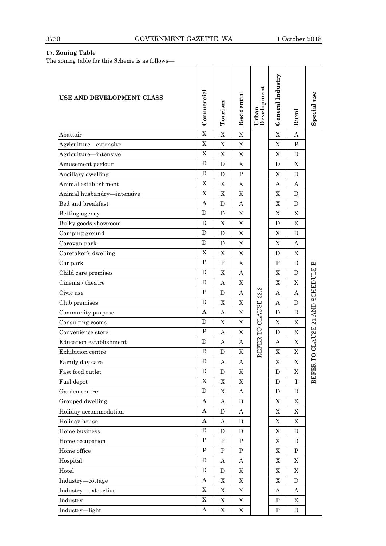# **17. Zoning Table**

The zoning table for this Scheme is as follows—

| USE AND DEVELOPMENT CLASS  | Commercial   | Tourism          | Residential           | Urban<br>Development | General Industry | Rural       | Special use                |
|----------------------------|--------------|------------------|-----------------------|----------------------|------------------|-------------|----------------------------|
| Abattoir                   | X            | $\mathbf X$      | X                     |                      | X                | А           |                            |
| Agriculture-extensive      | X            | $\mathbf X$      | X                     |                      | $\mathbf X$      | P           |                            |
| Agriculture-intensive      | $\mathbf X$  | X                | X                     |                      | X                | D           |                            |
| Amusement parlour          | D            | D                | X                     |                      | D                | X           |                            |
| Ancillary dwelling         | D            | D                | P                     |                      | X                | D           |                            |
| Animal establishment       | X            | $\mathbf X$      | X                     |                      | А                | А           |                            |
| Animal husbandry-intensive | X            | X                | Χ                     |                      | X                | D           |                            |
| Bed and breakfast          | А            | D                | A                     |                      | X                | D           |                            |
| Betting agency             | D            | D                | X                     |                      | X                | X           |                            |
| Bulky goods showroom       | D            | X                | X                     |                      | D                | X           |                            |
| Camping ground             | D            | D                | X                     |                      | X                | D           |                            |
| Caravan park               | D            | D                | X                     |                      | $\mathbf X$      | А           |                            |
| Caretaker's dwelling       | X            | X                | X                     |                      | D                | X           |                            |
| Car park                   | P            | P                | X                     |                      | $\mathbf{P}$     | D           |                            |
| Child care premises        | D            | X                | A                     |                      | X                | D           |                            |
| Cinema / theatre           | D            | Α                | X                     |                      | X                | X           |                            |
| Civic use                  | P            | D                | А                     | 32.2                 | А                | A           |                            |
| Club premises              | D            | X                | X                     |                      | А                | D           |                            |
| Community purpose          | А            | А                | X                     | REFER TO CLAUSE      | D                | D           | O CLAUSE 21 AND SCHEDULE B |
| Consulting rooms           | D            | X                | X                     |                      | X                | X           |                            |
| Convenience store          | $\mathbf{P}$ | А                | X                     |                      | D                | X           |                            |
| Education establishment    | D            | А                | Α                     |                      | Α                | X           |                            |
| Exhibition centre          | D            | D                | X                     |                      | X                | $\mathbf X$ |                            |
| Family day care            | D            | A                | A                     |                      | $\mathbf X$      | $\mathbf X$ | F                          |
| Fast food outlet           | D            | ${\bf D}$        | $\mathbf X$           |                      | D                | $\mathbf X$ | <b>REFER</b>               |
| Fuel depot                 | $\mathbf X$  | $\mathbf X$      | $\mathbf X$           |                      | ${\bf D}$        | $\mathbf I$ |                            |
| Garden centre              | ${\bf D}$    | $\mathbf X$      | $\boldsymbol{\rm{A}}$ |                      | $\mathbf D$      | D           |                            |
| Grouped dwelling           | A            | А                | D                     |                      | $\mathbf X$      | X           |                            |
| Holiday accommodation      | Α            | D                | Α                     |                      | $\mathbf X$      | $\mathbf X$ |                            |
| Holiday house              | Α            | $\boldsymbol{A}$ | D                     |                      | $\mathbf X$      | $\mathbf X$ |                            |
| Home business              | D            | D                | D                     |                      | X                | D           |                            |
| Home occupation            | ${\bf P}$    | $\, {\bf P}$     | ${\bf P}$             |                      | $\mathbf X$      | $\mathbf D$ |                            |
| Home office                | ${\bf P}$    | P                | $\mathbf P$           |                      | $\mathbf X$      | $\mathbf P$ |                            |
| Hospital                   | ${\bf D}$    | А                | Α                     |                      | $\mathbf X$      | $\mathbf X$ |                            |
| Hotel                      | D            | D                | $\mathbf X$           |                      | $\mathbf X$      | $\mathbf X$ |                            |
| Industry-cottage           | Α            | $\mathbf X$      | X                     |                      | $\mathbf X$      | D           |                            |
| Industry-extractive        | $\mathbf X$  | $\mathbf X$      | $\mathbf X$           |                      | Α                | Α           |                            |
| Industry                   | $\mathbf X$  | $\mathbf X$      | $\mathbf X$           |                      | ${\bf P}$        | $\mathbf X$ |                            |
| Industry-light             | Α            | $\mathbf X$      | X                     |                      | ${\bf P}$        | D           |                            |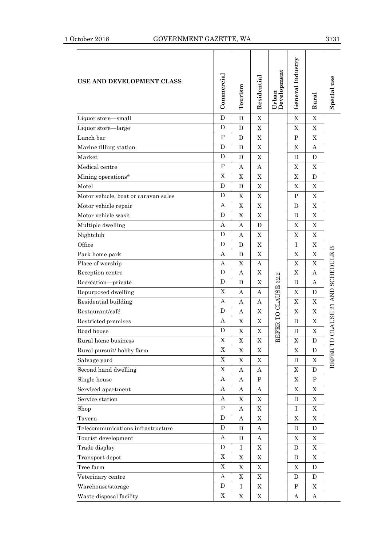# 1 October 2018 GOVERNMENT GAZETTE, WA 3731

| USE AND DEVELOPMENT CLASS            | Commercial  | Tourism     | Residential | Urban<br>Development | General Industry | Rural          | Special use            |
|--------------------------------------|-------------|-------------|-------------|----------------------|------------------|----------------|------------------------|
| Liquor store-small                   | D           | D           | X           |                      | X                | X              |                        |
| Liquor store—large                   | D           | D           | X           |                      | X                | X              |                        |
| Lunch bar                            | $\mathbf P$ | D           | X           |                      | P                | X              |                        |
| Marine filling station               | D           | D           | X           |                      | X                | Α              |                        |
| Market                               | D           | D           | X           |                      | D                | D              |                        |
| Medical centre                       | ${\bf P}$   | А           | Α           |                      | X                | X              |                        |
| Mining operations*                   | $\mathbf X$ | X           | $\mathbf X$ |                      | $\mathbf X$      | $\mathbf D$    |                        |
| Motel                                | D           | D           | $\mathbf X$ |                      | $\mathbf X$      | X              |                        |
| Motor vehicle, boat or caravan sales | D           | $\mathbf X$ | X           |                      | $\, {\bf P}$     | $\mathbf X$    |                        |
| Motor vehicle repair                 | А           | X           | X           |                      | D                | $\mathbf X$    |                        |
| Motor vehicle wash                   | D           | X           | $\mathbf X$ |                      | D                | $\mathbf X$    |                        |
| Multiple dwelling                    | Α           | Α           | D           |                      | X                | $\mathbf X$    |                        |
| Nightclub                            | D           | Α           | X           |                      | $\mathbf X$      | $\mathbf X$    |                        |
| Office                               | D           | D           | X           |                      | $\mathbf I$      | X              | क़                     |
| Park home park                       | А           | D           | $\mathbf X$ |                      | $\mathbf X$      | $\mathbf X$    |                        |
| Place of worship                     | Α           | X           | А           |                      | $\overline{X}$   | $\overline{X}$ | CLAUSE 21 AND SCHEDULE |
| Reception centre                     | D           | А           | X           |                      | X                | Α              |                        |
| Recreation-private                   | D           | D           | X           | REFER TO CLAUSE 32.2 | D                | А              |                        |
| Repurposed dwelling                  | $\mathbf X$ | А           | Α           |                      | X                | D              |                        |
| Residential building                 | Α           | А           | Α           |                      | X                | $\mathbf X$    |                        |
| Restaurant/café                      | D           | А           | X           |                      | $\mathbf X$      | X              |                        |
| Restricted premises                  | A           | X           | X           |                      | D                | $\mathbf X$    |                        |
| Road house                           | D           | X           | X           |                      | D                | X              |                        |
| Rural home business                  | X           | X           | X           |                      | X                | $\mathbf D$    |                        |
| Rural pursuit/hobby farm             | X           | X           | X           |                      | X                | D              |                        |
| Salvage yard                         | $\mathbf X$ | $\mathbf X$ | X           |                      | D                | $\mathbf X$    | REFER T                |
| Second hand dwelling                 | $\mathbf X$ | Α           | Α           |                      | $\mathbf X$      | D              |                        |
| Single house                         | Α           | Α           | P           |                      | X                | ${\bf P}$      |                        |
| Serviced apartment                   | Α           | A           | Α           |                      | X                | X              |                        |
| Service station                      | Α           | $\mathbf X$ | X           |                      | D                | $\mathbf X$    |                        |
| Shop                                 | ${\bf P}$   | A           | X           |                      | Ι                | X              |                        |
| Tavern                               | D           | A           | X           |                      | X                | $\mathbf X$    |                        |
| Telecommunications infrastructure    | D           | D           | Α           |                      | D                | D              |                        |
| Tourist development                  | Α           | D           | А           |                      | X                | $\mathbf X$    |                        |
| Trade display                        | D           | Ι           | X           |                      | D                | X              |                        |
| Transport depot                      | $\mathbf X$ | X           | X           |                      | D                | $\mathbf X$    |                        |
| Tree farm                            | X           | X           | X           |                      | X                | D              |                        |
| Veterinary centre                    | Α           | $\mathbf X$ | X           |                      | D                | D              |                        |
| Warehouse/storage                    | D           | Ι           | X           |                      | P                | X              |                        |
| Waste disposal facility              | $\mathbf X$ | $\mathbf X$ | X           |                      | A                | Α              |                        |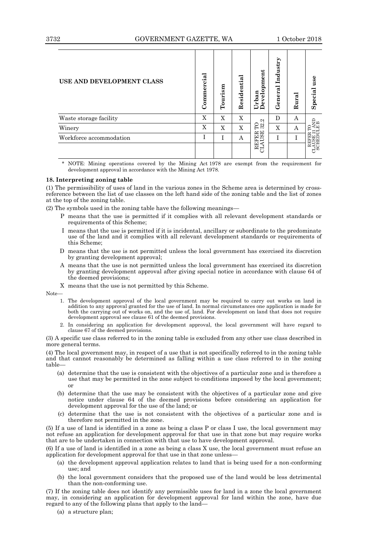| USE AND DEVELOPMENT CLASS | Commercial | Tourism | Residential | elopment<br>Urban<br>Develc<br>Š | Industry<br>$\rm General$ | Rural | use<br>Special                                                                             |
|---------------------------|------------|---------|-------------|----------------------------------|---------------------------|-------|--------------------------------------------------------------------------------------------|
| Waste storage facility    | X          | X       | X           | $\mathbf{\Omega}$                | D                         | А     |                                                                                            |
| Winery                    | X          | X       | X           | Eä                               | X                         | A     |                                                                                            |
| Workforce accommodation   | Ι.         |         | A           |                                  | Ī                         | T     |                                                                                            |
|                           |            |         |             | REFER<br>CLAUSE                  |                           |       | $\begin{array}{c} \text{REFER TO}\\ \text{CALUSE 21 AND}\\ \text{SCH EDULE B} \end{array}$ |

\* NOTE: Mining operations covered by the Mining Act 1978 are exempt from the requirement for development approval in accordance with the Mining Act 1978.

# **18. Interpreting zoning table**

(1) The permissibility of uses of land in the various zones in the Scheme area is determined by crossreference between the list of use classes on the left hand side of the zoning table and the list of zones at the top of the zoning table.

(2) The symbols used in the zoning table have the following meanings—

- P means that the use is permitted if it complies with all relevant development standards or requirements of this Scheme;
- I means that the use is permitted if it is incidental, ancillary or subordinate to the predominate use of the land and it complies with all relevant development standards or requirements of this Scheme;
- D means that the use is not permitted unless the local government has exercised its discretion by granting development approval;
- A means that the use is not permitted unless the local government has exercised its discretion by granting development approval after giving special notice in accordance with clause 64 of the deemed provisions;

X means that the use is not permitted by this Scheme.

Note—

- 1. The development approval of the local government may be required to carry out works on land in addition to any approval granted for the use of land. In normal circumstances one application is made for both the carrying out of works on, and the use of, land. For development on land that does not require development approval see clause 61 of the deemed provisions.
- 2. In considering an application for development approval, the local government will have regard to clause 67 of the deemed provisions.

(3) A specific use class referred to in the zoning table is excluded from any other use class described in more general terms.

(4) The local government may, in respect of a use that is not specifically referred to in the zoning table and that cannot reasonably be determined as falling within a use class referred to in the zoning table—

- (a) determine that the use is consistent with the objectives of a particular zone and is therefore a use that may be permitted in the zone subject to conditions imposed by the local government; or
- (b) determine that the use may be consistent with the objectives of a particular zone and give notice under clause 64 of the deemed provisions before considering an application for development approval for the use of the land; or
- (c) determine that the use is not consistent with the objectives of a particular zone and is therefore not permitted in the zone.

(5) If a use of land is identified in a zone as being a class P or class I use, the local government may not refuse an application for development approval for that use in that zone but may require works that are to be undertaken in connection with that use to have development approval.

(6) If a use of land is identified in a zone as being a class X use, the local government must refuse an application for development approval for that use in that zone unless—

- (a) the development approval application relates to land that is being used for a non-conforming use; and
- (b) the local government considers that the proposed use of the land would be less detrimental than the non-conforming use.

(7) If the zoning table does not identify any permissible uses for land in a zone the local government may, in considering an application for development approval for land within the zone, have due regard to any of the following plans that apply to the land—

(a) a structure plan;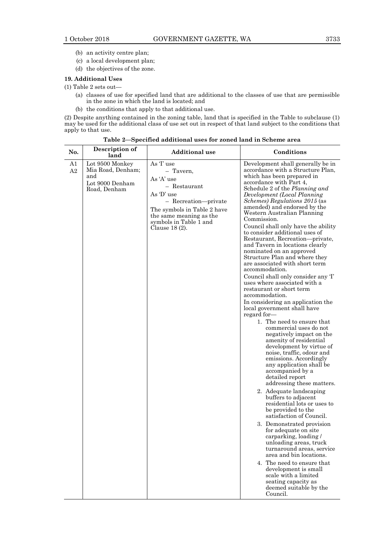- (b) an activity centre plan;
- (c) a local development plan;
- (d) the objectives of the zone.

# **19. Additional Uses**

(1) Table 2 sets out—

- (a) classes of use for specified land that are additional to the classes of use that are permissible in the zone in which the land is located; and
- (b) the conditions that apply to that additional use.

(2) Despite anything contained in the zoning table, land that is specified in the Table to subclause (1) may be used for the additional class of use set out in respect of that land subject to the conditions that apply to that use.

| No.      | Description of<br>land                                                         | <b>Additional</b> use                                                                                                                                                                           | Conditions                                                                                                                                                                                                                                                                                                                                                                                                                                                                                                                                                                                                                                                                                                                                                                                                                                                                                                                                                                                                                                                                                                                                                                                                                                                                                                                                                                                                                                                                                                                                   |
|----------|--------------------------------------------------------------------------------|-------------------------------------------------------------------------------------------------------------------------------------------------------------------------------------------------|----------------------------------------------------------------------------------------------------------------------------------------------------------------------------------------------------------------------------------------------------------------------------------------------------------------------------------------------------------------------------------------------------------------------------------------------------------------------------------------------------------------------------------------------------------------------------------------------------------------------------------------------------------------------------------------------------------------------------------------------------------------------------------------------------------------------------------------------------------------------------------------------------------------------------------------------------------------------------------------------------------------------------------------------------------------------------------------------------------------------------------------------------------------------------------------------------------------------------------------------------------------------------------------------------------------------------------------------------------------------------------------------------------------------------------------------------------------------------------------------------------------------------------------------|
| A1<br>A2 | Lot 9500 Monkey<br>Mia Road, Denham;<br>and<br>Lot 9000 Denham<br>Road, Denham | As T use<br>- Tavern,<br>As 'A' use<br>- Restaurant<br>As 'D' use<br>- Recreation-private<br>The symbols in Table 2 have<br>the same meaning as the<br>symbols in Table 1 and<br>Clause 18 (2). | Development shall generally be in<br>accordance with a Structure Plan,<br>which has been prepared in<br>accordance with Part 4,<br>Schedule 2 of the Planning and<br>Development (Local Planning<br><i>Schemes</i> ) Regulations 2015 (as<br>amended) and endorsed by the<br>Western Australian Planning<br>Commission.<br>Council shall only have the ability<br>to consider additional uses of<br>Restaurant, Recreation-private,<br>and Tavern in locations clearly<br>nominated on an approved<br>Structure Plan and where they<br>are associated with short term<br>accommodation.<br>Council shall only consider any T<br>uses where associated with a<br>restaurant or short term<br>accommodation.<br>In considering an application the<br>local government shall have<br>regard for-<br>1. The need to ensure that<br>commercial uses do not<br>negatively impact on the<br>amenity of residential<br>development by virtue of<br>noise, traffic, odour and<br>emissions. Accordingly<br>any application shall be<br>accompanied by a<br>detailed report<br>addressing these matters.<br>2. Adequate landscaping<br>buffers to adjacent<br>residential lots or uses to<br>be provided to the<br>satisfaction of Council.<br>3. Demonstrated provision<br>for adequate on site<br>carparking, loading /<br>unloading areas, truck<br>turnaround areas, service<br>area and bin locations.<br>4. The need to ensure that<br>development is small<br>scale with a limited<br>seating capacity as<br>deemed suitable by the<br>Council. |

**Table 2—Specified additional uses for zoned land in Scheme area**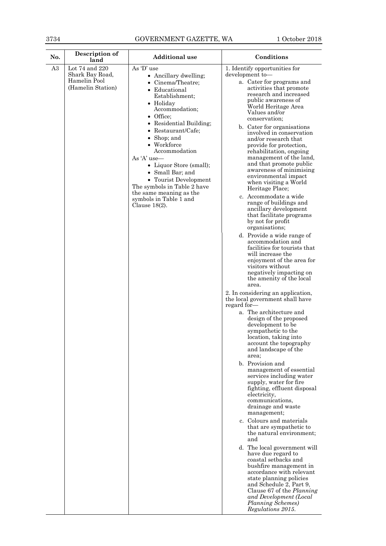| Lot 74 and 220<br>As 'D' use<br>A3<br>1. Identify opportunities for<br>Shark Bay Road,<br>development to-<br>• Ancillary dwelling;<br>Hamelin Pool<br>a. Cater for programs and<br>• Cinema/Theatre:<br>(Hamelin Station)<br>activities that promote<br>• Educational<br>research and increased<br>Establishment;<br>public awareness of<br>• Holiday<br>World Heritage Area<br>Accommodation;<br>Values and/or<br>• Office;<br>conservation:<br>• Residential Building;<br>b. Cater for organisations<br>$\bullet$ Restaurant/Cafe;<br>• Shop; and<br>and/or research that<br>• Workforce<br>provide for protection,<br>Accommodation<br>rehabilitation, ongoing<br>As 'A' use-<br>• Liquor Store (small);<br>• Small Bar; and<br>environmental impact<br>• Tourist Development<br>when visiting a World<br>The symbols in Table 2 have<br>Heritage Place;<br>the same meaning as the<br>c. Accommodate a wide<br>symbols in Table 1 and<br>range of buildings and<br>Clause $18(2)$ .<br>ancillary development<br>by not for profit<br>organisations;<br>d. Provide a wide range of<br>accommodation and<br>will increase the<br>visitors without<br>the amenity of the local<br>area.<br>the local government shall have<br>regard for-<br>a. The architecture and<br>design of the proposed<br>development to be<br>sympathetic to the<br>location, taking into<br>account the topography<br>and landscape of the<br>area;<br>b. Provision and<br>supply, water for fire.<br>electricity,<br>communications,<br>drainage and waste<br>management;<br>c. Colours and materials<br>that are sympathetic to<br>and<br>have due regard to<br>coastal setbacks and<br>state planning policies<br>and Schedule 2, Part 9, | No. | Description of<br>land | <b>Additional</b> use | Conditions                                                                                                                                                                                                                                                         |
|-------------------------------------------------------------------------------------------------------------------------------------------------------------------------------------------------------------------------------------------------------------------------------------------------------------------------------------------------------------------------------------------------------------------------------------------------------------------------------------------------------------------------------------------------------------------------------------------------------------------------------------------------------------------------------------------------------------------------------------------------------------------------------------------------------------------------------------------------------------------------------------------------------------------------------------------------------------------------------------------------------------------------------------------------------------------------------------------------------------------------------------------------------------------------------------------------------------------------------------------------------------------------------------------------------------------------------------------------------------------------------------------------------------------------------------------------------------------------------------------------------------------------------------------------------------------------------------------------------------------------------------------------------------------------------------------------------------------------|-----|------------------------|-----------------------|--------------------------------------------------------------------------------------------------------------------------------------------------------------------------------------------------------------------------------------------------------------------|
|                                                                                                                                                                                                                                                                                                                                                                                                                                                                                                                                                                                                                                                                                                                                                                                                                                                                                                                                                                                                                                                                                                                                                                                                                                                                                                                                                                                                                                                                                                                                                                                                                                                                                                                         |     |                        |                       | involved in conservation<br>management of the land,<br>and that promote public<br>awareness of minimising<br>that facilitate programs<br>facilities for tourists that<br>enjoyment of the area for<br>negatively impacting on<br>2. In considering an application, |
|                                                                                                                                                                                                                                                                                                                                                                                                                                                                                                                                                                                                                                                                                                                                                                                                                                                                                                                                                                                                                                                                                                                                                                                                                                                                                                                                                                                                                                                                                                                                                                                                                                                                                                                         |     |                        |                       | management of essential<br>services including water<br>fighting, effluent disposal                                                                                                                                                                                 |
|                                                                                                                                                                                                                                                                                                                                                                                                                                                                                                                                                                                                                                                                                                                                                                                                                                                                                                                                                                                                                                                                                                                                                                                                                                                                                                                                                                                                                                                                                                                                                                                                                                                                                                                         |     |                        |                       | the natural environment;<br>d. The local government will<br>bushfire management in<br>accordance with relevant<br>Clause 67 of the <i>Planning</i><br>and Development (Local                                                                                       |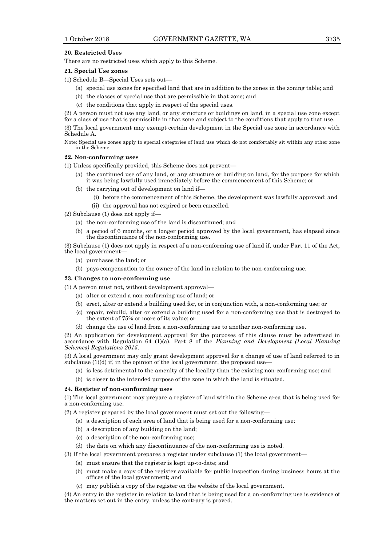### **20. Restricted Uses**

There are no restricted uses which apply to this Scheme.

# **21. Special Use zones**

(1) Schedule B—Special Uses sets out—

- (a) special use zones for specified land that are in addition to the zones in the zoning table; and
- (b) the classes of special use that are permissible in that zone; and
- (c) the conditions that apply in respect of the special uses.

(2) A person must not use any land, or any structure or buildings on land, in a special use zone except for a class of use that is permissible in that zone and subject to the conditions that apply to that use.

(3) The local government may exempt certain development in the Special use zone in accordance with Schedule A.

Note: Special use zones apply to special categories of land use which do not comfortably sit within any other zone in the Scheme.

#### **22. Non-conforming uses**

(1) Unless specifically provided, this Scheme does not prevent—

- (a) the continued use of any land, or any structure or building on land, for the purpose for which it was being lawfully used immediately before the commencement of this Scheme; or
- (b) the carrying out of development on land if—
	- (i) before the commencement of this Scheme, the development was lawfully approved; and
	- (ii) the approval has not expired or been cancelled.

(2) Subclause (1) does not apply if—

- (a) the non-conforming use of the land is discontinued; and
- (b) a period of 6 months, or a longer period approved by the local government, has elapsed since the discontinuance of the non-conforming use.

(3) Subclause (1) does not apply in respect of a non-conforming use of land if, under Part 11 of the Act, the local government—

- (a) purchases the land; or
- (b) pays compensation to the owner of the land in relation to the non-conforming use.

### **23. Changes to non-conforming use**

(1) A person must not, without development approval—

- (a) alter or extend a non-conforming use of land; or
- (b) erect, alter or extend a building used for, or in conjunction with, a non-conforming use; or
- (c) repair, rebuild, alter or extend a building used for a non-conforming use that is destroyed to the extent of 75% or more of its value; or
- (d) change the use of land from a non-conforming use to another non-conforming use.

(2) An application for development approval for the purposes of this clause must be advertised in accordance with Regulation 64 (1)(a), Part 8 of the *Planning and Development (Local Planning Schemes) Regulations 2015*.

(3) A local government may only grant development approval for a change of use of land referred to in subclause  $(1)(d)$  if, in the opinion of the local government, the proposed use-

- (a) is less detrimental to the amenity of the locality than the existing non-conforming use; and
- (b) is closer to the intended purpose of the zone in which the land is situated.

### **24. Register of non-conforming uses**

(1) The local government may prepare a register of land within the Scheme area that is being used for a non-conforming use.

(2) A register prepared by the local government must set out the following—

- (a) a description of each area of land that is being used for a non-conforming use;
- (b) a description of any building on the land;
- (c) a description of the non-conforming use;
- (d) the date on which any discontinuance of the non-conforming use is noted.

(3) If the local government prepares a register under subclause (1) the local government—

- (a) must ensure that the register is kept up-to-date; and
- (b) must make a copy of the register available for public inspection during business hours at the offices of the local government; and
- (c) may publish a copy of the register on the website of the local government.

(4) An entry in the register in relation to land that is being used for a on-conforming use is evidence of the matters set out in the entry, unless the contrary is proved.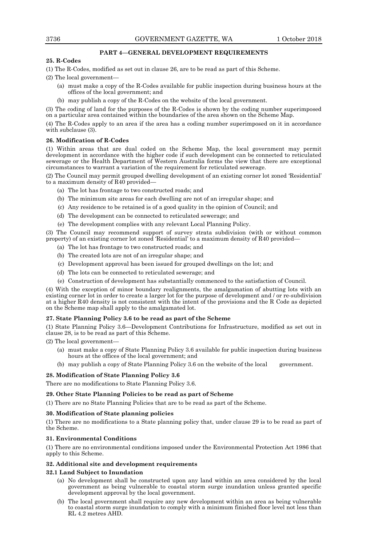# **PART 4—GENERAL DEVELOPMENT REQUIREMENTS**

# **25. R-Codes**

(1) The R-Codes, modified as set out in clause 26, are to be read as part of this Scheme.

(2) The local government—

- (a) must make a copy of the R-Codes available for public inspection during business hours at the offices of the local government; and
- (b) may publish a copy of the R-Codes on the website of the local government.

(3) The coding of land for the purposes of the R-Codes is shown by the coding number superimposed on a particular area contained within the boundaries of the area shown on the Scheme Map.

(4) The R-Codes apply to an area if the area has a coding number superimposed on it in accordance with subclause  $(3)$ .

# **26. Modification of R-Codes**

(1) Within areas that are dual coded on the Scheme Map, the local government may permit development in accordance with the higher code if such development can be connected to reticulated sewerage or the Health Department of Western Australia forms the view that there are exceptional circumstances to warrant a variation of the requirement for reticulated sewerage.

(2) The Council may permit grouped dwelling development of an existing corner lot zoned 'Residential' to a maximum density of  $R40$  provided-

- (a) The lot has frontage to two constructed roads; and
- (b) The minimum site areas for each dwelling are not of an irregular shape; and
- (c) Any residence to be retained is of a good quality in the opinion of Council; and
- (d) The development can be connected to reticulated sewerage; and
- (e) The development complies with any relevant Local Planning Policy.

(3) The Council may recommend support of survey strata subdivision (with or without common property) of an existing corner lot zoned 'Residential' to a maximum density of R40 provided-

- (a) The lot has frontage to two constructed roads; and
- (b) The created lots are not of an irregular shape; and
- (c) Development approval has been issued for grouped dwellings on the lot; and
- (d) The lots can be connected to reticulated sewerage; and
- (e) Construction of development has substantially commenced to the satisfaction of Council.

(4) With the exception of minor boundary realignments, the amalgamation of abutting lots with an existing corner lot in order to create a larger lot for the purpose of development and / or re-subdivision at a higher R40 density is not consistent with the intent of the provisions and the R Code as depicted on the Scheme map shall apply to the amalgamated lot.

# **27. State Planning Policy 3.6 to be read as part of the Scheme**

(1) State Planning Policy 3.6—Development Contributions for Infrastructure, modified as set out in clause 28, is to be read as part of this Scheme.

(2) The local government—

- (a) must make a copy of State Planning Policy 3.6 available for public inspection during business hours at the offices of the local government; and
- (b) may publish a copy of State Planning Policy 3.6 on the website of the local government.

# **28. Modification of State Planning Policy 3.6**

There are no modifications to State Planning Policy 3.6.

# **29. Other State Planning Policies to be read as part of Scheme**

(1) There are no State Planning Policies that are to be read as part of the Scheme.

# **30. Modification of State planning policies**

(1) There are no modifications to a State planning policy that, under clause 29 is to be read as part of the Scheme.

# **31. Environmental Conditions**

(1) There are no environmental conditions imposed under the Environmental Protection Act 1986 that apply to this Scheme.

# **32. Additional site and development requirements**

# **32.1 Land Subject to Inundation**

- (a) No development shall be constructed upon any land within an area considered by the local government as being vulnerable to coastal storm surge inundation unless granted specific development approval by the local government.
- (b) The local government shall require any new development within an area as being vulnerable to coastal storm surge inundation to comply with a minimum finished floor level not less than RL 4.2 metres AHD.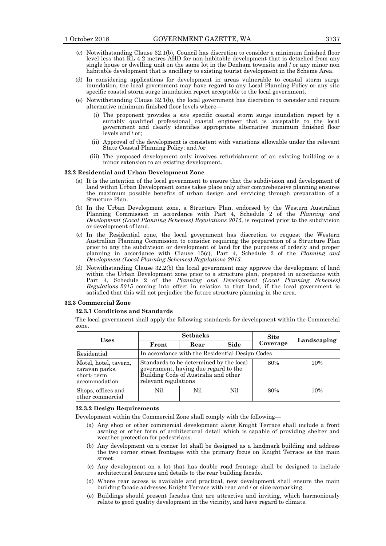- (c) Notwithstanding Clause 32.1(b), Council has discretion to consider a minimum finished floor level less that RL 4.2 metres AHD for non-habitable development that is detached from any single house or dwelling unit on the same lot in the Denham townsite and / or any minor non habitable development that is ancillary to existing tourist development in the Scheme Area.
- (d) In considering applications for development in areas vulnerable to coastal storm surge inundation, the local government may have regard to any Local Planning Policy or any site specific coastal storm surge inundation report acceptable to the local government.
- (e) Notwithstanding Clause 32.1(b), the local government has discretion to consider and require alternative minimum finished floor levels where—
	- (i) The proponent provides a site specific coastal storm surge inundation report by a suitably qualified professional coastal engineer that is acceptable to the local government and clearly identifies appropriate alternative minimum finished floor levels and / or;
	- (ii) Approval of the development is consistent with variations allowable under the relevant State Coastal Planning Policy; and /or
	- (iii) The proposed development only involves refurbishment of an existing building or a minor extension to an existing development.

### **32.2 Residential and Urban Development Zone**

- (a) It is the intention of the local government to ensure that the subdivision and development of land within Urban Development zones takes place only after comprehensive planning ensures the maximum possible benefits of urban design and servicing through preparation of a Structure Plan.
- (b) In the Urban Development zone, a Structure Plan, endorsed by the Western Australian Planning Commission in accordance with Part 4, Schedule 2 of the *Planning and Development (Local Planning Schemes) Regulations 2015*, is required prior to the subdivision or development of land.
- (c) In the Residential zone, the local government has discretion to request the Western Australian Planning Commission to consider requiring the preparation of a Structure Plan prior to any the subdivision or development of land for the purposes of orderly and proper planning in accordance with Clause 15(c), Part 4, Schedule 2 of the *Planning and Development (Local Planning Schemes) Regulations 2015*.
- (d) Notwithstanding Clause 32.2(b) the local government may approve the development of land within the Urban Development zone prior to a structure plan, prepared in accordance with Part 4, Schedule 2 of the *Planning and Development (Local Planning Schemes) Regulations 2015* coming into effect in relation to that land, if the local government is satisfied that this will not prejudice the future structure planning in the area.

#### **32.3 Commercial Zone**

#### **32.3.1 Conditions and Standards**

The local government shall apply the following standards for development within the Commercial zone.

| <b>Uses</b>                                                            |       | <b>Setbacks</b>                                                                                                                                 |      | <b>Site</b> | Landscaping |  |
|------------------------------------------------------------------------|-------|-------------------------------------------------------------------------------------------------------------------------------------------------|------|-------------|-------------|--|
|                                                                        | Front | Rear                                                                                                                                            | Side | Coverage    |             |  |
| Residential                                                            |       | In accordance with the Residential Design Codes                                                                                                 |      |             |             |  |
| Motel, hotel, tavern,<br>caravan parks,<br>short-term<br>accommodation |       | Standards to be determined by the local<br>government, having due regard to the<br>Building Code of Australia and other<br>relevant regulations |      |             | 10%         |  |
| Shops, offices and<br>other commercial                                 | Nil   | Nil                                                                                                                                             | Nil  | 80%         | 10%         |  |

### **32.3.2 Design Requirements**

Development within the Commercial Zone shall comply with the following—

- (a) Any shop or other commercial development along Knight Terrace shall include a front awning or other form of architectural detail which is capable of providing shelter and weather protection for pedestrians.
- (b) Any development on a corner lot shall be designed as a landmark building and address the two corner street frontages with the primary focus on Knight Terrace as the main street.
- (c) Any development on a lot that has double road frontage shall be designed to include architectural features and details to the rear building facade.
- (d) Where rear access is available and practical, new development shall ensure the main building facade addresses Knight Terrace with rear and / or side carparking.
- (e) Buildings should present facades that are attractive and inviting, which harmoniously relate to good quality development in the vicinity, and have regard to climate.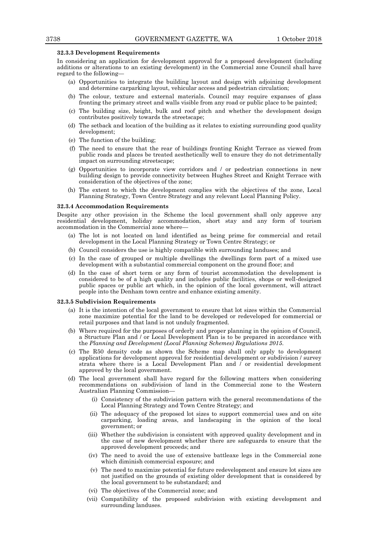#### **32.3.3 Development Requirements**

In considering an application for development approval for a proposed development (including additions or alterations to an existing development) in the Commercial zone Council shall have regard to the following—

- (a) Opportunities to integrate the building layout and design with adjoining development and determine carparking layout, vehicular access and pedestrian circulation;
- (b) The colour, texture and external materials. Council may require expanses of glass fronting the primary street and walls visible from any road or public place to be painted;
- (c) The building size, height, bulk and roof pitch and whether the development design contributes positively towards the streetscape;
- (d) The setback and location of the building as it relates to existing surrounding good quality development;
- (e) The function of the building;
- (f) The need to ensure that the rear of buildings fronting Knight Terrace as viewed from public roads and places be treated aesthetically well to ensure they do not detrimentally impact on surrounding streetscape;
- (g) Opportunities to incorporate view corridors and / or pedestrian connections in new building design to provide connectivity between Hughes Street and Knight Terrace with consideration of the objectives of the zone;
- (h) The extent to which the development complies with the objectives of the zone, Local Planning Strategy, Town Centre Strategy and any relevant Local Planning Policy.

### **32.3.4 Accommodation Requirements**

Despite any other provision in the Scheme the local government shall only approve any residential development, holiday accommodation, short stay and any form of tourism accommodation in the Commercial zone where—

- (a) The lot is not located on land identified as being prime for commercial and retail development in the Local Planning Strategy or Town Centre Strategy; or
- (b) Council considers the use is highly compatible with surrounding landuses; and
- (c) In the case of grouped or multiple dwellings the dwellings form part of a mixed use development with a substantial commercial component on the ground floor; and
- (d) In the case of short term or any form of tourist accommodation the development is considered to be of a high quality and includes public facilities, shops or well-designed public spaces or public art which, in the opinion of the local government, will attract people into the Denham town centre and enhance existing amenity.

#### **32.3.5 Subdivision Requirements**

- (a) It is the intention of the local government to ensure that lot sizes within the Commercial zone maximize potential for the land to be developed or redeveloped for commercial or retail purposes and that land is not unduly fragmented.
- (b) Where required for the purposes of orderly and proper planning in the opinion of Council, a Structure Plan and / or Local Development Plan is to be prepared in accordance with the *Planning and Development (Local Planning Schemes) Regulations 2015*.
- (c) The R50 density code as shown the Scheme map shall only apply to development applications for development approval for residential development or subdivision / survey strata where there is a Local Development Plan and / or residential development approved by the local government.
- (d) The local government shall have regard for the following matters when considering recommendations on subdivision of land in the Commercial zone to the Western Australian Planning Commission—
	- (i) Consistency of the subdivision pattern with the general recommendations of the Local Planning Strategy and Town Centre Strategy; and
	- (ii) The adequacy of the proposed lot sizes to support commercial uses and on site carparking, loading areas, and landscaping in the opinion of the local government; or
	- (iii) Whether the subdivision is consistent with approved quality development and in the case of new development whether there are safeguards to ensure that the approved development proceeds; and
	- (iv) The need to avoid the use of extensive battleaxe legs in the Commercial zone which diminish commercial exposure; and
	- (v) The need to maximize potential for future redevelopment and ensure lot sizes are not justified on the grounds of existing older development that is considered by the local government to be substandard; and
	- (vi) The objectives of the Commercial zone; and
	- (vii) Compatibility of the proposed subdivision with existing development and surrounding landuses.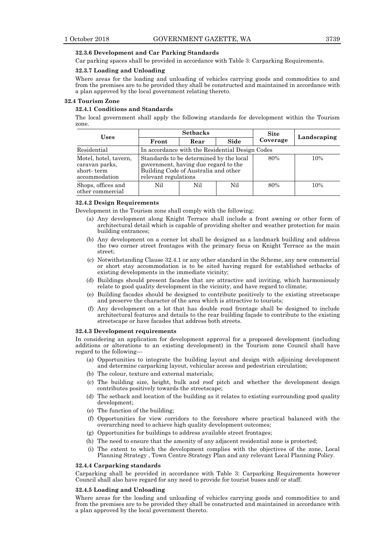# **32.3.6 Development and Car Parking Standards**

Car parking spaces shall be provided in accordance with Table 3: Carparking Requirements.

## **32.3.7 Loading and Unloading**

Where areas for the loading and unloading of vehicles carrying goods and commodities to and from the premises are to be provided they shall be constructed and maintained in accordance with a plan approved by the local government relating thereto.

### **32.4 Tourism Zone**

# **32.4.1 Conditions and Standards**

The local government shall apply the following standards for development within the Tourism zone.

| <b>Uses</b>                                                            |       | <b>Setbacks</b>                                                                                                                                 |      | <b>Site</b> |             |  |
|------------------------------------------------------------------------|-------|-------------------------------------------------------------------------------------------------------------------------------------------------|------|-------------|-------------|--|
|                                                                        | Front | Rear                                                                                                                                            | Side | Coverage    | Landscaping |  |
| Residential                                                            |       | In accordance with the Residential Design Codes                                                                                                 |      |             |             |  |
| Motel, hotel, tavern,<br>caravan parks,<br>short-term<br>accommodation |       | Standards to be determined by the local<br>government, having due regard to the<br>Building Code of Australia and other<br>relevant regulations |      |             | 10%         |  |
| Shops, offices and<br>other commercial                                 | Nil   | Nil                                                                                                                                             | Nil  | 80%         | 10%         |  |

### **32.4.2 Design Requirements**

Development in the Tourism zone shall comply with the following;

- (a) Any development along Knight Terrace shall include a front awning or other form of architectural detail which is capable of providing shelter and weather protection for main building entrances;
- (b) Any development on a corner lot shall be designed as a landmark building and address the two corner street frontages with the primary focus on Knight Terrace as the main street;
- (c) Notwithstanding Clause 32.4.1 or any other standard in the Scheme, any new commercial or short stay accommodation is to be sited having regard for established setbacks of existing developments in the immediate vicinity;
- (d) Buildings should present facades that are attractive and inviting, which harmoniously relate to good quality development in the vicinity, and have regard to climate;
- (e) Building facades should be designed to contribute positively to the existing streetscape and preserve the character of the area which is attractive to tourists;
- (f) Any development on a lot that has double road frontage shall be designed to include architectural features and details to the rear building façade to contribute to the existing streetscape or have facades that address both streets.

### **32.4.3 Development requirements**

In considering an application for development approval for a proposed development (including additions or alterations to an existing development) in the Tourism zone Council shall have regard to the following—

- (a) Opportunities to integrate the building layout and design with adjoining development and determine carparking layout, vehicular access and pedestrian circulation;
- (b) The colour, texture and external materials;
- (c) The building size, height, bulk and roof pitch and whether the development design contributes positively towards the streetscape;
- (d) The setback and location of the building as it relates to existing surrounding good quality development;
- (e) The function of the building;
- (f) Opportunities for view corridors to the foreshore where practical balanced with the overarching need to achieve high quality development outcomes;
- (g) Opportunities for buildings to address available street frontages;
- (h) The need to ensure that the amenity of any adjacent residential zone is protected;
- (i) The extent to which the development complies with the objectives of the zone, Local Planning Strategy , Town Centre Strategy Plan and any relevant Local Planning Policy.

### **32.4.4 Carparking standards**

Carparking shall be provided in accordance with Table 3: Carparking Requirements however Council shall also have regard for any need to provide for tourist buses and/ or staff.

### **32.4.5 Loading and Unloading**

Where areas for the loading and unloading of vehicles carrying goods and commodities to and from the premises are to be provided they shall be constructed and maintained in accordance with a plan approved by the local government thereto.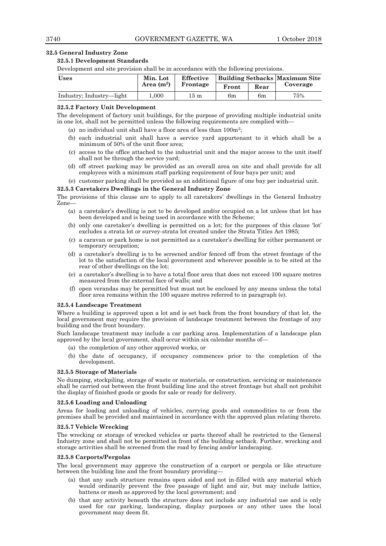# **32.5 General Industry Zone**

# **32.5.1 Development Standards**

Development and site provision shall be in accordance with the following provisions.

| Uses                     | Min. Lot     | Effective |       | Building Setbacks Maximum Site |          |
|--------------------------|--------------|-----------|-------|--------------------------------|----------|
|                          | Area $(m^2)$ | Frontage  | Front | Rear                           | Coverage |
| Industry; Industry—light | 000.1        | 15 m      | 6m    | 6m                             | 75%      |

# **32.5.2 Factory Unit Development**

The development of factory unit buildings, for the purpose of providing multiple industrial units in one lot, shall not be permitted unless the following requirements are complied with—

- (a) no individual unit shall have a floor area of less than  $100m^2$ ;
- (b) each industrial unit shall have a service yard appurtenant to it which shall be a minimum of 50% of the unit floor area;
- (c) access to the office attached to the industrial unit and the major access to the unit itself shall not be through the service yard;
- (d) off street parking may be provided as an overall area on site and shall provide for all employees with a minimum staff parking requirement of four bays per unit; and

(e) customer parking shall be provided as an additional figure of one bay per industrial unit.

# **32.5.3 Caretakers Dwellings in the General Industry Zone**

The provisions of this clause are to apply to all caretakers' dwellings in the General Industry Zone—

- (a) a caretaker's dwelling is not to be developed and/or occupied on a lot unless that lot has been developed and is being used in accordance with the Scheme;
- (b) only one caretaker's dwelling is permitted on a lot; for the purposes of this clause 'lot' excludes a strata lot or survey-strata lot created under the Strata Titles Act 1985;
- (c) a caravan or park home is not permitted as a caretaker's dwelling for either permanent or temporary occupation;
- (d) a caretaker's dwelling is to be screened and/or fenced off from the street frontage of the lot to the satisfaction of the local government and wherever possible is to be sited at the rear of other dwellings on the lot;
- (e) a caretaker's dwelling is to have a total floor area that does not exceed 100 square metres measured from the external face of walls; and
- (f) open verandas may be permitted but must not be enclosed by any means unless the total floor area remains within the 100 square metres referred to in paragraph (e).

### **32.5.4 Landscape Treatment**

Where a building is approved upon a lot and is set back from the front boundary of that lot, the local government may require the provision of landscape treatment between the frontage of any building and the front boundary.

Such landscape treatment may include a car parking area. Implementation of a landscape plan approved by the local government, shall occur within six calendar months of—

- (a) the completion of any other approved works, or
- (b) the date of occupancy, if occupancy commences prior to the completion of the development.

### **32.5.5 Storage of Materials**

No dumping, stockpiling, storage of waste or materials, or construction, servicing or maintenance shall be carried out between the front building line and the street frontage but shall not prohibit the display of finished goods or goods for sale or ready for delivery.

# **32.5.6 Loading and Unloading**

Areas for loading and unloading of vehicles, carrying goods and commodities to or from the premises shall be provided and maintained in accordance with the approved plan relating thereto.

### **32.5.7 Vehicle Wrecking**

The wrecking or storage of wrecked vehicles or parts thereof shall be restricted to the General Industry zone and shall not be permitted in front of the building setback. Further, wrecking and storage activities shall be screened from the road by fencing and/or landscaping.

### **32.5.8 Carports/Pergolas**

The local government may approve the construction of a carport or pergola or like structure between the building line and the front boundary providing—

- (a) that any such structure remains open sided and not in-filled with any material which would ordinarily prevent the free passage of light and air, but may include lattice, battens or mesh as approved by the local government; and
- (b) that any activity beneath the structure does not include any industrial use and is only used for car parking, landscaping, display purposes or any other uses the local government may deem fit.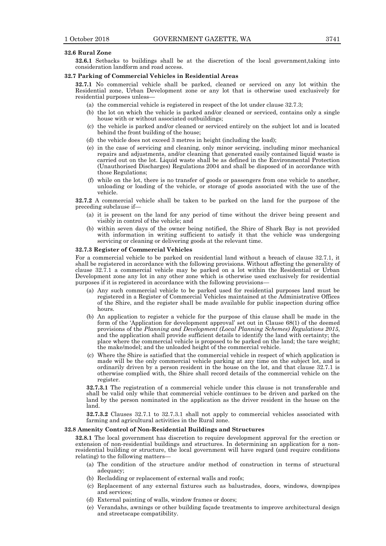#### **32.6 Rural Zone**

**32.6.1** Setbacks to buildings shall be at the discretion of the local government, taking into consideration landform and road access.

### **32.7 Parking of Commercial Vehicles in Residential Areas**

**32.7.1** No commercial vehicle shall be parked, cleaned or serviced on any lot within the Residential zone, Urban Development zone or any lot that is otherwise used exclusively for residential purposes unless—

- (a) the commercial vehicle is registered in respect of the lot under clause 32.7.3;
- (b) the lot on which the vehicle is parked and/or cleaned or serviced, contains only a single house with or without associated outbuildings;
- (c) the vehicle is parked and/or cleaned or serviced entirely on the subject lot and is located behind the front building of the house;
- (d) the vehicle does not exceed 3 metres in height (including the load);
- (e) in the case of servicing and cleaning, only minor servicing, including minor mechanical repairs and adjustments, and/or cleaning that generated easily contained liquid waste is carried out on the lot. Liquid waste shall be as defined in the Environmental Protection (Unauthorised Discharges) Regulations 2004 and shall be disposed of in accordance with those Regulations;
- (f) while on the lot, there is no transfer of goods or passengers from one vehicle to another, unloading or loading of the vehicle, or storage of goods associated with the use of the vehicle.

**32.7.2** A commercial vehicle shall be taken to be parked on the land for the purpose of the preceding subclause if—

- (a) it is present on the land for any period of time without the driver being present and visibly in control of the vehicle; and
- (b) within seven days of the owner being notified, the Shire of Shark Bay is not provided with information in writing sufficient to satisfy it that the vehicle was undergoing servicing or cleaning or delivering goods at the relevant time.

### **32.7.3 Register of Commercial Vehicles**

For a commercial vehicle to be parked on residential land without a breach of clause 32.7.1, it shall be registered in accordance with the following provisions. Without affecting the generality of clause 32.7.1 a commercial vehicle may be parked on a lot within the Residential or Urban Development zone any lot in any other zone which is otherwise used exclusively for residential purposes if it is registered in accordance with the following provisions—

- (a) Any such commercial vehicle to be parked used for residential purposes land must be registered in a Register of Commercial Vehicles maintained at the Administrative Offices of the Shire, and the register shall be made available for public inspection during office hours.
- (b) An application to register a vehicle for the purpose of this clause shall be made in the form of the 'Application for development approval' set out in Clause 68(1) of the deemed provisions of the *Planning and Development (Local Planning Schemes) Regulations 2015*, and the application shall provide sufficient details to identify the land with certainty; the place where the commercial vehicle is proposed to be parked on the land; the tare weight; the make/model; and the unloaded height of the commercial vehicle.
- (c) Where the Shire is satisfied that the commercial vehicle in respect of which application is made will be the only commercial vehicle parking at any time on the subject lot, and is ordinarily driven by a person resident in the house on the lot, and that clause 32.7.1 is otherwise complied with, the Shire shall record details of the commercial vehicle on the register.

**32.7.3.1** The registration of a commercial vehicle under this clause is not transferable and shall be valid only while that commercial vehicle continues to be driven and parked on the land by the person nominated in the application as the driver resident in the house on the land.

**32.7.3.2** Clauses 32.7.1 to 32.7.3.1 shall not apply to commercial vehicles associated with farming and agricultural activities in the Rural zone.

# **32.8 Amenity Control of Non-Residential Buildings and Structures**

**32.8.1** The local government has discretion to require development approval for the erection or extension of non-residential buildings and structures. In determining an application for a nonresidential building or structure, the local government will have regard (and require conditions relating) to the following matters—

- (a) The condition of the structure and/or method of construction in terms of structural adequacy;
- (b) Recladding or replacement of external walls and roofs;
- (c) Replacement of any external fixtures such as balustrades, doors, windows, downpipes and services;
- (d) External painting of walls, window frames or doors;
- (e) Verandahs, awnings or other building façade treatments to improve architectural design and streetscape compatibility.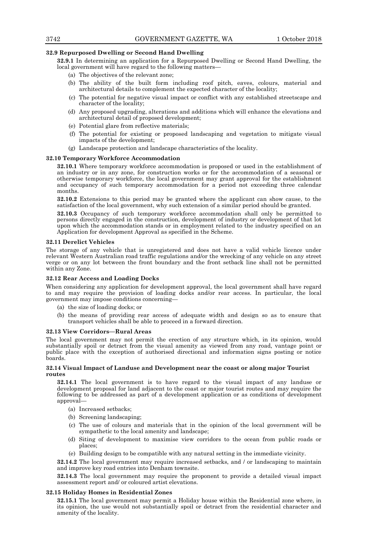# **32.9 Repurposed Dwelling or Second Hand Dwelling**

**32.9.1** In determining an application for a Repurposed Dwelling or Second Hand Dwelling, the local government will have regard to the following matters—

- (a) The objectives of the relevant zone;
- (b) The ability of the built form including roof pitch, eaves, colours, material and architectural details to complement the expected character of the locality;
- (c) The potential for negative visual impact or conflict with any established streetscape and character of the locality;
- (d) Any proposed upgrading, alterations and additions which will enhance the elevations and architectural detail of proposed development;
- (e) Potential glare from reflective materials;
- (f) The potential for existing or proposed landscaping and vegetation to mitigate visual impacts of the development;
- (g) Landscape protection and landscape characteristics of the locality.

# **32.10 Temporary Workforce Accommodation**

**32.10.1** Where temporary workforce accommodation is proposed or used in the establishment of an industry or in any zone, for construction works or for the accommodation of a seasonal or otherwise temporary workforce, the local government may grant approval for the establishment and occupancy of such temporary accommodation for a period not exceeding three calendar months.

**32.10.2** Extensions to this period may be granted where the applicant can show cause, to the satisfaction of the local government, why such extension of a similar period should be granted.

**32.10.3** Occupancy of such temporary workforce accommodation shall only be permitted to persons directly engaged in the construction, development of industry or development of that lot upon which the accommodation stands or in employment related to the industry specified on an Application for development Approval as specified in the Scheme.

### **32.11 Derelict Vehicles**

The storage of any vehicle that is unregistered and does not have a valid vehicle licence under relevant Western Australian road traffic regulations and/or the wrecking of any vehicle on any street verge or on any lot between the front boundary and the front setback line shall not be permitted within any Zone.

### **32.12 Rear Access and Loading Docks**

When considering any application for development approval, the local government shall have regard to and may require the provision of loading docks and/or rear access. In particular, the local government may impose conditions concerning—

- (a) the size of loading docks; or
- (b) the means of providing rear access of adequate width and design so as to ensure that transport vehicles shall be able to proceed in a forward direction.

### **32.13 View Corridors—Rural Areas**

The local government may not permit the erection of any structure which, in its opinion, would substantially spoil or detract from the visual amenity as viewed from any road, vantage point or public place with the exception of authorised directional and information signs posting or notice boards.

# **32.14 Visual Impact of Landuse and Development near the coast or along major Tourist routes**

**32.14.1** The local government is to have regard to the visual impact of any landuse or development proposal for land adjacent to the coast or major tourist routes and may require the following to be addressed as part of a development application or as conditions of development approval—

- (a) Increased setbacks;
- (b) Screening landscaping;
- (c) The use of colours and materials that in the opinion of the local government will be sympathetic to the local amenity and landscape;
- (d) Siting of development to maximise view corridors to the ocean from public roads or places;
- (e) Building design to be compatible with any natural setting in the immediate vicinity.

**32.14.2** The local government may require increased setbacks, and / or landscaping to maintain and improve key road entries into Denham townsite.

**32.14.3** The local government may require the proponent to provide a detailed visual impact assessment report and/ or coloured artist elevations.

### **32.15 Holiday Homes in Residential Zones**

**32.15.1** The local government may permit a Holiday house within the Residential zone where, in its opinion, the use would not substantially spoil or detract from the residential character and amenity of the locality.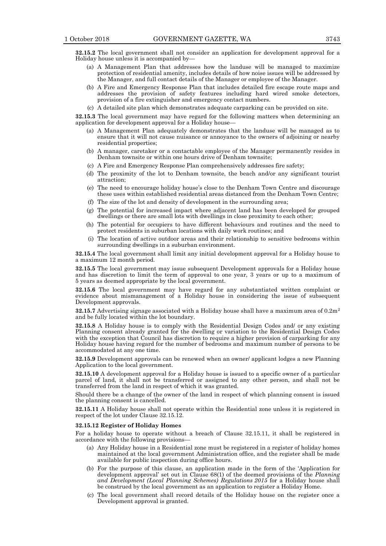**32.15.2** The local government shall not consider an application for development approval for a Holiday house unless it is accompanied by—

- (a) A Management Plan that addresses how the landuse will be managed to maximize protection of residential amenity, includes details of how noise issues will be addressed by the Manager, and full contact details of the Manager or employee of the Manager.
- (b) A Fire and Emergency Response Plan that includes detailed fire escape route maps and addresses the provision of safety features including hard wired smoke detectors, provision of a fire extinguisher and emergency contact numbers.
- (c) A detailed site plan which demonstrates adequate carparking can be provided on site.

**32.15.3** The local government may have regard for the following matters when determining an application for development approval for a Holiday house—

- (a) A Management Plan adequately demonstrates that the landuse will be managed as to ensure that it will not cause nuisance or annoyance to the owners of adjoining or nearby residential properties;
- (b) A manager, caretaker or a contactable employee of the Manager permanently resides in Denham townsite or within one hours drive of Denham townsite;
- (c) A Fire and Emergency Response Plan comprehensively addresses fire safety;
- (d) The proximity of the lot to Denham townsite, the beach and/or any significant tourist attraction;
- (e) The need to encourage holiday house's close to the Denham Town Centre and discourage these uses within established residential areas distanced from the Denham Town Centre;
- (f) The size of the lot and density of development in the surrounding area;
- (g) The potential for increased impact where adjacent land has been developed for grouped dwellings or there are small lots with dwellings in close proximity to each other;
- (h) The potential for occupiers to have different behaviours and routines and the need to protect residents in suburban locations with daily work routines; and
- (i) The location of active outdoor areas and their relationship to sensitive bedrooms within surrounding dwellings in a suburban environment.

**32.15.4** The local government shall limit any initial development approval for a Holiday house to a maximum 12 month period.

**32.15.5** The local government may issue subsequent Development approvals for a Holiday house and has discretion to limit the term of approval to one year, 3 years or up to a maximum of 5 years as deemed appropriate by the local government.

**32.15.6** The local government may have regard for any substantiated written complaint or evidence about mismanagement of a Holiday house in considering the issue of subsequent Development approvals.

**32.15.7** Advertising signage associated with a Holiday house shall have a maximum area of  $0.2m<sup>2</sup>$ and be fully located within the lot boundary.

**32.15.8** A Holiday house is to comply with the Residential Design Codes and/ or any existing Planning consent already granted for the dwelling or variation to the Residential Design Codes with the exception that Council has discretion to require a higher provision of carparking for any Holiday house having regard for the number of bedrooms and maximum number of persons to be accommodated at any one time.

**32.15.9** Development approvals can be renewed when an owner/ applicant lodges a new Planning Application to the local government.

**32.15.10** A development approval for a Holiday house is issued to a specific owner of a particular parcel of land, it shall not be transferred or assigned to any other person, and shall not be transferred from the land in respect of which it was granted.

Should there be a change of the owner of the land in respect of which planning consent is issued the planning consent is cancelled.

**32.15.11** A Holiday house shall not operate within the Residential zone unless it is registered in respect of the lot under Clause 32.15.12.

#### **32.15.12 Register of Holiday Homes**

For a holiday house to operate without a breach of Clause 32.15.11, it shall be registered in accordance with the following provisions—

- (a) Any Holiday house in a Residential zone must be registered in a register of holiday homes maintained at the local government Administration office, and the register shall be made available for public inspection during office hours.
- (b) For the purpose of this clause, an application made in the form of the 'Application for development approval' set out in Clause 68(1) of the deemed provisions of the *Planning and Development (Local Planning Schemes) Regulations 2015* for a Holiday house shall be construed by the local government as an application to register a Holiday Home.
- (c) The local government shall record details of the Holiday house on the register once a Development approval is granted.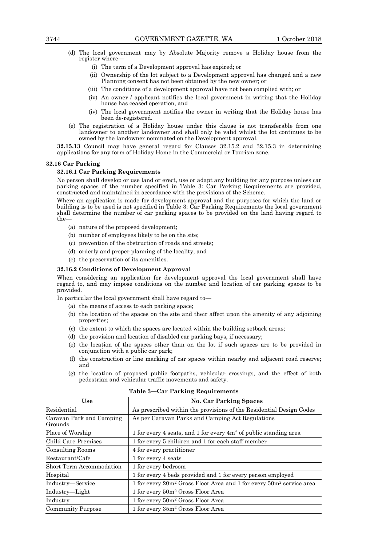- (d) The local government may by Absolute Majority remove a Holiday house from the register where—
	- (i) The term of a Development approval has expired; or
	- (ii) Ownership of the lot subject to a Development approval has changed and a new Planning consent has not been obtained by the new owner; or
	- (iii) The conditions of a development approval have not been complied with; or
	- (iv) An owner / applicant notifies the local government in writing that the Holiday house has ceased operation, and
	- (iv) The local government notifies the owner in writing that the Holiday house has been de-registered.
- (e) The registration of a Holiday house under this clause is not transferable from one landowner to another landowner and shall only be valid whilst the lot continues to be owned by the landowner nominated on the Development approval.

**32.15.13** Council may have general regard for Clauses 32.15.2 and 32.15.3 in determining applications for any form of Holiday Home in the Commercial or Tourism zone.

### **32.16 Car Parking**

# **32.16.1 Car Parking Requirements**

No person shall develop or use land or erect, use or adapt any building for any purpose unless car parking spaces of the number specified in Table 3: Car Parking Requirements are provided, constructed and maintained in accordance with the provisions of the Scheme.

Where an application is made for development approval and the purposes for which the land or building is to be used is not specified in Table 3: Car Parking Requirements the local government shall determine the number of car parking spaces to be provided on the land having regard to the—

- (a) nature of the proposed development;
- (b) number of employees likely to be on the site;
- (c) prevention of the obstruction of roads and streets;
- (d) orderly and proper planning of the locality; and
- (e) the preservation of its amenities.

# **32.16.2 Conditions of Development Approval**

When considering an application for development approval the local government shall have regard to, and may impose conditions on the number and location of car parking spaces to be provided.

In particular the local government shall have regard to—

- (a) the means of access to each parking space;
- (b) the location of the spaces on the site and their affect upon the amenity of any adjoining properties;
- (c) the extent to which the spaces are located within the building setback areas;
- (d) the provision and location of disabled car parking bays, if necessary;
- (e) the location of the spaces other than on the lot if such spaces are to be provided in conjunction with a public car park;
- (f) the construction or line marking of car spaces within nearby and adjacent road reserve; and
- (g) the location of proposed public footpaths, vehicular crossings, and the effect of both pedestrian and vehicular traffic movements and safety.

| Use                                 | <b>No. Car Parking Spaces</b>                                                               |  |  |  |  |
|-------------------------------------|---------------------------------------------------------------------------------------------|--|--|--|--|
| Residential                         | As prescribed within the provisions of the Residential Design Codes                         |  |  |  |  |
| Caravan Park and Camping<br>Grounds | As per Caravan Parks and Camping Act Regulations                                            |  |  |  |  |
| Place of Worship                    | 1 for every 4 seats, and 1 for every $4m^2$ of public standing area                         |  |  |  |  |
| Child Care Premises                 | 1 for every 5 children and 1 for each staff member                                          |  |  |  |  |
| <b>Consulting Rooms</b>             | 4 for every practitioner                                                                    |  |  |  |  |
| Restaurant/Cafe                     | 1 for every 4 seats                                                                         |  |  |  |  |
| Short Term Accommodation            | 1 for every bedroom                                                                         |  |  |  |  |
| Hospital                            | 1 for every 4 beds provided and 1 for every person employed                                 |  |  |  |  |
| Industry-Service                    | 1 for every 20m <sup>2</sup> Gross Floor Area and 1 for every 50m <sup>2</sup> service area |  |  |  |  |
| Industry—Light                      | 1 for every 50m <sup>2</sup> Gross Floor Area                                               |  |  |  |  |
| Industry                            | 1 for every 50m <sup>2</sup> Gross Floor Area                                               |  |  |  |  |
| <b>Community Purpose</b>            | 1 for every 35m <sup>2</sup> Gross Floor Area                                               |  |  |  |  |

**Table 3—Car Parking Requirements**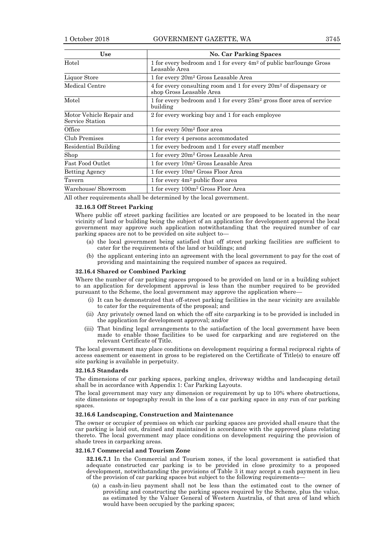| <b>Use</b>                                  | <b>No. Car Parking Spaces</b>                                                                    |
|---------------------------------------------|--------------------------------------------------------------------------------------------------|
| Hotel                                       | 1 for every bedroom and 1 for every $4m^2$ of public bar/lounge Gross<br>Leasable Area           |
| Liquor Store                                | 1 for every 20m <sup>2</sup> Gross Leasable Area                                                 |
| Medical Centre                              | 4 for every consulting room and 1 for every $20m^2$ of dispensary or<br>shop Gross Leasable Area |
| Motel                                       | 1 for every bedroom and 1 for every $25m^2$ gross floor area of service<br>building              |
| Motor Vehicle Repair and<br>Service Station | 2 for every working bay and 1 for each employee                                                  |
| Office                                      | 1 for every $50m^2$ floor area                                                                   |
| Club Premises                               | 1 for every 4 persons accommodated                                                               |
| Residential Building                        | 1 for every bedroom and 1 for every staff member                                                 |
| Shop                                        | 1 for every 20m <sup>2</sup> Gross Leasable Area                                                 |
| <b>Fast Food Outlet</b>                     | 1 for every 10m <sup>2</sup> Gross Leasable Area                                                 |
| <b>Betting Agency</b>                       | 1 for every $10m^2$ Gross Floor Area                                                             |
| Tavern                                      | 1 for every 4m <sup>2</sup> public floor area                                                    |
| Warehouse/ Showroom                         | 1 for every 100m <sup>2</sup> Gross Floor Area                                                   |

All other requirements shall be determined by the local government.

# **32.16.3 Off Street Parking**

Where public off street parking facilities are located or are proposed to be located in the near vicinity of land or building being the subject of an application for development approval the local government may approve such application notwithstanding that the required number of car parking spaces are not to be provided on site subject to—

- (a) the local government being satisfied that off street parking facilities are sufficient to cater for the requirements of the land or buildings; and
- (b) the applicant entering into an agreement with the local government to pay for the cost of providing and maintaining the required number of spaces as required.

### **32.16.4 Shared or Combined Parking**

Where the number of car parking spaces proposed to be provided on land or in a building subject to an application for development approval is less than the number required to be provided pursuant to the Scheme, the local government may approve the application where—

- (i) It can be demonstrated that off-street parking facilities in the near vicinity are available to cater for the requirements of the proposal; and
- (ii) Any privately owned land on which the off site carparking is to be provided is included in the application for development approval; and/or
- (iii) That binding legal arrangements to the satisfaction of the local government have been made to enable those facilities to be used for carparking and are registered on the relevant Certificate of Title.

The local government may place conditions on development requiring a formal reciprocal rights of access easement or easement in gross to be registered on the Certificate of Title(s) to ensure off site parking is available in perpetuity.

## **32.16.5 Standards**

The dimensions of car parking spaces, parking angles, driveway widths and landscaping detail shall be in accordance with Appendix 1: Car Parking Layouts.

The local government may vary any dimension or requirement by up to 10% where obstructions, site dimensions or topography result in the loss of a car parking space in any run of car parking spaces.

# **32.16.6 Landscaping, Construction and Maintenance**

The owner or occupier of premises on which car parking spaces are provided shall ensure that the car parking is laid out, drained and maintained in accordance with the approved plans relating thereto. The local government may place conditions on development requiring the provision of shade trees in carparking areas.

### **32.16.7 Commercial and Tourism Zone**

**32.16.7.1** In the Commercial and Tourism zones, if the local government is satisfied that adequate constructed car parking is to be provided in close proximity to a proposed development, notwithstanding the provisions of Table 3 it may accept a cash payment in lieu of the provision of car parking spaces but subject to the following requirements—

(a) a cash-in-lieu payment shall not be less than the estimated cost to the owner of providing and constructing the parking spaces required by the Scheme, plus the value, as estimated by the Valuer General of Western Australia, of that area of land which would have been occupied by the parking spaces;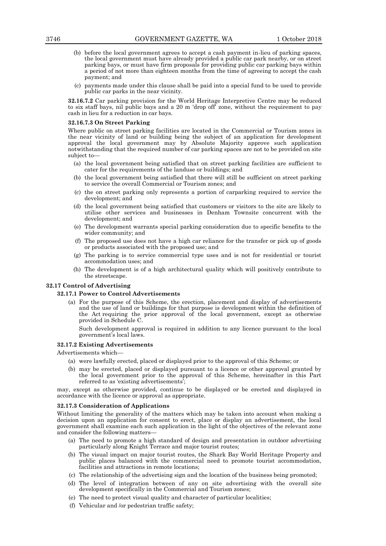- (b) before the local government agrees to accept a cash payment in-lieu of parking spaces, the local government must have already provided a public car park nearby, or on street parking bays, or must have firm proposals for providing public car parking bays within a period of not more than eighteen months from the time of agreeing to accept the cash payment; and
- (c) payments made under this clause shall be paid into a special fund to be used to provide public car parks in the near vicinity.

**32.16.7.2** Car parking provision for the World Heritage Interpretive Centre may be reduced to six staff bays, nil public bays and a 20 m 'drop off' zone, without the requirement to pay cash in lieu for a reduction in car bays.

### **32.16.7.3 On Street Parking**

Where public on street parking facilities are located in the Commercial or Tourism zones in the near vicinity of land or building being the subject of an application for development approval the local government may by Absolute Majority approve such application notwithstanding that the required number of car parking spaces are not to be provided on site subject to—

- (a) the local government being satisfied that on street parking facilities are sufficient to cater for the requirements of the landuse or buildings; and
- (b) the local government being satisfied that there will still be sufficient on street parking to service the overall Commercial or Tourism zones; and
- (c) the on street parking only represents a portion of carparking required to service the development; and
- (d) the local government being satisfied that customers or visitors to the site are likely to utilise other services and businesses in Denham Townsite concurrent with the development; and
- (e) The development warrants special parking consideration due to specific benefits to the wider community; and
- (f) The proposed use does not have a high car reliance for the transfer or pick up of goods or products associated with the proposed use; and
- (g) The parking is to service commercial type uses and is not for residential or tourist accommodation uses; and
- (h) The development is of a high architectural quality which will positively contribute to the streetscape.

# **32.17 Control of Advertising**

### **32.17.1 Power to Control Advertisements**

(a) For the purpose of this Scheme, the erection, placement and display of advertisements and the use of land or buildings for that purpose is development within the definition of the Act requiring the prior approval of the local government, except as otherwise provided in Schedule C.

Such development approval is required in addition to any licence pursuant to the local government's local laws.

# **32.17.2 Existing Advertisements**

Advertisements which—

- (a) were lawfully erected, placed or displayed prior to the approval of this Scheme; or
- (b) may be erected, placed or displayed pursuant to a licence or other approval granted by the local government prior to the approval of this Scheme, hereinafter in this Part referred to as 'existing advertisements';

may, except as otherwise provided, continue to be displayed or be erected and displayed in accordance with the licence or approval as appropriate.

### **32.17.3 Consideration of Applications**

Without limiting the generality of the matters which may be taken into account when making a decision upon an application for consent to erect, place or display an advertisement, the local government shall examine each such application in the light of the objectives of the relevant zone and consider the following matters—

- (a) The need to promote a high standard of design and presentation in outdoor advertising particularly along Knight Terrace and major tourist routes;
- (b) The visual impact on major tourist routes, the Shark Bay World Heritage Property and public places balanced with the commercial need to promote tourist accommodation, facilities and attractions in remote locations;
- (c) The relationship of the advertising sign and the location of the business being promoted;
- (d) The level of integration between of any on site advertising with the overall site development specifically in the Commercial and Tourism zones;
- (e) The need to protect visual quality and character of particular localities;
- (f) Vehicular and /or pedestrian traffic safety;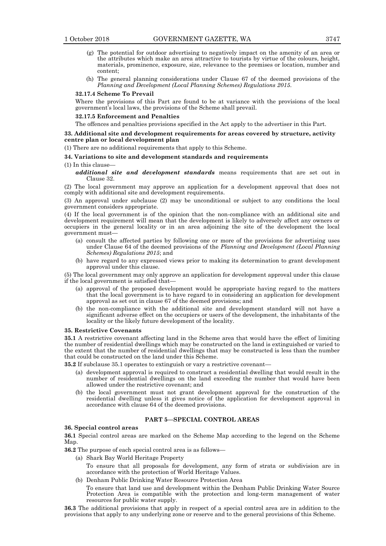- (g) The potential for outdoor advertising to negatively impact on the amenity of an area or the attributes which make an area attractive to tourists by virtue of the colours, height, materials, prominence, exposure, size, relevance to the premises or location, number and content;
- (h) The general planning considerations under Clause 67 of the deemed provisions of the *Planning and Development (Local Planning Schemes) Regulations 2015*.

### **32.17.4 Scheme To Prevail**

Where the provisions of this Part are found to be at variance with the provisions of the local government's local laws, the provisions of the Scheme shall prevail.

# **32.17.5 Enforcement and Penalties**

The offences and penalties provisions specified in the Act apply to the advertiser in this Part.

# **33. Additional site and development requirements for areas covered by structure, activity centre plan or local development plan**

(1) There are no additional requirements that apply to this Scheme.

### **34. Variations to site and development standards and requirements**

(1) In this clause—

*additional site and development standards* means requirements that are set out in Clause 32.

(2) The local government may approve an application for a development approval that does not comply with additional site and development requirements.

(3) An approval under subclause (2) may be unconditional or subject to any conditions the local government considers appropriate.

(4) If the local government is of the opinion that the non-compliance with an additional site and development requirement will mean that the development is likely to adversely affect any owners or occupiers in the general locality or in an area adjoining the site of the development the local government must—

- (a) consult the affected parties by following one or more of the provisions for advertising uses under Clause 64 of the deemed provisions of the *Planning and Development (Local Planning Schemes) Regulations 2015*; and
- (b) have regard to any expressed views prior to making its determination to grant development approval under this clause.

(5) The local government may only approve an application for development approval under this clause if the local government is satisfied that—

- (a) approval of the proposed development would be appropriate having regard to the matters that the local government is to have regard to in considering an application for development approval as set out in clause 67 of the deemed provisions; and
- (b) the non-compliance with the additional site and development standard will not have a significant adverse effect on the occupiers or users of the development, the inhabitants of the locality or the likely future development of the locality.

#### **35. Restrictive Covenants**

**35.1** A restrictive covenant affecting land in the Scheme area that would have the effect of limiting the number of residential dwellings which may be constructed on the land is extinguished or varied to the extent that the number of residential dwellings that may be constructed is less than the number that could be constructed on the land under this Scheme.

**35.2** If subclause 35.1 operates to extinguish or vary a restrictive covenant—

- (a) development approval is required to construct a residential dwelling that would result in the number of residential dwellings on the land exceeding the number that would have been allowed under the restrictive covenant; and
- (b) the local government must not grant development approval for the construction of the residential dwelling unless it gives notice of the application for development approval in accordance with clause 64 of the deemed provisions.

# **PART 5—SPECIAL CONTROL AREAS**

### **36. Special control areas**

**36.1** Special control areas are marked on the Scheme Map according to the legend on the Scheme Map.

**36.2** The purpose of each special control area is as follows—

- (a) Shark Bay World Heritage Property To ensure that all proposals for development, any form of strata or subdivision are in accordance with the protection of World Heritage Values.
- (b) Denham Public Drinking Water Resource Protection Area

To ensure that land use and development within the Denham Public Drinking Water Source Protection Area is compatible with the protection and long-term management of water resources for public water supply.

**36.3** The additional provisions that apply in respect of a special control area are in addition to the provisions that apply to any underlying zone or reserve and to the general provisions of this Scheme.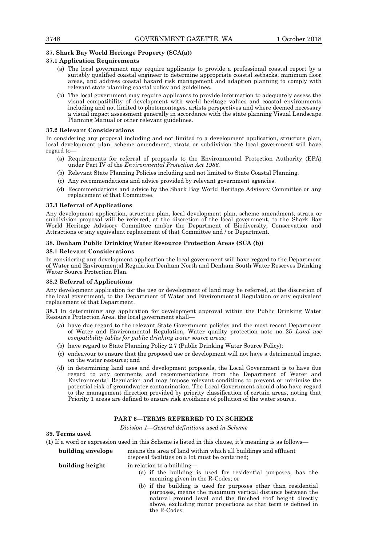# **37. Shark Bay World Heritage Property (SCA(a))**

# **37.1 Application Requirements**

- (a) The local government may require applicants to provide a professional coastal report by a suitably qualified coastal engineer to determine appropriate coastal setbacks, minimum floor areas, and address coastal hazard risk management and adaption planning to comply with relevant state planning coastal policy and guidelines.
- (b) The local government may require applicants to provide information to adequately assess the visual compatibility of development with world heritage values and coastal environments including and not limited to photomontages, artists perspectives and where deemed necessary a visual impact assessment generally in accordance with the state planning Visual Landscape Planning Manual or other relevant guidelines.

### **37.2 Relevant Considerations**

In considering any proposal including and not limited to a development application, structure plan, local development plan, scheme amendment, strata or subdivision the local government will have regard to—

- (a) Requirements for referral of proposals to the Environmental Protection Authority (EPA) under Part IV of the *Environmental Protection Act 1986.*
- (b) Relevant State Planning Policies including and not limited to State Coastal Planning.
- (c) Any recommendations and advice provided by relevant government agencies.
- (d) Recommendations and advice by the Shark Bay World Heritage Advisory Committee or any replacement of that Committee.

### **37.3 Referral of Applications**

Any development application, structure plan, local development plan, scheme amendment, strata or subdivision proposal will be referred, at the discretion of the local government, to the Shark Bay World Heritage Advisory Committee and/or the Department of Biodiversity, Conservation and Attractions or any equivalent replacement of that Committee and / or Department.

### **38. Denham Public Drinking Water Resource Protection Areas (SCA (b))**

### **38.1 Relevant Considerations**

In considering any development application the local government will have regard to the Department of Water and Environmental Regulation Denham North and Denham South Water Reserves Drinking Water Source Protection Plan.

### **38.2 Referral of Applications**

Any development application for the use or development of land may be referred, at the discretion of the local government, to the Department of Water and Environmental Regulation or any equivalent replacement of that Department.

**38.3** In determining any application for development approval within the Public Drinking Water Resource Protection Area, the local government shall—

- (a) have due regard to the relevant State Government policies and the most recent Department of Water and Environmental Regulation, Water quality protection note no. 25 *Land use compatibility tables for public drinking water source areas;*
- (b) have regard to State Planning Policy 2.7 (Public Drinking Water Source Policy);
- (c) endeavour to ensure that the proposed use or development will not have a detrimental impact on the water resource; and
- (d) in determining land uses and development proposals, the Local Government is to have due regard to any comments and recommendations from the Department of Water and Environmental Regulation and may impose relevant conditions to prevent or minimise the potential risk of groundwater contamination. The Local Government should also have regard to the management direction provided by priority classification of certain areas, noting that Priority 1 areas are defined to ensure risk avoidance of pollution of the water source.

# **PART 6—TERMS REFERRED TO IN SCHEME**

*Division 1—General definitions used in Scheme*

# **39. Terms used**

(1) If a word or expression used in this Scheme is listed in this clause, it's meaning is as follows—

**building envelope** means the area of land within which all buildings and effluent

disposal facilities on a lot must be contained;

**building height** in relation to a building-

- (a) if the building is used for residential purposes, has the meaning given in the R-Codes; or
- (b) if the building is used for purposes other than residential purposes, means the maximum vertical distance between the natural ground level and the finished roof height directly above, excluding minor projections as that term is defined in the R-Codes;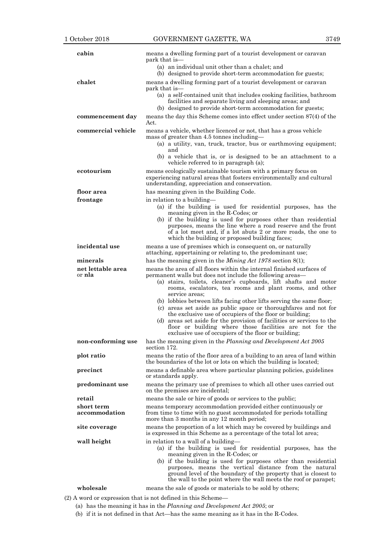| cabin                              | means a dwelling forming part of a tourist development or caravan<br>park that is—                                                                                                                                                                                                                                                                                                                                                                                                                                                                                                                                                                                                       |  |
|------------------------------------|------------------------------------------------------------------------------------------------------------------------------------------------------------------------------------------------------------------------------------------------------------------------------------------------------------------------------------------------------------------------------------------------------------------------------------------------------------------------------------------------------------------------------------------------------------------------------------------------------------------------------------------------------------------------------------------|--|
|                                    | (a) an individual unit other than a chalet; and<br>(b) designed to provide short-term accommodation for guests;                                                                                                                                                                                                                                                                                                                                                                                                                                                                                                                                                                          |  |
| chalet                             | means a dwelling forming part of a tourist development or caravan<br>park that is-                                                                                                                                                                                                                                                                                                                                                                                                                                                                                                                                                                                                       |  |
|                                    | (a) a self-contained unit that includes cooking facilities, bathroom<br>facilities and separate living and sleeping areas; and<br>(b) designed to provide short-term accommodation for guests;                                                                                                                                                                                                                                                                                                                                                                                                                                                                                           |  |
| commencement day                   | means the day this Scheme comes into effect under section 87(4) of the<br>Act.                                                                                                                                                                                                                                                                                                                                                                                                                                                                                                                                                                                                           |  |
| commercial vehicle                 | means a vehicle, whether licenced or not, that has a gross vehicle<br>mass of greater than 4.5 tonnes including—<br>(a) a utility, van, truck, tractor, bus or earthmoving equipment;<br>and<br>(b) a vehicle that is, or is designed to be an attachment to a<br>vehicle referred to in paragraph (a);                                                                                                                                                                                                                                                                                                                                                                                  |  |
| ecotourism                         | means ecologically sustainable tourism with a primary focus on<br>experiencing natural areas that fosters environmentally and cultural<br>understanding, appreciation and conservation.                                                                                                                                                                                                                                                                                                                                                                                                                                                                                                  |  |
| floor area                         | has meaning given in the Building Code.                                                                                                                                                                                                                                                                                                                                                                                                                                                                                                                                                                                                                                                  |  |
| frontage                           | in relation to a building—<br>(a) if the building is used for residential purposes, has the<br>meaning given in the R-Codes; or                                                                                                                                                                                                                                                                                                                                                                                                                                                                                                                                                          |  |
|                                    | (b) if the building is used for purposes other than residential<br>purposes, means the line where a road reserve and the front<br>of a lot meet and, if a lot abuts 2 or more roads, the one to<br>which the building or proposed building faces;                                                                                                                                                                                                                                                                                                                                                                                                                                        |  |
| incidental use                     | means a use of premises which is consequent on, or naturally<br>attaching, appertaining or relating to, the predominant use;                                                                                                                                                                                                                                                                                                                                                                                                                                                                                                                                                             |  |
| minerals                           | has the meaning given in the <i>Mining Act</i> 1978 section 8(1);                                                                                                                                                                                                                                                                                                                                                                                                                                                                                                                                                                                                                        |  |
| net lettable area<br>or <b>nla</b> | means the area of all floors within the internal finished surfaces of<br>permanent walls but does not include the following areas—<br>(a) stairs, toilets, cleaner's cupboards, lift shafts and motor<br>rooms, escalators, tea rooms and plant rooms, and other<br>service areas;<br>(b) lobbies between lifts facing other lifts serving the same floor;<br>(c) areas set aside as public space or thoroughfares and not for<br>the exclusive use of occupiers of the floor or building;<br>(d) areas set aside for the provision of facilities or services to the<br>floor or building where those facilities are not for the<br>exclusive use of occupiers of the floor or building; |  |
| non-conforming use                 | has the meaning given in the Planning and Development Act 2005<br>section 172.                                                                                                                                                                                                                                                                                                                                                                                                                                                                                                                                                                                                           |  |
| plot ratio                         | means the ratio of the floor area of a building to an area of land within<br>the boundaries of the lot or lots on which the building is located;                                                                                                                                                                                                                                                                                                                                                                                                                                                                                                                                         |  |
| precinct                           | means a definable area where particular planning policies, guidelines<br>or standards apply.                                                                                                                                                                                                                                                                                                                                                                                                                                                                                                                                                                                             |  |
| predominant use                    | means the primary use of premises to which all other uses carried out<br>on the premises are incidental;                                                                                                                                                                                                                                                                                                                                                                                                                                                                                                                                                                                 |  |
| retail                             | means the sale or hire of goods or services to the public;                                                                                                                                                                                                                                                                                                                                                                                                                                                                                                                                                                                                                               |  |
| short term<br>accommodation        | means temporary accommodation provided either continuously or<br>from time to time with no guest accommodated for periods totalling<br>more than 3 months in any 12 month period;                                                                                                                                                                                                                                                                                                                                                                                                                                                                                                        |  |
| site coverage                      | means the proportion of a lot which may be covered by buildings and<br>is expressed in this Scheme as a percentage of the total lot area;                                                                                                                                                                                                                                                                                                                                                                                                                                                                                                                                                |  |
| wall height                        | in relation to a wall of a building—<br>(a) if the building is used for residential purposes, has the<br>meaning given in the R-Codes; or<br>(b) if the building is used for purposes other than residential<br>purposes, means the vertical distance from the natural<br>ground level of the boundary of the property that is closest to<br>the wall to the point where the wall meets the roof or parapet;                                                                                                                                                                                                                                                                             |  |
| wholesale                          | means the sale of goods or materials to be sold by others;                                                                                                                                                                                                                                                                                                                                                                                                                                                                                                                                                                                                                               |  |

(2) A word or expression that is not defined in this Scheme—

(a) has the meaning it has in the *Planning and Development Act 2005*; or

(b) if it is not defined in that Act—has the same meaning as it has in the R-Codes.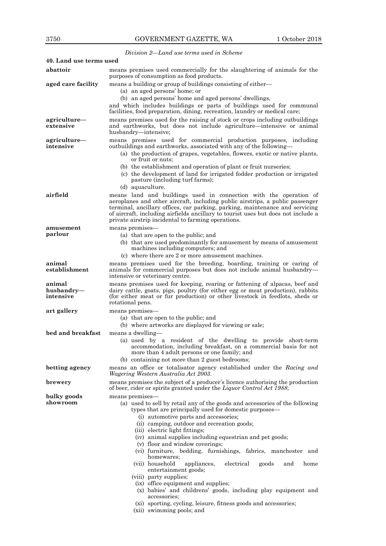*Division 2—Land use terms used in Scheme*

| 40. Land use terms used           |                                                                                                                                                                                                                                                                                                                                                                                                                                                                                                                                                                                                                                                                                                                                                                                                                      |  |  |
|-----------------------------------|----------------------------------------------------------------------------------------------------------------------------------------------------------------------------------------------------------------------------------------------------------------------------------------------------------------------------------------------------------------------------------------------------------------------------------------------------------------------------------------------------------------------------------------------------------------------------------------------------------------------------------------------------------------------------------------------------------------------------------------------------------------------------------------------------------------------|--|--|
| abattoir                          | means premises used commercially for the slaughtering of animals for the<br>purposes of consumption as food products.                                                                                                                                                                                                                                                                                                                                                                                                                                                                                                                                                                                                                                                                                                |  |  |
| aged care facility                | means a building or group of buildings consisting of either—<br>(a) an aged persons' home; or<br>(b) an aged persons' home and aged persons' dwellings,<br>and which includes buildings or parts of buildings used for communal<br>facilities, food preparation, dining, recreation, laundry or medical care;                                                                                                                                                                                                                                                                                                                                                                                                                                                                                                        |  |  |
| agriculture-<br>extensive         | means premises used for the raising of stock or crops including outbuildings<br>and earthworks, but does not include agriculture—intensive or animal<br>husbandry—intensive;                                                                                                                                                                                                                                                                                                                                                                                                                                                                                                                                                                                                                                         |  |  |
| agriculture-<br>intensive         | means premises used for commercial production purposes, including<br>outbuildings and earthworks, associated with any of the following—<br>(a) the production of grapes, vegetables, flowers, exotic or native plants,<br>or fruit or nuts;<br>(b) the establishment and operation of plant or fruit nurseries;<br>(c) the development of land for irrigated fodder production or irrigated<br>pasture (including turf farms);<br>(d) aquaculture.                                                                                                                                                                                                                                                                                                                                                                   |  |  |
| airfield                          | means land and buildings used in connection with the operation of<br>aeroplanes and other aircraft, including public airstrips, a public passenger<br>terminal, ancillary offices, car parking, parking, maintenance and servicing<br>of aircraft, including airfields ancillary to tourist uses but does not include a<br>private airstrip incidental to farming operations.                                                                                                                                                                                                                                                                                                                                                                                                                                        |  |  |
| amusement<br>parlour              | means premises—<br>(a) that are open to the public; and<br>(b) that are used predominantly for amusement by means of amusement<br>machines including computers; and<br>(c) where there are 2 or more amusement machines.                                                                                                                                                                                                                                                                                                                                                                                                                                                                                                                                                                                             |  |  |
| animal<br>establishment           | means premises used for the breeding, boarding, training or caring of<br>animals for commercial purposes but does not include animal husbandry—<br>intensive or veterinary centre.                                                                                                                                                                                                                                                                                                                                                                                                                                                                                                                                                                                                                                   |  |  |
| animal<br>husbandry-<br>intensive | means premises used for keeping, rearing or fattening of alpacas, beef and<br>dairy cattle, goats, pigs, poultry (for either egg or meat production), rabbits<br>(for either meat or fur production) or other livestock in feedlots, sheds or<br>rotational pens.                                                                                                                                                                                                                                                                                                                                                                                                                                                                                                                                                    |  |  |
| art gallery                       | means premises—<br>(a) that are open to the public; and<br>(b) where artworks are displayed for viewing or sale;                                                                                                                                                                                                                                                                                                                                                                                                                                                                                                                                                                                                                                                                                                     |  |  |
| bed and breakfast                 | means a dwelling-<br>(a) used by a resident of the dwelling to provide short-term<br>accommodation, including breakfast, on a commercial basis for not<br>more than 4 adult persons or one family; and<br>(b) containing not more than 2 guest bedrooms;                                                                                                                                                                                                                                                                                                                                                                                                                                                                                                                                                             |  |  |
| betting agency                    | means an office or totalisator agency established under the Racing and<br>Wagering Western Australia Act 2003.                                                                                                                                                                                                                                                                                                                                                                                                                                                                                                                                                                                                                                                                                                       |  |  |
| brewery                           | means premises the subject of a producer's licence authorising the production<br>of beer, cider or spirits granted under the Liquor Control Act 1988;                                                                                                                                                                                                                                                                                                                                                                                                                                                                                                                                                                                                                                                                |  |  |
| bulky goods<br>showroom           | means premises-<br>(a) used to sell by retail any of the goods and accessories of the following<br>types that are principally used for domestic purposes—<br>(i) automotive parts and accessories;<br>(ii) camping, outdoor and recreation goods;<br>(iii) electric light fittings;<br>(iv) animal supplies including equestrian and pet goods;<br>(v) floor and window coverings;<br>(vi) furniture, bedding, furnishings, fabrics, manchester and<br>homewares:<br>electrical<br>(vii) household<br>appliances,<br>goods<br>home<br>and<br>entertainment goods;<br>(viii) party supplies;<br>(ix) office equipment and supplies;<br>(x) babies' and childrens' goods, including play equipment and<br>accessories;<br>(xi) sporting, cycling, leisure, fitness goods and accessories;<br>(xii) swimming pools; and |  |  |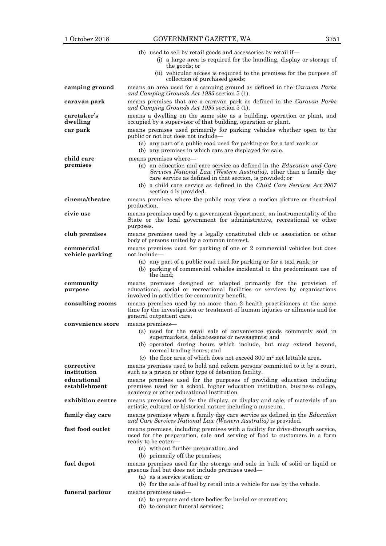|                               | (b) used to sell by retail goods and accessories by retail if—<br>(i) a large area is required for the handling, display or storage of<br>the goods; or                                                                                                                                                                                       |  |  |
|-------------------------------|-----------------------------------------------------------------------------------------------------------------------------------------------------------------------------------------------------------------------------------------------------------------------------------------------------------------------------------------------|--|--|
|                               | (ii) vehicular access is required to the premises for the purpose of<br>collection of purchased goods;                                                                                                                                                                                                                                        |  |  |
| camping ground                | means an area used for a camping ground as defined in the Caravan Parks<br>and Camping Grounds Act 1995 section 5 (1).                                                                                                                                                                                                                        |  |  |
| caravan park                  | means premises that are a caravan park as defined in the Caravan Parks<br>and Camping Grounds Act 1995 section 5 (1).                                                                                                                                                                                                                         |  |  |
| caretaker's<br>dwelling       | means a dwelling on the same site as a building, operation or plant, and<br>occupied by a supervisor of that building, operation or plant.                                                                                                                                                                                                    |  |  |
| car park                      | means premises used primarily for parking vehicles whether open to the<br>public or not but does not include—<br>(a) any part of a public road used for parking or for a taxi rank; or<br>(b) any premises in which cars are displayed for sale.                                                                                              |  |  |
| child care<br>premises        | means premises where-<br>(a) an education and care service as defined in the <i>Education and Care</i><br>Services National Law (Western Australia), other than a family day<br>care service as defined in that section, is provided; or<br>(b) a child care service as defined in the Child Care Services Act 2007<br>section 4 is provided. |  |  |
| cinema/theatre                | means premises where the public may view a motion picture or theatrical<br>production.                                                                                                                                                                                                                                                        |  |  |
| civic use                     | means premises used by a government department, an instrumentality of the<br>State or the local government for administrative, recreational or other<br>purposes.                                                                                                                                                                             |  |  |
| club premises                 | means premises used by a legally constituted club or association or other<br>body of persons united by a common interest.                                                                                                                                                                                                                     |  |  |
| commercial<br>vehicle parking | means premises used for parking of one or 2 commercial vehicles but does<br>not include—<br>(a) any part of a public road used for parking or for a taxi rank; or<br>(b) parking of commercial vehicles incidental to the predominant use of<br>the land:                                                                                     |  |  |
| community<br>purpose          | means premises designed or adapted primarily for the provision of<br>educational, social or recreational facilities or services by organisations<br>involved in activities for community benefit.                                                                                                                                             |  |  |
| consulting rooms              | means premises used by no more than 2 health practitioners at the same<br>time for the investigation or treatment of human injuries or ailments and for<br>general outpatient care.                                                                                                                                                           |  |  |
| convenience store             | means premises-<br>(a) used for the retail sale of convenience goods commonly sold in<br>supermarkets, delicatessens or newsagents; and                                                                                                                                                                                                       |  |  |
|                               | (b) operated during hours which include, but may extend beyond,<br>normal trading hours; and<br>(c) the floor area of which does not exceed $300 \text{ m}^2$ net lettable area.                                                                                                                                                              |  |  |
| corrective<br>institution     | means premises used to hold and reform persons committed to it by a court,<br>such as a prison or other type of detention facility.                                                                                                                                                                                                           |  |  |
| educational<br>establishment  | means premises used for the purposes of providing education including<br>premises used for a school, higher education institution, business college,<br>academy or other educational institution.                                                                                                                                             |  |  |
| exhibition centre             | means premises used for the display, or display and sale, of materials of an<br>artistic, cultural or historical nature including a museum                                                                                                                                                                                                    |  |  |
| family day care               | means premises where a family day care service as defined in the <i>Education</i><br>and Care Services National Law (Western Australia) is provided.                                                                                                                                                                                          |  |  |
| fast food outlet              | means premises, including premises with a facility for drive-through service,<br>used for the preparation, sale and serving of food to customers in a form<br>ready to be eaten-<br>(a) without further preparation; and<br>(b) primarily off the premises;                                                                                   |  |  |
| fuel depot                    | means premises used for the storage and sale in bulk of solid or liquid or<br>gaseous fuel but does not include premises used-<br>(a) as a service station; or                                                                                                                                                                                |  |  |
| funeral parlour               | (b) for the sale of fuel by retail into a vehicle for use by the vehicle.<br>means premises used—<br>(a) to prepare and store bodies for burial or cremation;<br>(b) to conduct funeral services;                                                                                                                                             |  |  |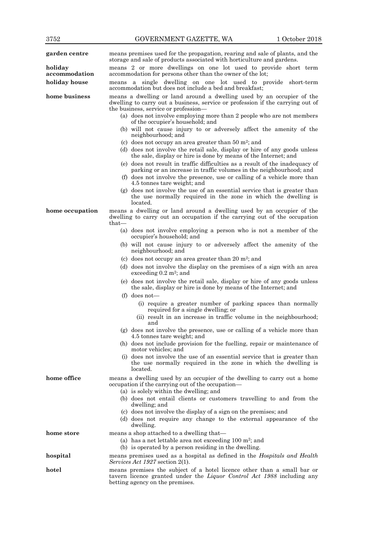| garden centre            | means premises used for the propagation, rearing and sale of plants, and the<br>storage and sale of products associated with horticulture and gardens.                                                                          |  |  |
|--------------------------|---------------------------------------------------------------------------------------------------------------------------------------------------------------------------------------------------------------------------------|--|--|
| holiday<br>accommodation | means 2 or more dwellings on one lot used to provide short term<br>accommodation for persons other than the owner of the lot;                                                                                                   |  |  |
| holiday house            | means a single dwelling on one lot used to provide short-term<br>accommodation but does not include a bed and breakfast;                                                                                                        |  |  |
| home business            | means a dwelling or land around a dwelling used by an occupier of the<br>dwelling to carry out a business, service or profession if the carrying out of<br>the business, service or profession—                                 |  |  |
|                          | (a) does not involve employing more than 2 people who are not members<br>of the occupier's household; and                                                                                                                       |  |  |
|                          | (b) will not cause injury to or adversely affect the amenity of the<br>neighbourhood; and                                                                                                                                       |  |  |
|                          | (c) does not occupy an area greater than $50 \text{ m}^2$ ; and<br>(d) does not involve the retail sale, display or hire of any goods unless<br>the sale, display or hire is done by means of the Internet; and                 |  |  |
|                          | (e) does not result in traffic difficulties as a result of the inadequacy of<br>parking or an increase in traffic volumes in the neighbourhood; and<br>(f) does not involve the presence, use or calling of a vehicle more than |  |  |
|                          | 4.5 tonnes tare weight; and<br>$(g)$ does not involve the use of an essential service that is greater than<br>the use normally required in the zone in which the dwelling is<br>located.                                        |  |  |
| home occupation          | means a dwelling or land around a dwelling used by an occupier of the<br>dwelling to carry out an occupation if the carrying out of the occupation<br>that-                                                                     |  |  |
|                          | (a) does not involve employing a person who is not a member of the<br>occupier's household; and                                                                                                                                 |  |  |
|                          | (b) will not cause injury to or adversely affect the amenity of the<br>neighbourhood; and                                                                                                                                       |  |  |
|                          | (c) does not occupy an area greater than 20 $m^2$ ; and                                                                                                                                                                         |  |  |
|                          | (d) does not involve the display on the premises of a sign with an area<br>exceeding $0.2 \text{ m}^2$ ; and                                                                                                                    |  |  |
|                          | (e) does not involve the retail sale, display or hire of any goods unless<br>the sale, display or hire is done by means of the Internet; and                                                                                    |  |  |
|                          | (f) does not—                                                                                                                                                                                                                   |  |  |
|                          | (i) require a greater number of parking spaces than normally<br>required for a single dwelling; or                                                                                                                              |  |  |
|                          | (ii) result in an increase in traffic volume in the neighbourhood;<br>and                                                                                                                                                       |  |  |
|                          | (g) does not involve the presence, use or calling of a vehicle more than<br>4.5 tonnes tare weight; and                                                                                                                         |  |  |
|                          | (h) does not include provision for the fuelling, repair or maintenance of<br>motor vehicles; and                                                                                                                                |  |  |
|                          | (i) does not involve the use of an essential service that is greater than<br>the use normally required in the zone in which the dwelling is<br>located.                                                                         |  |  |
| home office              | means a dwelling used by an occupier of the dwelling to carry out a home<br>occupation if the carrying out of the occupation—<br>(a) is solely within the dwelling; and                                                         |  |  |
|                          | (b) does not entail clients or customers travelling to and from the<br>dwelling; and                                                                                                                                            |  |  |
|                          | (c) does not involve the display of a sign on the premises; and<br>(d) does not require any change to the external appearance of the<br>dwelling.                                                                               |  |  |
| home store               | means a shop attached to a dwelling that-                                                                                                                                                                                       |  |  |
|                          | (a) has a net lettable area not exceeding $100 \text{ m}^2$ ; and<br>(b) is operated by a person residing in the dwelling.                                                                                                      |  |  |
| hospital                 | means premises used as a hospital as defined in the <i>Hospitals and Health</i><br>Services Act 1927 section 2(1).                                                                                                              |  |  |
| hotel                    | means premises the subject of a hotel licence other than a small bar or<br>tavern licence granted under the <i>Liquor Control Act 1988</i> including any<br>betting agency on the premises.                                     |  |  |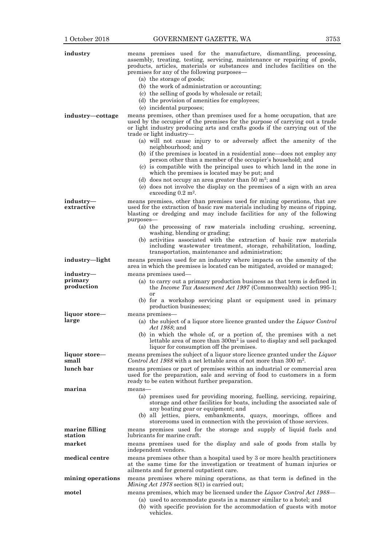| industry                  | means premises used for the manufacture, dismantling, processing,<br>assembly, treating, testing, servicing, maintenance or repairing of goods,<br>products, articles, materials or substances and includes facilities on the                                                                                                 |
|---------------------------|-------------------------------------------------------------------------------------------------------------------------------------------------------------------------------------------------------------------------------------------------------------------------------------------------------------------------------|
|                           | premises for any of the following purposes—<br>(a) the storage of goods;<br>(b) the work of administration or accounting;<br>(c) the selling of goods by wholesale or retail;<br>(d) the provision of amenities for employees;<br>(e) incidental purposes;                                                                    |
| industry-cottage          | means premises, other than premises used for a home occupation, that are<br>used by the occupier of the premises for the purpose of carrying out a trade<br>or light industry producing arts and crafts goods if the carrying out of the<br>trade or light industry—                                                          |
|                           | (a) will not cause injury to or adversely affect the amenity of the<br>neighbourhood; and                                                                                                                                                                                                                                     |
|                           | (b) if the premises is located in a residential zone—does not employ any<br>person other than a member of the occupier's household; and<br>(c) is compatible with the principal uses to which land in the zone in<br>which the premises is located may be put; and<br>(d) does not occupy an area greater than 50 $m^2$ ; and |
|                           | (e) does not involve the display on the premises of a sign with an area<br>exceeding $0.2$ m <sup>2</sup> .                                                                                                                                                                                                                   |
| industry-<br>extractive   | means premises, other than premises used for mining operations, that are<br>used for the extraction of basic raw materials including by means of ripping,<br>blasting or dredging and may include facilities for any of the following<br>purposes-                                                                            |
|                           | (a) the processing of raw materials including crushing, screening,<br>washing, blending or grading;                                                                                                                                                                                                                           |
|                           | (b) activities associated with the extraction of basic raw materials<br>including wastewater treatment, storage, rehabilitation, loading,<br>transportation, maintenance and administration;                                                                                                                                  |
| industry-light            | means premises used for an industry where impacts on the amenity of the<br>area in which the premises is located can be mitigated, avoided or managed;                                                                                                                                                                        |
| industry-                 | means premises used—                                                                                                                                                                                                                                                                                                          |
| primary<br>production     | (a) to carry out a primary production business as that term is defined in<br>the <i>Income Tax Assessment Act 1997</i> (Commonwealth) section 995-1;                                                                                                                                                                          |
|                           | or<br>(b) for a workshop servicing plant or equipment used in primary<br>production businesses;                                                                                                                                                                                                                               |
| liquor store—<br>large    | means premises—<br>(a) the subject of a liquor store licence granted under the <i>Liquor Control</i><br><i>Act 1988</i> ; and                                                                                                                                                                                                 |
|                           | (b) in which the whole of, or a portion of, the premises with a net<br>lettable area of more than $300m²$ is used to display and sell packaged<br>liquor for consumption off the premises.                                                                                                                                    |
| liquor store—<br>small    | means premises the subject of a liquor store licence granted under the Liquor<br><i>Control Act 1988</i> with a net lettable area of not more than 300 m <sup>2</sup> .                                                                                                                                                       |
| lunch bar                 | means premises or part of premises within an industrial or commercial area<br>used for the preparation, sale and serving of food to customers in a form<br>ready to be eaten without further preparation.                                                                                                                     |
| marina                    | means-                                                                                                                                                                                                                                                                                                                        |
|                           | (a) premises used for providing mooring, fuelling, servicing, repairing,<br>storage and other facilities for boats, including the associated sale of<br>any boating gear or equipment; and                                                                                                                                    |
|                           | (b) all jetties, piers, embankments, quays, moorings, offices and<br>storerooms used in connection with the provision of those services.                                                                                                                                                                                      |
| marine filling<br>station | means premises used for the storage and supply of liquid fuels and<br>lubricants for marine craft.                                                                                                                                                                                                                            |
| market                    | means premises used for the display and sale of goods from stalls by<br>independent vendors.                                                                                                                                                                                                                                  |
| medical centre            | means premises other than a hospital used by 3 or more health practitioners<br>at the same time for the investigation or treatment of human injuries or<br>ailments and for general outpatient care.                                                                                                                          |
| mining operations         | means premises where mining operations, as that term is defined in the<br><i>Mining Act 1978</i> section 8(1) is carried out;                                                                                                                                                                                                 |
| motel                     | means premises, which may be licensed under the <i>Liquor Control Act 1988</i> —                                                                                                                                                                                                                                              |
|                           | (a) used to accommodate guests in a manner similar to a hotel; and<br>(b) with specific provision for the accommodation of guests with motor<br>vehicles.                                                                                                                                                                     |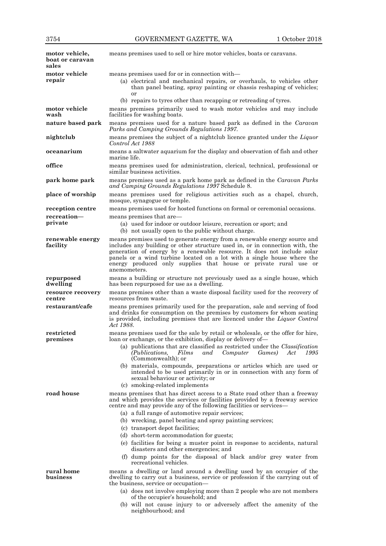| motor vehicle,<br>boat or caravan<br>sales | means premises used to sell or hire motor vehicles, boats or caravans.                                                                                                                                                                                                                                                                                                                              |  |  |
|--------------------------------------------|-----------------------------------------------------------------------------------------------------------------------------------------------------------------------------------------------------------------------------------------------------------------------------------------------------------------------------------------------------------------------------------------------------|--|--|
| motor vehicle<br>repair                    | means premises used for or in connection with—<br>(a) electrical and mechanical repairs, or overhauls, to vehicles other<br>than panel beating, spray painting or chassis reshaping of vehicles;<br>or                                                                                                                                                                                              |  |  |
| motor vehicle<br>wash                      | (b) repairs to tyres other than recapping or retreading of tyres.<br>means premises primarily used to wash motor vehicles and may include<br>facilities for washing boats.                                                                                                                                                                                                                          |  |  |
| nature based park                          | means premises used for a nature based park as defined in the <i>Caravan</i><br>Parks and Camping Grounds Regulations 1997.                                                                                                                                                                                                                                                                         |  |  |
| nightclub                                  | means premises the subject of a nightclub licence granted under the Liquor<br>Control Act 1988                                                                                                                                                                                                                                                                                                      |  |  |
| oceanarium                                 | means a saltwater aquarium for the display and observation of fish and other<br>marine life.                                                                                                                                                                                                                                                                                                        |  |  |
| office                                     | means premises used for administration, clerical, technical, professional or<br>similar business activities.                                                                                                                                                                                                                                                                                        |  |  |
| park home park                             | means premises used as a park home park as defined in the <i>Caravan Parks</i><br>and Camping Grounds Regulations 1997 Schedule 8.                                                                                                                                                                                                                                                                  |  |  |
| place of worship                           | means premises used for religious activities such as a chapel, church,<br>mosque, synagogue or temple.                                                                                                                                                                                                                                                                                              |  |  |
| reception centre                           | means premises used for hosted functions on formal or ceremonial occasions.                                                                                                                                                                                                                                                                                                                         |  |  |
| recreation-                                | means premises that are—                                                                                                                                                                                                                                                                                                                                                                            |  |  |
| private                                    | (a) used for indoor or outdoor leisure, recreation or sport; and<br>(b) not usually open to the public without charge.                                                                                                                                                                                                                                                                              |  |  |
| renewable energy<br>facility               | means premises used to generate energy from a renewable energy source and<br>includes any building or other structure used in, or in connection with, the<br>generation of energy by a renewable resource. It does not include solar<br>panels or a wind turbine located on a lot with a single house where the<br>energy produced only supplies that house or private rural use or<br>anemometers. |  |  |
| repurposed<br>dwelling                     | means a building or structure not previously used as a single house, which<br>has been repurposed for use as a dwelling.                                                                                                                                                                                                                                                                            |  |  |
| resource recovery<br>centre                | means premises other than a waste disposal facility used for the recovery of<br>resources from waste.                                                                                                                                                                                                                                                                                               |  |  |
| restaurant/cafe                            | means premises primarily used for the preparation, sale and serving of food<br>and drinks for consumption on the premises by customers for whom seating<br>is provided, including premises that are licenced under the Liquor Control<br>Act 1988.                                                                                                                                                  |  |  |
| restricted                                 | means premises used for the sale by retail or wholesale, or the offer for hire,                                                                                                                                                                                                                                                                                                                     |  |  |
| premises                                   | loan or exchange, or the exhibition, display or delivery of-<br>(a) publications that are classified as restricted under the <i>Classification</i><br>(Publications,<br>Films<br>Computer<br>Games)<br>and<br>Act<br>1995<br>(Commonwealth); or                                                                                                                                                     |  |  |
|                                            | (b) materials, compounds, preparations or articles which are used or<br>intended to be used primarily in or in connection with any form of<br>sexual behaviour or activity; or<br>(c) smoking-related implements                                                                                                                                                                                    |  |  |
| road house                                 | means premises that has direct access to a State road other than a freeway<br>and which provides the services or facilities provided by a freeway service<br>centre and may provide any of the following facilities or services—<br>(a) a full range of automotive repair services;<br>(b) wrecking, panel beating and spray painting services;                                                     |  |  |
|                                            | (c) transport depot facilities;                                                                                                                                                                                                                                                                                                                                                                     |  |  |
|                                            | (d) short-term accommodation for guests;<br>(e) facilities for being a muster point in response to accidents, natural<br>disasters and other emergencies; and                                                                                                                                                                                                                                       |  |  |
|                                            | (f) dump points for the disposal of black and/or grey water from<br>recreational vehicles.                                                                                                                                                                                                                                                                                                          |  |  |
| rural home<br>business                     | means a dwelling or land around a dwelling used by an occupier of the<br>dwelling to carry out a business, service or profession if the carrying out of<br>the business, service or occupation—                                                                                                                                                                                                     |  |  |
|                                            | (a) does not involve employing more than 2 people who are not members<br>of the occupier's household; and                                                                                                                                                                                                                                                                                           |  |  |
|                                            | (b) will not cause injury to or adversely affect the amenity of the                                                                                                                                                                                                                                                                                                                                 |  |  |

neighbourhood; and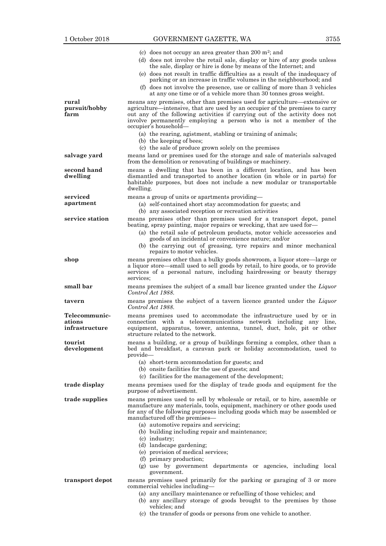|                                           | (c) does not occupy an area greater than 200 $m^2$ ; and                                                                                                                                                                                                                                                                                                  |
|-------------------------------------------|-----------------------------------------------------------------------------------------------------------------------------------------------------------------------------------------------------------------------------------------------------------------------------------------------------------------------------------------------------------|
|                                           | (d) does not involve the retail sale, display or hire of any goods unless<br>the sale, display or hire is done by means of the Internet; and                                                                                                                                                                                                              |
|                                           | (e) does not result in traffic difficulties as a result of the inadequacy of<br>parking or an increase in traffic volumes in the neighbourhood; and                                                                                                                                                                                                       |
|                                           | (f) does not involve the presence, use or calling of more than 3 vehicles<br>at any one time or of a vehicle more than 30 tonnes gross weight.                                                                                                                                                                                                            |
| rural<br>pursuit/hobby<br>farm            | means any premises, other than premises used for agriculture—extensive or<br>agriculture—intensive, that are used by an occupier of the premises to carry<br>out any of the following activities if carrying out of the activity does not<br>involve permanently employing a person who is not a member of the<br>occupier's household-                   |
|                                           | (a) the rearing, agistment, stabling or training of animals;<br>(b) the keeping of bees;                                                                                                                                                                                                                                                                  |
| salvage yard                              | (c) the sale of produce grown solely on the premises<br>means land or premises used for the storage and sale of materials salvaged<br>from the demolition or renovating of buildings or machinery.                                                                                                                                                        |
| second hand<br>dwelling                   | means a dwelling that has been in a different location, and has been<br>dismantled and transported to another location (in whole or in parts) for<br>habitable purposes, but does not include a new modular or transportable<br>dwelling.                                                                                                                 |
| serviced<br>apartment                     | means a group of units or apartments providing—<br>(a) self-contained short stay accommodation for guests; and<br>(b) any associated reception or recreation activities                                                                                                                                                                                   |
| service station                           | means premises other than premises used for a transport depot, panel<br>beating, spray painting, major repairs or wrecking, that are used for-<br>(a) the retail sale of petroleum products, motor vehicle accessories and<br>goods of an incidental or convenience nature; and/or<br>(b) the carrying out of greasing, tyre repairs and minor mechanical |
|                                           | repairs to motor vehicles.                                                                                                                                                                                                                                                                                                                                |
| shop                                      | means premises other than a bulky goods showroom, a liquor store—large or<br>a liquor store—small used to sell goods by retail, to hire goods, or to provide<br>services of a personal nature, including hairdressing or beauty therapy<br>services:                                                                                                      |
| small bar                                 | means premises the subject of a small bar licence granted under the <i>Liquor</i><br>Control Act 1988.                                                                                                                                                                                                                                                    |
| tavern                                    | means premises the subject of a tavern licence granted under the Liquor<br>Control Act 1988.                                                                                                                                                                                                                                                              |
| Telecommunic-<br>ations<br>infrastructure | means premises used to accommodate the infrastructure used by or in<br>connection with a telecommunications network including any line,<br>equipment, apparatus, tower, antenna, tunnel, duct, hole, pit or other<br>structure related to the network.                                                                                                    |
| tourist<br>development                    | means a building, or a group of buildings forming a complex, other than a<br>bed and breakfast, a caravan park or holiday accommodation, used to<br>provide-                                                                                                                                                                                              |
|                                           | (a) short-term accommodation for guests; and<br>(b) onsite facilities for the use of guests; and<br>(c) facilities for the management of the development;                                                                                                                                                                                                 |
| trade display                             | means premises used for the display of trade goods and equipment for the<br>purpose of advertisement.                                                                                                                                                                                                                                                     |
| trade supplies                            | means premises used to sell by wholesale or retail, or to hire, assemble or<br>manufacture any materials, tools, equipment, machinery or other goods used<br>for any of the following purposes including goods which may be assembled or<br>manufactured off the premises—                                                                                |
|                                           | (a) automotive repairs and servicing;<br>(b) building including repair and maintenance;<br>(c) industry;<br>(d) landscape gardening;                                                                                                                                                                                                                      |
|                                           | (e) provision of medical services;                                                                                                                                                                                                                                                                                                                        |
|                                           | (f) primary production;<br>(g) use by government departments or agencies, including local<br>government.                                                                                                                                                                                                                                                  |
| transport depot                           | means premises used primarily for the parking or garaging of 3 or more<br>commercial vehicles including-                                                                                                                                                                                                                                                  |
|                                           | (a) any ancillary maintenance or refuelling of those vehicles; and<br>(b) any ancillary storage of goods brought to the premises by those<br>vehicles; and                                                                                                                                                                                                |

(c) the transfer of goods or persons from one vehicle to another.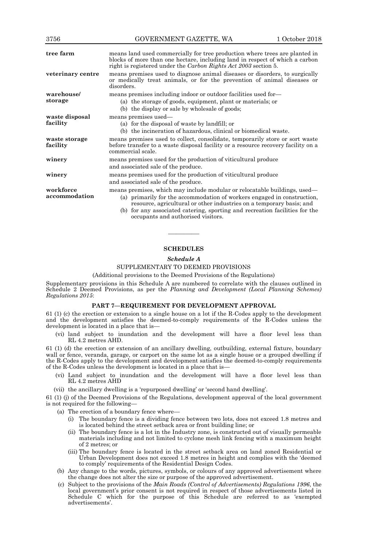| 3756                       | GOVERNMENT GAZETTE, WA                                                                                                                                                                                                                                                                                                                            | 1 October 2018 |  |
|----------------------------|---------------------------------------------------------------------------------------------------------------------------------------------------------------------------------------------------------------------------------------------------------------------------------------------------------------------------------------------------|----------------|--|
| tree farm                  | means land used commercially for tree production where trees are planted in<br>blocks of more than one hectare, including land in respect of which a carbon<br>right is registered under the Carbon Rights Act 2003 section 5.                                                                                                                    |                |  |
| veterinary centre          | means premises used to diagnose animal diseases or disorders, to surgically<br>or medically treat animals, or for the prevention of animal diseases or<br>disorders.                                                                                                                                                                              |                |  |
| warehouse/<br>storage      | means premises including indoor or outdoor facilities used for-<br>(a) the storage of goods, equipment, plant or materials; or<br>(b) the display or sale by wholesale of goods;                                                                                                                                                                  |                |  |
| waste disposal<br>facility | means premises used—<br>(a) for the disposal of waste by landfill; or<br>(b) the incineration of hazardous, clinical or biomedical waste.                                                                                                                                                                                                         |                |  |
| waste storage<br>facility  | means premises used to collect, consolidate, temporarily store or sort waste<br>before transfer to a waste disposal facility or a resource recovery facility on a<br>commercial scale.                                                                                                                                                            |                |  |
| winery                     | means premises used for the production of viticultural produce<br>and associated sale of the produce.                                                                                                                                                                                                                                             |                |  |
| winery                     | means premises used for the production of viticultural produce<br>and associated sale of the produce.                                                                                                                                                                                                                                             |                |  |
| workforce<br>accommodation | means premises, which may include modular or relocatable buildings, used—<br>(a) primarily for the accommodation of workers engaged in construction,<br>resource, agricultural or other industries on a temporary basis; and<br>(b) for any associated catering, sporting and recreation facilities for the<br>occupants and authorised visitors. |                |  |

# **SCHEDULES**

————

# *Schedule A*

#### SUPPLEMENTARY TO DEEMED PROVISIONS

(Additional provisions to the Deemed Provisions of the Regulations)

Supplementary provisions in this Schedule A are numbered to correlate with the clauses outlined in Schedule 2 Deemed Provisions, as per the *Planning and Development (Local Planning Schemes) Regulations 2015*:

### **PART 7—REQUIREMENT FOR DEVELOPMENT APPROVAL**

61 (1) (c) the erection or extension to a single house on a lot if the R-Codes apply to the development and the development satisfies the deemed-to-comply requirements of the R-Codes unless the development is located in a place that is—

(vi) land subject to inundation and the development will have a floor level less than RL 4.2 metres AHD.

61 (1) (d) the erection or extension of an ancillary dwelling, outbuilding, external fixture, boundary wall or fence, veranda, garage, or carport on the same lot as a single house or a grouped dwelling if the R-Codes apply to the development and development satisfies the deemed-to-comply requirements of the R-Codes unless the development is located in a place that is—

- (vi) Land subject to inundation and the development will have a floor level less than RL 4.2 metres AHD
- (vii) the ancillary dwelling is a 'repurposed dwelling' or 'second hand dwelling'.

61 (1) (j) of the Deemed Provisions of the Regulations, development approval of the local government is not required for the following—

- (a) The erection of a boundary fence where—
	- (i) The boundary fence is a dividing fence between two lots, does not exceed 1.8 metres and is located behind the street setback area or front building line; or
	- (ii) The boundary fence is a lot in the Industry zone, is constructed out of visually permeable materials including and not limited to cyclone mesh link fencing with a maximum height of 2 metres; or
	- (iii) The boundary fence is located in the street setback area on land zoned Residential or Urban Development does not exceed 1.8 metres in height and complies with the 'deemed to comply' requirements of the Residential Design Codes.
- (b) Any change to the words, pictures, symbols, or colours of any approved advertisement where the change does not alter the size or purpose of the approved advertisement.
- (c) Subject to the provisions of the *Main Roads (Control of Advertisements) Regulations 1996*, the local government's prior consent is not required in respect of those advertisements listed in Schedule C which for the purpose of this Schedule are referred to as 'exempted advertisements'.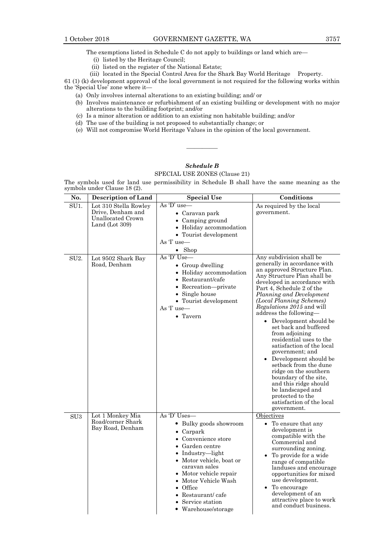- (i) listed by the Heritage Council;
- (ii) listed on the register of the National Estate;
- (iii) located in the Special Control Area for the Shark Bay World Heritage Property.

61 (1) (k) development approval of the local government is not required for the following works within the 'Special Use' zone where it—

- (a) Only involves internal alterations to an existing building; and/ or
- (b) Involves maintenance or refurbishment of an existing building or development with no major alterations to the building footprint; and/or
- (c) Is a minor alteration or addition to an existing non habitable building; and/or
- (d) The use of the building is not proposed to substantially change; or
- (e) Will not compromise World Heritage Values in the opinion of the local government.

# *Schedule B*

————

# SPECIAL USE ZONES (Clause 21)

The symbols used for land use permissibility in Schedule B shall have the same meaning as the symbols under Clause 18 (2).

| No.               | <b>Description of Land</b>                                                               | <b>Special Use</b>                                                                                                                                                                                                                                                                             | Conditions                                                                                                                                                                                                                                                                                                                                                                                                                                                                                                                                                                                                                                                                     |
|-------------------|------------------------------------------------------------------------------------------|------------------------------------------------------------------------------------------------------------------------------------------------------------------------------------------------------------------------------------------------------------------------------------------------|--------------------------------------------------------------------------------------------------------------------------------------------------------------------------------------------------------------------------------------------------------------------------------------------------------------------------------------------------------------------------------------------------------------------------------------------------------------------------------------------------------------------------------------------------------------------------------------------------------------------------------------------------------------------------------|
| SU <sub>1</sub> . | Lot 310 Stella Rowley<br>Drive, Denham and<br><b>Unallocated Crown</b><br>Land (Lot 309) | As 'D' use-<br>• Caravan park<br>• Camping ground<br>• Holiday accommodation<br>• Tourist development<br>As T use—<br>$\bullet$ Shop                                                                                                                                                           | As required by the local<br>government.                                                                                                                                                                                                                                                                                                                                                                                                                                                                                                                                                                                                                                        |
| SU <sub>2</sub> . | Lot 9502 Shark Bay<br>Road, Denham                                                       | As 'D' Use—<br>• Group dwelling<br>• Holiday accommodation<br>• Restaurant/cafe<br>• Recreation-private<br>• Single house<br>• Tourist development<br>As T use-<br>$\bullet$ Tavern                                                                                                            | Any subdivision shall be<br>generally in accordance with<br>an approved Structure Plan.<br>Any Structure Plan shall be<br>developed in accordance with<br>Part 4, Schedule 2 of the<br>Planning and Development<br>(Local Planning Schemes)<br><i>Regulations 2015</i> and will<br>address the following-<br>• Development should be<br>set back and buffered<br>from adjoining<br>residential uses to the<br>satisfaction of the local<br>government; and<br>• Development should be<br>setback from the dune<br>ridge on the southern<br>boundary of the site,<br>and this ridge should<br>be landscaped and<br>protected to the<br>satisfaction of the local<br>government. |
| SU <sub>3</sub>   | Lot 1 Monkey Mia<br>Road/corner Shark<br>Bay Road, Denham                                | As $D'$ Uses—<br>• Bulky goods showroom<br>Carpark<br>Convenience store<br>Garden centre<br>• Industry-light<br>• Motor vehicle, boat or<br>caravan sales<br>• Motor vehicle repair<br>• Motor Vehicle Wash<br>$\bullet$ Office<br>• Restaurant/cafe<br>Service station<br>• Warehouse/storage | Objectives<br>• To ensure that any<br>development is<br>compatible with the<br>Commercial and<br>surrounding zoning.<br>To provide for a wide<br>range of compatible<br>landuses and encourage<br>opportunities for mixed<br>use development.<br>To encourage<br>development of an<br>attractive place to work<br>and conduct business.                                                                                                                                                                                                                                                                                                                                        |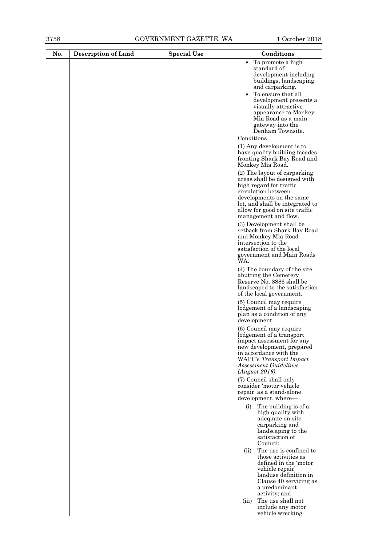| No. | <b>Description of Land</b> | <b>Special Use</b> | Conditions                                                                                          |
|-----|----------------------------|--------------------|-----------------------------------------------------------------------------------------------------|
|     |                            |                    | To promote a high<br>$\bullet$                                                                      |
|     |                            |                    | standard of<br>development including                                                                |
|     |                            |                    | buildings, landscaping<br>and carparking.                                                           |
|     |                            |                    | To ensure that all                                                                                  |
|     |                            |                    | development presents a<br>visually attractive                                                       |
|     |                            |                    | appearance to Monkey                                                                                |
|     |                            |                    | Mia Road as a main<br>gateway into the<br>Denham Townsite.                                          |
|     |                            |                    | Conditions                                                                                          |
|     |                            |                    | (1) Any development is to<br>have quality building facades                                          |
|     |                            |                    | fronting Shark Bay Road and<br>Monkey Mia Road.                                                     |
|     |                            |                    | (2) The layout of carparking<br>areas shall be designed with<br>high regard for traffic             |
|     |                            |                    | circulation between                                                                                 |
|     |                            |                    | developments on the same<br>lot, and shall be integrated to                                         |
|     |                            |                    | allow for good on site traffic<br>management and flow.                                              |
|     |                            |                    | (3) Development shall be<br>setback from Shark Bay Road                                             |
|     |                            |                    | and Monkey Mia Road<br>intersection to the                                                          |
|     |                            |                    | satisfaction of the local                                                                           |
|     |                            |                    | government and Main Roads<br>WA.                                                                    |
|     |                            |                    | (4) The boundary of the site<br>abutting the Cemetery<br>Reserve No. 8886 shall be                  |
|     |                            |                    | landscaped to the satisfaction<br>of the local government.                                          |
|     |                            |                    | (5) Council may require<br>lodgement of a landscaping<br>plan as a condition of any<br>development. |
|     |                            |                    | (6) Council may require                                                                             |
|     |                            |                    | lodgement of a transport<br>impact assessment for any                                               |
|     |                            |                    | new development, prepared<br>in accordance with the                                                 |
|     |                            |                    | WAPC's Transport Impact<br><b>Assessment Guidelines</b>                                             |
|     |                            |                    | (August 2016).                                                                                      |
|     |                            |                    | (7) Council shall only<br>consider 'motor vehicle                                                   |
|     |                            |                    | repair' as a stand-alone                                                                            |
|     |                            |                    | development, where-<br>The building is of a<br>(i)                                                  |
|     |                            |                    | high quality with<br>adequate on site                                                               |
|     |                            |                    | carparking and<br>landscaping to the                                                                |
|     |                            |                    | satisfaction of<br>Council;                                                                         |
|     |                            |                    | The use is confined to<br>(ii)                                                                      |
|     |                            |                    | those activities as<br>defined in the 'motor                                                        |
|     |                            |                    | vehicle repair'<br>landuse definition in                                                            |
|     |                            |                    | Clause 40 servicing as                                                                              |
|     |                            |                    | a predominant<br>activity; and                                                                      |
|     |                            |                    | The use shall not<br>(iii)<br>include any motor                                                     |
|     |                            |                    | vehicle wrecking                                                                                    |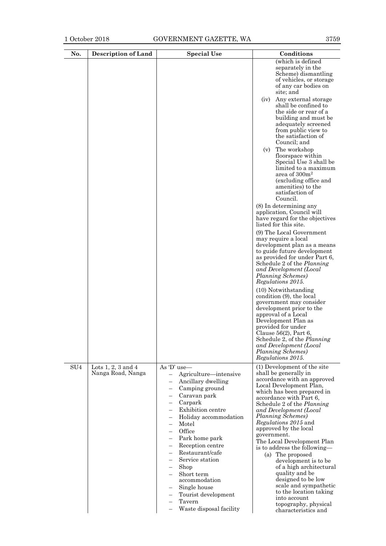| No.             | <b>Description of Land</b>                  | <b>Special Use</b>                                                                                                                                                                                                                                                                                                                                                                                   | Conditions                                                                                                                                                                                                                                                                                                                                                                                                                                                                                                                                                                                                                 |
|-----------------|---------------------------------------------|------------------------------------------------------------------------------------------------------------------------------------------------------------------------------------------------------------------------------------------------------------------------------------------------------------------------------------------------------------------------------------------------------|----------------------------------------------------------------------------------------------------------------------------------------------------------------------------------------------------------------------------------------------------------------------------------------------------------------------------------------------------------------------------------------------------------------------------------------------------------------------------------------------------------------------------------------------------------------------------------------------------------------------------|
|                 |                                             |                                                                                                                                                                                                                                                                                                                                                                                                      | (which is defined<br>separately in the<br>Scheme) dismantling<br>of vehicles, or storage<br>of any car bodies on<br>site; and                                                                                                                                                                                                                                                                                                                                                                                                                                                                                              |
|                 |                                             |                                                                                                                                                                                                                                                                                                                                                                                                      | Any external storage<br>(iv)<br>shall be confined to<br>the side or rear of a<br>building and must be<br>adequately screened<br>from public view to<br>the satisfaction of<br>Council; and                                                                                                                                                                                                                                                                                                                                                                                                                                 |
|                 |                                             |                                                                                                                                                                                                                                                                                                                                                                                                      | The workshop<br>(v)<br>floorspace within<br>Special Use 3 shall be<br>limited to a maximum<br>area of 300m <sup>2</sup><br>(excluding office and<br>amenities) to the<br>satisfaction of<br>Council.                                                                                                                                                                                                                                                                                                                                                                                                                       |
|                 |                                             |                                                                                                                                                                                                                                                                                                                                                                                                      | (8) In determining any<br>application, Council will<br>have regard for the objectives<br>listed for this site.                                                                                                                                                                                                                                                                                                                                                                                                                                                                                                             |
|                 |                                             |                                                                                                                                                                                                                                                                                                                                                                                                      | (9) The Local Government<br>may require a local<br>development plan as a means<br>to guide future development<br>as provided for under Part 6,<br>Schedule 2 of the <i>Planning</i><br>and Development (Local<br>Planning Schemes)<br>Regulations 2015.                                                                                                                                                                                                                                                                                                                                                                    |
|                 |                                             |                                                                                                                                                                                                                                                                                                                                                                                                      | (10) Notwithstanding<br>condition (9), the local<br>government may consider<br>development prior to the<br>approval of a Local<br>Development Plan as<br>provided for under<br>Clause 56(2), Part 6,<br>Schedule 2, of the <i>Planning</i><br>and Development (Local<br>Planning Schemes)<br>Regulations 2015.                                                                                                                                                                                                                                                                                                             |
| SU <sub>4</sub> | Lots $1, 2, 3$ and $4$<br>Nanga Road, Nanga | As $D'$ use—<br>Agriculture—intensive<br>$\overline{\phantom{0}}$<br>Ancillary dwelling<br>Camping ground<br>Caravan park<br>Carpark<br>Exhibition centre<br>Holiday accommodation<br>Motel<br>Office<br>Park home park<br>Reception centre<br>Restaurant/cafe<br>Service station<br>Shop<br>Short term<br>accommodation<br>Single house<br>Tourist development<br>Tavern<br>Waste disposal facility | (1) Development of the site<br>shall be generally in<br>accordance with an approved<br>Local Development Plan,<br>which has been prepared in<br>accordance with Part 6,<br>Schedule 2 of the Planning<br>and Development (Local<br>Planning Schemes)<br><i>Regulations 2015</i> and<br>approved by the local<br>government.<br>The Local Development Plan<br>is to address the following-<br>(a) The proposed<br>development is to be<br>of a high architectural<br>quality and be<br>designed to be low<br>scale and sympathetic<br>to the location taking<br>into account<br>topography, physical<br>characteristics and |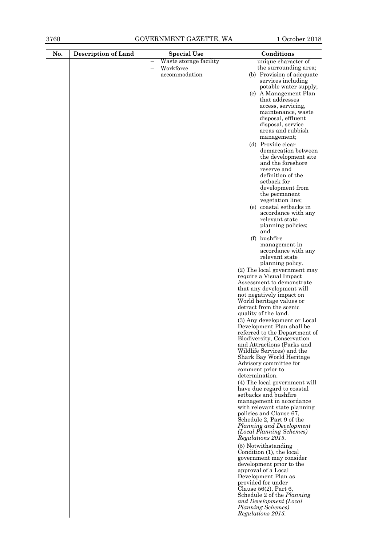| No. | <b>Description of Land</b> | <b>Special Use</b>                                     | Conditions                                                |
|-----|----------------------------|--------------------------------------------------------|-----------------------------------------------------------|
|     |                            | Waste storage facility                                 | unique character of                                       |
|     |                            | Workforce<br>$\overline{\phantom{0}}$<br>accommodation | the surrounding area;                                     |
|     |                            |                                                        | (b) Provision of adequate<br>services including           |
|     |                            |                                                        | potable water supply;                                     |
|     |                            |                                                        | (c) A Management Plan                                     |
|     |                            |                                                        | that addresses                                            |
|     |                            |                                                        | access, servicing,<br>maintenance, waste                  |
|     |                            |                                                        | disposal, effluent                                        |
|     |                            |                                                        | disposal, service                                         |
|     |                            |                                                        | areas and rubbish<br>management;                          |
|     |                            |                                                        | (d) Provide clear                                         |
|     |                            |                                                        | demarcation between                                       |
|     |                            |                                                        | the development site                                      |
|     |                            |                                                        | and the foreshore<br>reserve and                          |
|     |                            |                                                        | definition of the                                         |
|     |                            |                                                        | setback for                                               |
|     |                            |                                                        | development from<br>the permanent                         |
|     |                            |                                                        | vegetation line;                                          |
|     |                            |                                                        | (e) coastal setbacks in                                   |
|     |                            |                                                        | accordance with any<br>relevant state                     |
|     |                            |                                                        | planning policies;                                        |
|     |                            |                                                        | and                                                       |
|     |                            |                                                        | (f) bushfire                                              |
|     |                            |                                                        | management in<br>accordance with any                      |
|     |                            |                                                        | relevant state                                            |
|     |                            |                                                        | planning policy.                                          |
|     |                            |                                                        | (2) The local government may<br>require a Visual Impact   |
|     |                            |                                                        | Assessment to demonstrate                                 |
|     |                            |                                                        | that any development will                                 |
|     |                            |                                                        | not negatively impact on<br>World heritage values or      |
|     |                            |                                                        | detract from the scenic                                   |
|     |                            |                                                        | quality of the land.                                      |
|     |                            |                                                        | (3) Any development or Local<br>Development Plan shall be |
|     |                            |                                                        | referred to the Department of                             |
|     |                            |                                                        | Biodiversity, Conservation                                |
|     |                            |                                                        | and Attractions (Parks and<br>Wildlife Services) and the  |
|     |                            |                                                        | Shark Bay World Heritage                                  |
|     |                            |                                                        | Advisory committee for                                    |
|     |                            |                                                        | comment prior to<br>determination.                        |
|     |                            |                                                        | (4) The local government will                             |
|     |                            |                                                        | have due regard to coastal                                |
|     |                            |                                                        | setbacks and bushfire<br>management in accordance         |
|     |                            |                                                        | with relevant state planning                              |
|     |                            |                                                        | policies and Clause 67,                                   |
|     |                            |                                                        | Schedule 2, Part 9 of the<br>Planning and Development     |
|     |                            |                                                        | (Local Planning Schemes)                                  |
|     |                            |                                                        | Regulations 2015.                                         |
|     |                            |                                                        | (5) Notwithstanding                                       |
|     |                            |                                                        | Condition (1), the local<br>government may consider       |
|     |                            |                                                        | development prior to the                                  |
|     |                            |                                                        | approval of a Local                                       |
|     |                            |                                                        | Development Plan as<br>provided for under                 |
|     |                            |                                                        | Clause $56(2)$ , Part 6,                                  |
|     |                            |                                                        | Schedule 2 of the Planning                                |
|     |                            |                                                        | and Development (Local<br>Planning Schemes)               |
|     |                            |                                                        | Regulations 2015.                                         |
|     |                            |                                                        |                                                           |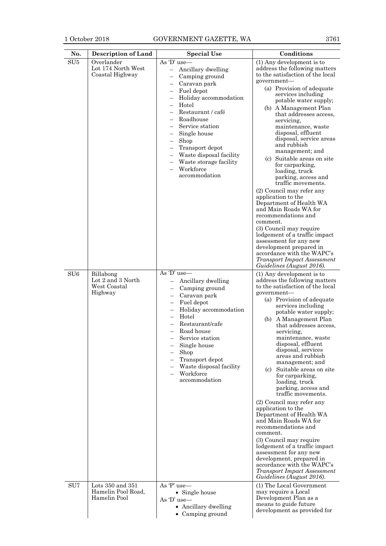SU5 Overlander

Lot 174 North West Coastal Highway

# 1 October 2018 GOVERNMENT GAZETTE, WA 3761

**No. Description of Land Special Use Conditions**<br>SU5 Overlander As  $D'$  use (1) Any development

As 'D' use—

| Ancillary dwelling<br>Camping ground<br>$\overline{\phantom{0}}$<br>Caravan park<br>$\overline{a}$<br>Fuel depot<br>$\overline{\phantom{0}}$<br>Holiday accommodation<br>Hotel<br>Restaurant / café<br>$\overline{a}$<br>Roadhouse<br>$\overline{a}$<br>Service station<br>$\overline{a}$<br>Single house<br>-<br>Shop<br>-<br>Transport depot<br>Waste disposal facility<br>$\overline{a}$<br>Waste storage facility<br>$\overline{a}$<br>Workforce<br>accommodation | address the following matters<br>to the satisfaction of the local<br>government-<br>(a) Provision of adequate<br>services including<br>potable water supply;<br>(b) A Management Plan<br>that addresses access.<br>servicing,<br>maintenance, waste<br>disposal, effluent<br>disposal, service areas<br>and rubbish<br>management; and<br>(c) Suitable areas on site<br>for carparking,<br>loading, truck<br>parking, access and<br>traffic movements.<br>(2) Council may refer any<br>application to the<br>Department of Health WA<br>and Main Roads WA for<br>recommendations and<br>comment.<br>(3) Council may require<br>lodgement of a traffic impact<br>assessment for any new<br>development prepared in<br>accordance with the WAPC's<br><b>Transport Impact Assessment</b><br>Guidelines (August 2016). |
|-----------------------------------------------------------------------------------------------------------------------------------------------------------------------------------------------------------------------------------------------------------------------------------------------------------------------------------------------------------------------------------------------------------------------------------------------------------------------|--------------------------------------------------------------------------------------------------------------------------------------------------------------------------------------------------------------------------------------------------------------------------------------------------------------------------------------------------------------------------------------------------------------------------------------------------------------------------------------------------------------------------------------------------------------------------------------------------------------------------------------------------------------------------------------------------------------------------------------------------------------------------------------------------------------------|
| D' use–<br>Ancillary dwelling<br>Camping ground<br>Caravan park<br>Fuel depot<br>Holiday accommodation<br>Hotel<br>Restaurant/cafe<br>Road house<br>Service station<br>Single house<br>Shop<br>$\overline{\phantom{0}}$<br>Transport depot<br>Waste disposal facility<br>Workforce<br>accommodation                                                                                                                                                                   | (1) Any development is to<br>address the following matters<br>to the satisfaction of the local<br>government-<br>(a) Provision of adequate<br>services including<br>potable water supply;<br>A Management Plan<br>(b)<br>that addresses access,<br>servicing.<br>maintenance, waste<br>disposal, effluent<br>disposal, services<br>areas and rubbish<br>management; and<br>(c)<br>Suitable areas on site<br>for carparking,<br>loading, truck<br>parking, access and<br>traffic movements.<br>(2) Council may refer any<br>application to the<br>Department of Health WA<br>and Main Roads WA for<br>recommendations and<br>comment.<br>(3) Council may require<br>lodgement of a traffic impact<br>assessment for any new<br>development, prepared in<br>accordance with the WAPC's                               |

|                 |                                                           | Workforce<br>accommodation                                                                                                                                                                                                                                                   | ior carpariting,<br>loading, truck<br>parking, access and<br>traffic movements.<br>(2) Council may refer any<br>application to the<br>Department of Health WA<br>and Main Roads WA for<br>recommendations and<br>comment.<br>(3) Council may require<br>lodgement of a traffic impact<br>assessment for any new<br>development prepared in<br>accordance with the WAPC's<br><b>Transport Impact Assessment</b><br>Guidelines (August 2016).                                                                                                                                                                                                                                                                                                                                                                                                       |
|-----------------|-----------------------------------------------------------|------------------------------------------------------------------------------------------------------------------------------------------------------------------------------------------------------------------------------------------------------------------------------|---------------------------------------------------------------------------------------------------------------------------------------------------------------------------------------------------------------------------------------------------------------------------------------------------------------------------------------------------------------------------------------------------------------------------------------------------------------------------------------------------------------------------------------------------------------------------------------------------------------------------------------------------------------------------------------------------------------------------------------------------------------------------------------------------------------------------------------------------|
| SU <sub>6</sub> | Billabong<br>Lot 2 and 3 North<br>West Coastal<br>Highway | As $D'$ use—<br>Ancillary dwelling<br>Camping ground<br>Caravan park<br>Fuel depot<br>Holiday accommodation<br>Hotel<br>Restaurant/cafe<br>Road house<br>Service station<br>Single house<br>Shop<br>Transport depot<br>Waste disposal facility<br>Workforce<br>accommodation | (1) Any development is to<br>address the following matters<br>to the satisfaction of the local<br>government-<br>(a) Provision of adequate<br>services including<br>potable water supply;<br>(b) A Management Plan<br>that addresses access,<br>servicing.<br>maintenance, waste<br>disposal, effluent<br>disposal, services<br>areas and rubbish<br>management; and<br>(c) Suitable areas on site<br>for carparking,<br>loading, truck<br>parking, access and<br>traffic movements.<br>(2) Council may refer any<br>application to the<br>Department of Health WA<br>and Main Roads WA for<br>recommendations and<br>comment.<br>(3) Council may require<br>lodgement of a traffic impact<br>assessment for any new<br>development, prepared in<br>accordance with the WAPC's<br><b>Transport Impact Assessment</b><br>Guidelines (August 2016). |
| SU <sub>7</sub> | Lots 350 and 351<br>Hamelin Pool Road.<br>Hamelin Pool    | As 'P' use-<br>• Single house<br>As $D'$ use—<br>• Ancillary dwelling<br>• Camping ground                                                                                                                                                                                    | (1) The Local Government<br>may require a Local<br>Development Plan as a<br>means to guide future<br>development as provided for                                                                                                                                                                                                                                                                                                                                                                                                                                                                                                                                                                                                                                                                                                                  |
|                 |                                                           |                                                                                                                                                                                                                                                                              |                                                                                                                                                                                                                                                                                                                                                                                                                                                                                                                                                                                                                                                                                                                                                                                                                                                   |

(1) Any development is to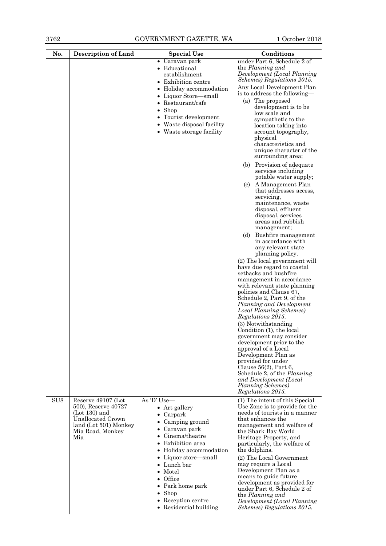3762 GOVERNMENT GAZETTE, WA 1 October 2018

| No.             | <b>Description of Land</b>                                                                                                            | <b>Special Use</b>                                                                                                                                                                                                                                                                                                          | Conditions                                                                                                                                                                                                                                                                                                                                                                                                                                                                                                                                                                                                                                                                                                                                                                                                                                                                                                                                                                                                                                                                                                                                                                                                                                                                                                                                                       |
|-----------------|---------------------------------------------------------------------------------------------------------------------------------------|-----------------------------------------------------------------------------------------------------------------------------------------------------------------------------------------------------------------------------------------------------------------------------------------------------------------------------|------------------------------------------------------------------------------------------------------------------------------------------------------------------------------------------------------------------------------------------------------------------------------------------------------------------------------------------------------------------------------------------------------------------------------------------------------------------------------------------------------------------------------------------------------------------------------------------------------------------------------------------------------------------------------------------------------------------------------------------------------------------------------------------------------------------------------------------------------------------------------------------------------------------------------------------------------------------------------------------------------------------------------------------------------------------------------------------------------------------------------------------------------------------------------------------------------------------------------------------------------------------------------------------------------------------------------------------------------------------|
|                 |                                                                                                                                       | • Caravan park<br>• Educational<br>establishment<br><b>Exhibition centre</b><br>• Holiday accommodation<br>• Liquor Store—small<br>$\bullet$ Restaurant/cafe<br>$\bullet$ Shop<br>• Tourist development<br>• Waste disposal facility<br>• Waste storage facility                                                            | under Part 6, Schedule 2 of<br>the Planning and<br>Development (Local Planning<br>Schemes) Regulations 2015.<br>Any Local Development Plan<br>is to address the following—<br>(a) The proposed<br>development is to be<br>low scale and<br>sympathetic to the<br>location taking into<br>account topography,<br>physical<br>characteristics and<br>unique character of the<br>surrounding area;<br>(b) Provision of adequate<br>services including<br>potable water supply;<br>A Management Plan<br>(c)<br>that addresses access,<br>servicing,<br>maintenance, waste<br>disposal, effluent<br>disposal, services<br>areas and rubbish<br>management;<br>Bushfire management<br>(d)<br>in accordance with<br>any relevant state<br>planning policy.<br>(2) The local government will<br>have due regard to coastal<br>setbacks and bushfire<br>management in accordance<br>with relevant state planning<br>policies and Clause 67,<br>Schedule 2, Part 9, of the<br>Planning and Development<br>Local Planning Schemes)<br>Regulations 2015.<br>(3) Notwithstanding<br>Condition (1), the local<br>government may consider<br>development prior to the<br>approval of a Local<br>Development Plan as<br>provided for under<br>Clause $56(2)$ , Part 6,<br>Schedule 2, of the Planning<br>and Development (Local<br>Planning Schemes)<br><i>Regulations 2015.</i> |
| SU <sub>8</sub> | Reserve 49107 (Lot<br>500), Reserve 40727<br>$(Lot 130)$ and<br>Unallocated Crown<br>land (Lot 501) Monkey<br>Mia Road, Monkey<br>Mia | As 'D' Use—<br>• Art gallery<br>$\bullet$ Carpark<br>• Camping ground<br>• Caravan park<br>Cinema/theatre<br>Exhibition area<br>• Holiday accommodation<br>• Liquor store—small<br>• Lunch bar<br>$\bullet$ Motel<br>$\bullet$ Office<br>• Park home park<br>$\bullet$ Shop<br>• Reception centre<br>• Residential building | (1) The intent of this Special<br>Use Zone is to provide for the<br>needs of tourists in a manner<br>that enhances the<br>management and welfare of<br>the Shark Bay World<br>Heritage Property, and<br>particularly, the welfare of<br>the dolphins.<br>(2) The Local Government<br>may require a Local<br>Development Plan as a<br>means to guide future<br>development as provided for<br>under Part 6, Schedule 2 of<br>the Planning and<br>Development (Local Planning<br>Schemes) Regulations 2015.                                                                                                                                                                                                                                                                                                                                                                                                                                                                                                                                                                                                                                                                                                                                                                                                                                                        |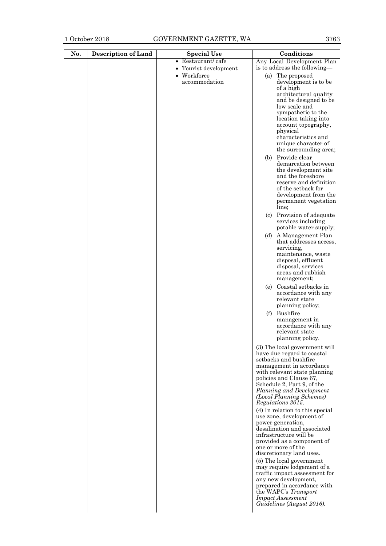| Restaurant/cafe<br>Any Local Development Plan<br>$\bullet$<br>is to address the following-<br>Tourist development<br>• Workforce<br>(a) The proposed<br>accommodation<br>development is to be<br>of a high<br>architectural quality<br>and be designed to be<br>low scale and<br>sympathetic to the<br>location taking into<br>account topography,<br>physical<br>characteristics and<br>unique character of<br>the surrounding area;<br>(b) Provide clear<br>demarcation between<br>the development site<br>and the foreshore<br>reserve and definition<br>of the setback for<br>development from the |  |
|--------------------------------------------------------------------------------------------------------------------------------------------------------------------------------------------------------------------------------------------------------------------------------------------------------------------------------------------------------------------------------------------------------------------------------------------------------------------------------------------------------------------------------------------------------------------------------------------------------|--|
|                                                                                                                                                                                                                                                                                                                                                                                                                                                                                                                                                                                                        |  |
|                                                                                                                                                                                                                                                                                                                                                                                                                                                                                                                                                                                                        |  |
|                                                                                                                                                                                                                                                                                                                                                                                                                                                                                                                                                                                                        |  |
|                                                                                                                                                                                                                                                                                                                                                                                                                                                                                                                                                                                                        |  |
|                                                                                                                                                                                                                                                                                                                                                                                                                                                                                                                                                                                                        |  |
|                                                                                                                                                                                                                                                                                                                                                                                                                                                                                                                                                                                                        |  |
|                                                                                                                                                                                                                                                                                                                                                                                                                                                                                                                                                                                                        |  |
|                                                                                                                                                                                                                                                                                                                                                                                                                                                                                                                                                                                                        |  |
|                                                                                                                                                                                                                                                                                                                                                                                                                                                                                                                                                                                                        |  |
|                                                                                                                                                                                                                                                                                                                                                                                                                                                                                                                                                                                                        |  |
|                                                                                                                                                                                                                                                                                                                                                                                                                                                                                                                                                                                                        |  |
|                                                                                                                                                                                                                                                                                                                                                                                                                                                                                                                                                                                                        |  |
|                                                                                                                                                                                                                                                                                                                                                                                                                                                                                                                                                                                                        |  |
|                                                                                                                                                                                                                                                                                                                                                                                                                                                                                                                                                                                                        |  |
|                                                                                                                                                                                                                                                                                                                                                                                                                                                                                                                                                                                                        |  |
|                                                                                                                                                                                                                                                                                                                                                                                                                                                                                                                                                                                                        |  |
|                                                                                                                                                                                                                                                                                                                                                                                                                                                                                                                                                                                                        |  |
|                                                                                                                                                                                                                                                                                                                                                                                                                                                                                                                                                                                                        |  |
| permanent vegetation                                                                                                                                                                                                                                                                                                                                                                                                                                                                                                                                                                                   |  |
| line:                                                                                                                                                                                                                                                                                                                                                                                                                                                                                                                                                                                                  |  |
| (c) Provision of adequate<br>services including                                                                                                                                                                                                                                                                                                                                                                                                                                                                                                                                                        |  |
| potable water supply;                                                                                                                                                                                                                                                                                                                                                                                                                                                                                                                                                                                  |  |
| (d) A Management Plan                                                                                                                                                                                                                                                                                                                                                                                                                                                                                                                                                                                  |  |
| that addresses access,                                                                                                                                                                                                                                                                                                                                                                                                                                                                                                                                                                                 |  |
| servicing,<br>maintenance, waste                                                                                                                                                                                                                                                                                                                                                                                                                                                                                                                                                                       |  |
| disposal, effluent                                                                                                                                                                                                                                                                                                                                                                                                                                                                                                                                                                                     |  |
| disposal, services                                                                                                                                                                                                                                                                                                                                                                                                                                                                                                                                                                                     |  |
| areas and rubbish                                                                                                                                                                                                                                                                                                                                                                                                                                                                                                                                                                                      |  |
| management;                                                                                                                                                                                                                                                                                                                                                                                                                                                                                                                                                                                            |  |
| Coastal setbacks in<br>(e)<br>accordance with any                                                                                                                                                                                                                                                                                                                                                                                                                                                                                                                                                      |  |
| relevant state                                                                                                                                                                                                                                                                                                                                                                                                                                                                                                                                                                                         |  |
| planning policy;                                                                                                                                                                                                                                                                                                                                                                                                                                                                                                                                                                                       |  |
| (f) Bushfire                                                                                                                                                                                                                                                                                                                                                                                                                                                                                                                                                                                           |  |
| management in<br>accordance with any                                                                                                                                                                                                                                                                                                                                                                                                                                                                                                                                                                   |  |
| relevant state                                                                                                                                                                                                                                                                                                                                                                                                                                                                                                                                                                                         |  |
| planning policy.                                                                                                                                                                                                                                                                                                                                                                                                                                                                                                                                                                                       |  |
| (3) The local government will                                                                                                                                                                                                                                                                                                                                                                                                                                                                                                                                                                          |  |
| have due regard to coastal                                                                                                                                                                                                                                                                                                                                                                                                                                                                                                                                                                             |  |
| setbacks and bushfire<br>management in accordance                                                                                                                                                                                                                                                                                                                                                                                                                                                                                                                                                      |  |
| with relevant state planning                                                                                                                                                                                                                                                                                                                                                                                                                                                                                                                                                                           |  |
| policies and Clause 67,                                                                                                                                                                                                                                                                                                                                                                                                                                                                                                                                                                                |  |
| Schedule 2, Part 9, of the<br>Planning and Development                                                                                                                                                                                                                                                                                                                                                                                                                                                                                                                                                 |  |
| (Local Planning Schemes)                                                                                                                                                                                                                                                                                                                                                                                                                                                                                                                                                                               |  |
| Regulations 2015.                                                                                                                                                                                                                                                                                                                                                                                                                                                                                                                                                                                      |  |
| (4) In relation to this special                                                                                                                                                                                                                                                                                                                                                                                                                                                                                                                                                                        |  |
| use zone, development of<br>power generation,                                                                                                                                                                                                                                                                                                                                                                                                                                                                                                                                                          |  |
| desalination and associated                                                                                                                                                                                                                                                                                                                                                                                                                                                                                                                                                                            |  |
| infrastructure will be                                                                                                                                                                                                                                                                                                                                                                                                                                                                                                                                                                                 |  |
| provided as a component of<br>one or more of the                                                                                                                                                                                                                                                                                                                                                                                                                                                                                                                                                       |  |
| discretionary land uses.                                                                                                                                                                                                                                                                                                                                                                                                                                                                                                                                                                               |  |
| (5) The local government                                                                                                                                                                                                                                                                                                                                                                                                                                                                                                                                                                               |  |
| may require lodgement of a<br>traffic impact assessment for                                                                                                                                                                                                                                                                                                                                                                                                                                                                                                                                            |  |
| any new development,                                                                                                                                                                                                                                                                                                                                                                                                                                                                                                                                                                                   |  |
| prepared in accordance with                                                                                                                                                                                                                                                                                                                                                                                                                                                                                                                                                                            |  |
| the WAPC's Transport<br><b>Impact Assessment</b>                                                                                                                                                                                                                                                                                                                                                                                                                                                                                                                                                       |  |
| Guidelines (August 2016).                                                                                                                                                                                                                                                                                                                                                                                                                                                                                                                                                                              |  |
|                                                                                                                                                                                                                                                                                                                                                                                                                                                                                                                                                                                                        |  |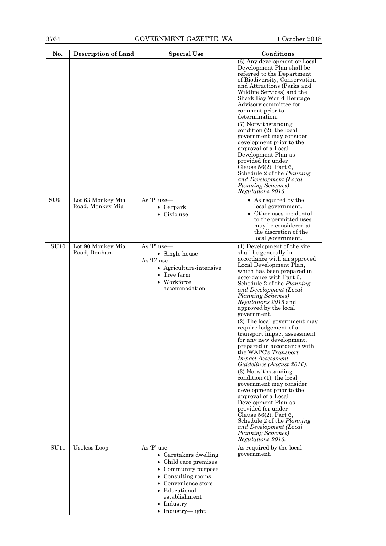| No.             | <b>Description of Land</b>            | <b>Special Use</b>                                                                                                                                                                                    | Conditions                                                                                                                                                                                                                                                                                                                                                                                                                                                                                                                                                                                                                                                                                                                                                                                                                                                                          |
|-----------------|---------------------------------------|-------------------------------------------------------------------------------------------------------------------------------------------------------------------------------------------------------|-------------------------------------------------------------------------------------------------------------------------------------------------------------------------------------------------------------------------------------------------------------------------------------------------------------------------------------------------------------------------------------------------------------------------------------------------------------------------------------------------------------------------------------------------------------------------------------------------------------------------------------------------------------------------------------------------------------------------------------------------------------------------------------------------------------------------------------------------------------------------------------|
|                 |                                       |                                                                                                                                                                                                       | (6) Any development or Local<br>Development Plan shall be<br>referred to the Department<br>of Biodiversity, Conservation<br>and Attractions (Parks and<br>Wildlife Services) and the<br>Shark Bay World Heritage<br>Advisory committee for<br>comment prior to<br>determination.<br>(7) Notwithstanding<br>condition $(2)$ , the local<br>government may consider<br>development prior to the<br>approval of a Local<br>Development Plan as<br>provided for under<br>Clause $56(2)$ , Part 6,<br>Schedule 2 of the <i>Planning</i><br>and Development (Local<br>Planning Schemes)<br>Regulations 2015.                                                                                                                                                                                                                                                                              |
| SU <sub>9</sub> | Lot 63 Monkey Mia<br>Road, Monkey Mia | As 'P' use-<br>$\bullet$ Carpark<br>$\bullet$ Civic use                                                                                                                                               | • As required by the<br>local government.<br>• Other uses incidental<br>to the permitted uses<br>may be considered at<br>the discretion of the<br>local government.                                                                                                                                                                                                                                                                                                                                                                                                                                                                                                                                                                                                                                                                                                                 |
| <b>SU10</b>     | Lot 90 Monkey Mia<br>Road, Denham     | As 'P' use-<br>• Single house<br>As $D'$ use—<br>• Agriculture-intensive<br>$\bullet$ Tree farm<br>• Workforce<br>accommodation                                                                       | (1) Development of the site<br>shall be generally in<br>accordance with an approved<br>Local Development Plan,<br>which has been prepared in<br>accordance with Part 6,<br>Schedule 2 of the Planning<br>and Development (Local<br>Planning Schemes)<br><i>Regulations 2015</i> and<br>approved by the local<br>government.<br>(2) The local government may<br>require lodgement of a<br>transport impact assessment<br>for any new development,<br>prepared in accordance with<br>the WAPC's Transport<br><b>Impact Assessment</b><br>Guidelines (August 2016).<br>(3) Notwithstanding<br>condition (1), the local<br>government may consider<br>development prior to the<br>approval of a Local<br>Development Plan as<br>provided for under<br>Clause $56(2)$ , Part 6,<br>Schedule 2 of the <i>Planning</i><br>and Development (Local<br>Planning Schemes)<br>Regulations 2015. |
| <b>SU11</b>     | Useless Loop                          | As 'P' use-<br>• Caretakers dwelling<br>• Child care premises<br>Community purpose<br>Consulting rooms<br>Convenience store<br>Educational<br>establishment<br>• Industry<br>$\bullet$ Industry—light | As required by the local<br>government.                                                                                                                                                                                                                                                                                                                                                                                                                                                                                                                                                                                                                                                                                                                                                                                                                                             |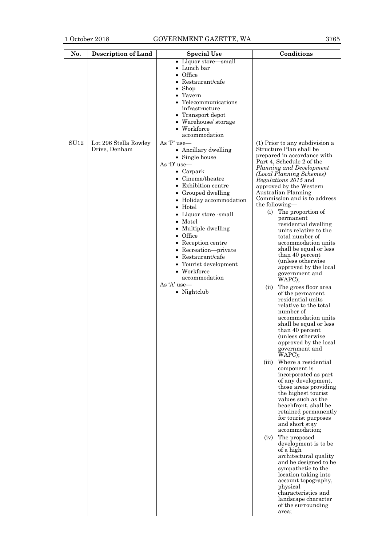# 1 October 2018 GOVERNMENT GAZETTE, WA 3765

| No.  | <b>Description of Land</b>             | <b>Special Use</b>                                                                                                                                                                                                                                                                                                                                                                                                                                        | Conditions                                                                                                                                                                                                                                                                                                                                                                                                                                                                                                                                                                                                                                                                                                                                                                                                                                                                                                                                                                                                                                                                                                                                                                                                                                                                                                                                                                                               |
|------|----------------------------------------|-----------------------------------------------------------------------------------------------------------------------------------------------------------------------------------------------------------------------------------------------------------------------------------------------------------------------------------------------------------------------------------------------------------------------------------------------------------|----------------------------------------------------------------------------------------------------------------------------------------------------------------------------------------------------------------------------------------------------------------------------------------------------------------------------------------------------------------------------------------------------------------------------------------------------------------------------------------------------------------------------------------------------------------------------------------------------------------------------------------------------------------------------------------------------------------------------------------------------------------------------------------------------------------------------------------------------------------------------------------------------------------------------------------------------------------------------------------------------------------------------------------------------------------------------------------------------------------------------------------------------------------------------------------------------------------------------------------------------------------------------------------------------------------------------------------------------------------------------------------------------------|
|      |                                        | • Liquor store—small<br>• Lunch bar<br>Office<br>Restaurant/cafe<br>Shop<br>Tavern<br>Telecommunications<br>infrastructure<br>• Transport depot<br>• Warehouse/ storage<br>• Workforce<br>accommodation                                                                                                                                                                                                                                                   |                                                                                                                                                                                                                                                                                                                                                                                                                                                                                                                                                                                                                                                                                                                                                                                                                                                                                                                                                                                                                                                                                                                                                                                                                                                                                                                                                                                                          |
| SU12 | Lot 296 Stella Rowley<br>Drive, Denham | As 'P' use-<br>• Ancillary dwelling<br>• Single house<br>As $D'$ use—<br>$\bullet$ Carpark<br>Cinema/theatre<br>$\bullet$<br>Exhibition centre<br>Grouped dwelling<br>• Holiday accommodation<br>$\bullet$ Hotel<br>• Liquor store -small<br>• Motel<br>• Multiple dwelling<br>$\bullet$ Office<br>• Reception centre<br>• Recreation-private<br>• Restaurant/cafe<br>• Tourist development<br>• Workforce<br>accommodation<br>As 'A' use-<br>• Nightclub | (1) Prior to any subdivision a<br>Structure Plan shall be<br>prepared in accordance with<br>Part 4, Schedule 2 of the<br>Planning and Development<br>(Local Planning Schemes)<br><i>Regulations 2015</i> and<br>approved by the Western<br>Australian Planning<br>Commission and is to address<br>the following—<br>(i)<br>The proportion of<br>permanent<br>residential dwelling<br>units relative to the<br>total number of<br>accommodation units<br>shall be equal or less<br>than 40 percent<br>(unless otherwise)<br>approved by the local<br>government and<br>WAPC);<br>The gross floor area<br>(ii)<br>of the permanent<br>residential units<br>relative to the total<br>number of<br>accommodation units<br>shall be equal or less<br>than 40 percent<br>(unless otherwise)<br>approved by the local<br>government and<br>WAPC);<br>Where a residential<br>(iii)<br>component is<br>incorporated as part<br>of any development,<br>those areas providing<br>the highest tourist<br>values such as the<br>beachfront, shall be<br>retained permanently<br>for tourist purposes<br>and short stay<br>accommodation;<br>The proposed<br>(iv)<br>development is to be<br>of a high<br>architectural quality<br>and be designed to be<br>sympathetic to the<br>location taking into<br>account topography,<br>physical<br>characteristics and<br>landscape character<br>of the surrounding<br>area; |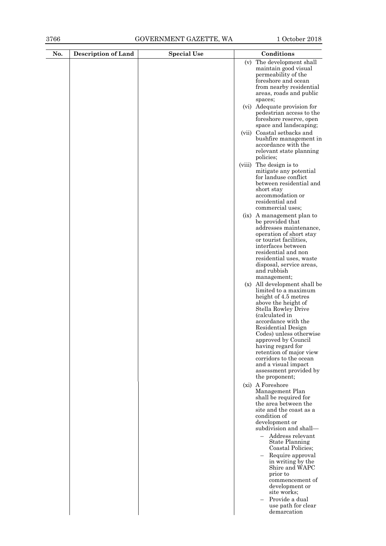|  |        | (v) The development shall<br>maintain good visual<br>permeability of the<br>foreshore and ocean<br>from nearby residential<br>areas, roads and public                                                                                                                                                                                                                                                                             |
|--|--------|-----------------------------------------------------------------------------------------------------------------------------------------------------------------------------------------------------------------------------------------------------------------------------------------------------------------------------------------------------------------------------------------------------------------------------------|
|  |        | spaces;                                                                                                                                                                                                                                                                                                                                                                                                                           |
|  |        | (vi) Adequate provision for<br>pedestrian access to the<br>foreshore reserve, open<br>space and landscaping;                                                                                                                                                                                                                                                                                                                      |
|  |        | (vii) Coastal setbacks and<br>bushfire management in<br>accordance with the<br>relevant state planning<br>policies;                                                                                                                                                                                                                                                                                                               |
|  | (viii) | The design is to<br>mitigate any potential<br>for landuse conflict<br>between residential and<br>short stay<br>accommodation or<br>residential and<br>commercial uses;                                                                                                                                                                                                                                                            |
|  |        | (ix) A management plan to<br>be provided that<br>addresses maintenance,<br>operation of short stay<br>or tourist facilities,<br>interfaces between<br>residential and non<br>residential uses, waste<br>disposal, service areas,<br>and rubbish<br>management;                                                                                                                                                                    |
|  |        | (x) All development shall be<br>limited to a maximum<br>height of 4.5 metres<br>above the height of<br>Stella Rowley Drive<br>(calculated in<br>accordance with the<br>Residential Design<br>Codes) unless otherwise<br>approved by Council<br>having regard for<br>retention of major view<br>corridors to the ocean<br>and a visual impact<br>assessment provided by<br>the proponent;                                          |
|  |        | (xi) A Foreshore<br>Management Plan<br>shall be required for<br>the area between the<br>site and the coast as a<br>condition of<br>development or<br>subdivision and shall-<br>- Address relevant<br><b>State Planning</b><br>Coastal Policies;<br>Require approval<br>in writing by the<br>Shire and WAPC<br>prior to<br>commencement of<br>development or<br>site works;<br>Provide a dual<br>use path for clear<br>demarcation |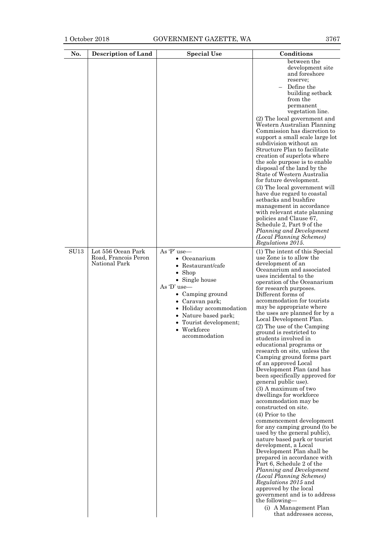| between the<br>development site<br>and foreshore<br>reserve;<br>Define the<br>building setback<br>from the<br>permanent<br>vegetation line.<br>(2) The local government and<br>Western Australian Planning<br>Commission has discretion to<br>support a small scale large lot<br>subdivision without an<br>Structure Plan to facilitate<br>creation of superlots where<br>the sole purpose is to enable<br>disposal of the land by the<br>State of Western Australia<br>for future development.<br>(3) The local government will<br>have due regard to coastal<br>setbacks and bushfire<br>management in accordance<br>with relevant state planning<br>policies and Clause 67,<br>Schedule 2, Part 9 of the<br>Planning and Development<br>(Local Planning Schemes)<br>Regulations 2015.<br>As 'P' use-<br>Lot 556 Ocean Park<br>(1) The intent of this Special<br>Road, Francois Peron<br>use Zone is to allow the<br>• Oceanarium<br>National Park<br>development of an<br>• Restaurant/cafe<br>Oceanarium and associated<br>$\bullet$ Shop<br>uses incidental to the<br>• Single house<br>operation of the Oceanarium<br>As 'D' use-<br>for research purposes.<br>• Camping ground<br>Different forms of<br>accommodation for tourists<br>• Caravan park;<br>may be appropriate where<br>• Holiday accommodation<br>the uses are planned for by a<br>• Nature based park;<br>Local Development Plan.<br>Tourist development;<br>٠<br>(2) The use of the Camping<br>$\bullet$ Workforce<br>ground is restricted to<br>accommodation<br>students involved in<br>educational programs or<br>research on site, unless the<br>Camping ground forms part | No.         | <b>Description of Land</b> | <b>Special Use</b> | Conditions           |
|-------------------------------------------------------------------------------------------------------------------------------------------------------------------------------------------------------------------------------------------------------------------------------------------------------------------------------------------------------------------------------------------------------------------------------------------------------------------------------------------------------------------------------------------------------------------------------------------------------------------------------------------------------------------------------------------------------------------------------------------------------------------------------------------------------------------------------------------------------------------------------------------------------------------------------------------------------------------------------------------------------------------------------------------------------------------------------------------------------------------------------------------------------------------------------------------------------------------------------------------------------------------------------------------------------------------------------------------------------------------------------------------------------------------------------------------------------------------------------------------------------------------------------------------------------------------------------------------------------------------------------------------------------|-------------|----------------------------|--------------------|----------------------|
| Development Plan (and has<br>been specifically approved for<br>general public use).<br>$(3)$ A maximum of two<br>dwellings for workforce<br>accommodation may be<br>constructed on site.<br>$(4)$ Prior to the<br>commencement development<br>for any camping ground (to be<br>used by the general public),<br>nature based park or tourist<br>development, a Local<br>Development Plan shall be<br>prepared in accordance with<br>Part 6, Schedule 2 of the<br>Planning and Development<br>(Local Planning Schemes)<br><i>Regulations 2015</i> and<br>approved by the local<br>government and is to address<br>the following—                                                                                                                                                                                                                                                                                                                                                                                                                                                                                                                                                                                                                                                                                                                                                                                                                                                                                                                                                                                                                        | <b>SU13</b> |                            |                    | of an approved Local |
| that addresses access,                                                                                                                                                                                                                                                                                                                                                                                                                                                                                                                                                                                                                                                                                                                                                                                                                                                                                                                                                                                                                                                                                                                                                                                                                                                                                                                                                                                                                                                                                                                                                                                                                                |             |                            |                    |                      |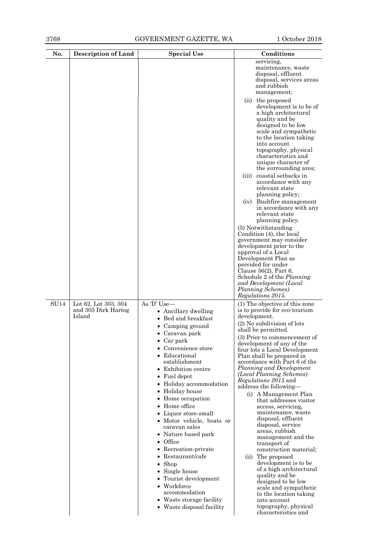| No.         | <b>Description of Land</b>                            | <b>Special Use</b>                                                                                                                                                                                                                                                                                                                                                                                                                                                                                                                                                                                         | Conditions                                                                                                                                                                                                                                                                                                                                                                                                                                                                                                                                                                                                                                                                                                                                                                                                                                                                      |
|-------------|-------------------------------------------------------|------------------------------------------------------------------------------------------------------------------------------------------------------------------------------------------------------------------------------------------------------------------------------------------------------------------------------------------------------------------------------------------------------------------------------------------------------------------------------------------------------------------------------------------------------------------------------------------------------------|---------------------------------------------------------------------------------------------------------------------------------------------------------------------------------------------------------------------------------------------------------------------------------------------------------------------------------------------------------------------------------------------------------------------------------------------------------------------------------------------------------------------------------------------------------------------------------------------------------------------------------------------------------------------------------------------------------------------------------------------------------------------------------------------------------------------------------------------------------------------------------|
|             |                                                       |                                                                                                                                                                                                                                                                                                                                                                                                                                                                                                                                                                                                            | servicing,<br>maintenance, waste<br>disposal, effluent<br>disposal, services areas<br>and rubbish<br>management;<br>(ii) the proposed<br>development is to be of<br>a high architectural<br>quality and be<br>designed to be low<br>scale and sympathetic<br>to the location taking<br>into account<br>topography, physical<br>characteristics and                                                                                                                                                                                                                                                                                                                                                                                                                                                                                                                              |
|             |                                                       |                                                                                                                                                                                                                                                                                                                                                                                                                                                                                                                                                                                                            | unique character of<br>the surrounding area;<br>coastal setbacks in<br>(iii)<br>accordance with any<br>relevant state<br>planning policy;                                                                                                                                                                                                                                                                                                                                                                                                                                                                                                                                                                                                                                                                                                                                       |
|             |                                                       |                                                                                                                                                                                                                                                                                                                                                                                                                                                                                                                                                                                                            | Bushfire management<br>(iv)<br>in accordance with any<br>relevant state<br>planning policy.<br>(5) Notwithstanding<br>Condition (4), the local<br>government may consider<br>development prior to the<br>approval of a Local<br>Development Plan as<br>provided for under<br>Clause $56(2)$ , Part 6,<br>Schedule 2 of the <i>Planning</i><br>and Development (Local<br>Planning Schemes)<br>Regulations 2015.                                                                                                                                                                                                                                                                                                                                                                                                                                                                  |
| <b>SU14</b> | Lot 62, Lot 303, 304<br>and 305 Dirk Hartog<br>Island | As 'D' Use-<br>• Ancillary dwelling<br>Bed and breakfast<br>Camping ground<br>• Caravan park<br>Car park<br>Convenience store<br>• Educational<br>establishment<br>• Exhibition centre<br>$\bullet$ Fuel depot<br>• Holiday accommodation<br>• Holiday house<br>• Home occupation<br>• Home office<br>• Liquor store-small<br>• Motor vehicle, boats or<br>caravan sales<br>• Nature based park<br>$\bullet$ Office<br>• Recreation-private<br>• Restaurant/cafe<br>Shop<br>• Single house<br>Tourist development<br>• Workforce<br>accommodation<br>• Waste storage facility<br>• Waste disposal facility | (1) The objective of this zone<br>is to provide for eco-tourism<br>development.<br>(2) No subdivision of lots<br>shall be permitted.<br>(3) Prior to commencement of<br>development of any of the<br>four lots a Local Development<br>Plan shall be prepared in<br>accordance with Part 6 of the<br>Planning and Development<br>(Local Planning Schemes)<br><i>Regulations 2015</i> and<br>address the following-<br>(i) A Management Plan<br>that addresses visitor<br>access, servicing,<br>maintenance, waste<br>disposal, effluent<br>disposal, service<br>areas, rubbish<br>management and the<br>transport of<br>construction material;<br>(ii) The proposed<br>development is to be<br>of a high architectural<br>quality and be<br>designed to be low<br>scale and sympathetic<br>to the location taking<br>into account<br>topography, physical<br>characteristics and |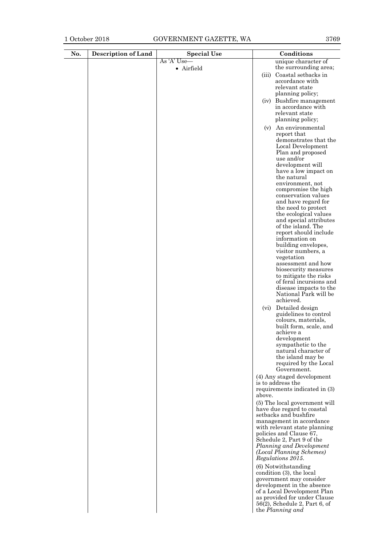# 1 October 2018 GOVERNMENT GAZETTE, WA

| No. | <b>Description of Land</b> | <b>Special Use</b> | Conditions                                                  |
|-----|----------------------------|--------------------|-------------------------------------------------------------|
|     |                            | As 'A' Use—        | unique character of                                         |
|     |                            | · Airfield         | the surrounding area;<br>(iii) Coastal setbacks in          |
|     |                            |                    | accordance with                                             |
|     |                            |                    | relevant state                                              |
|     |                            |                    | planning policy;                                            |
|     |                            |                    | (iv) Bushfire management<br>in accordance with              |
|     |                            |                    | relevant state                                              |
|     |                            |                    | planning policy;                                            |
|     |                            |                    | (v) An environmental                                        |
|     |                            |                    | report that                                                 |
|     |                            |                    | demonstrates that the<br>Local Development                  |
|     |                            |                    | Plan and proposed                                           |
|     |                            |                    | use and/or                                                  |
|     |                            |                    | development will<br>have a low impact on                    |
|     |                            |                    | the natural                                                 |
|     |                            |                    | environment, not                                            |
|     |                            |                    | compromise the high<br>conservation values                  |
|     |                            |                    | and have regard for                                         |
|     |                            |                    | the need to protect                                         |
|     |                            |                    | the ecological values<br>and special attributes             |
|     |                            |                    | of the island. The                                          |
|     |                            |                    | report should include                                       |
|     |                            |                    | information on<br>building envelopes,                       |
|     |                            |                    | visitor numbers, a                                          |
|     |                            |                    | vegetation                                                  |
|     |                            |                    | assessment and how                                          |
|     |                            |                    | biosecurity measures<br>to mitigate the risks               |
|     |                            |                    | of feral incursions and                                     |
|     |                            |                    | disease impacts to the                                      |
|     |                            |                    | National Park will be<br>achieved.                          |
|     |                            |                    | Detailed design<br>(vi)                                     |
|     |                            |                    | guidelines to control                                       |
|     |                            |                    | colours, materials,<br>built form, scale, and               |
|     |                            |                    | achieve a                                                   |
|     |                            |                    | development                                                 |
|     |                            |                    | sympathetic to the                                          |
|     |                            |                    | natural character of<br>the island may be                   |
|     |                            |                    | required by the Local                                       |
|     |                            |                    | Government.                                                 |
|     |                            |                    | (4) Any staged development<br>is to address the             |
|     |                            |                    | requirements indicated in (3)                               |
|     |                            |                    | above.                                                      |
|     |                            |                    | (5) The local government will                               |
|     |                            |                    | have due regard to coastal<br>setbacks and bushfire         |
|     |                            |                    | management in accordance                                    |
|     |                            |                    | with relevant state planning                                |
|     |                            |                    | policies and Clause 67,<br>Schedule 2, Part 9 of the        |
|     |                            |                    | Planning and Development                                    |
|     |                            |                    | (Local Planning Schemes)                                    |
|     |                            |                    | Regulations 2015.                                           |
|     |                            |                    | (6) Notwithstanding<br>condition (3), the local             |
|     |                            |                    | government may consider                                     |
|     |                            |                    | development in the absence                                  |
|     |                            |                    | of a Local Development Plan<br>as provided for under Clause |
|     |                            |                    | $56(2)$ , Schedule 2, Part 6, of                            |
|     |                            |                    | the Planning and                                            |
|     |                            |                    |                                                             |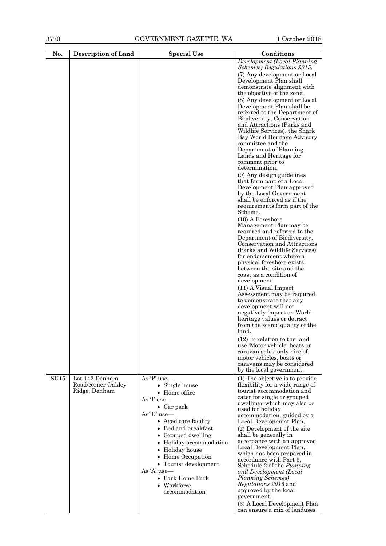| No.  | <b>Description of Land</b>           | <b>Special Use</b>                                                                                                                                                                                                                                                                                    | Conditions                                                                                                                                                                                                                                                                                                                                                                                                                                                                                                                                                                                                                                                                                                                                                                                                                                                                                                                                                                                                                                                                                                                                                                                                                                                                                                                                                                                                      |
|------|--------------------------------------|-------------------------------------------------------------------------------------------------------------------------------------------------------------------------------------------------------------------------------------------------------------------------------------------------------|-----------------------------------------------------------------------------------------------------------------------------------------------------------------------------------------------------------------------------------------------------------------------------------------------------------------------------------------------------------------------------------------------------------------------------------------------------------------------------------------------------------------------------------------------------------------------------------------------------------------------------------------------------------------------------------------------------------------------------------------------------------------------------------------------------------------------------------------------------------------------------------------------------------------------------------------------------------------------------------------------------------------------------------------------------------------------------------------------------------------------------------------------------------------------------------------------------------------------------------------------------------------------------------------------------------------------------------------------------------------------------------------------------------------|
|      |                                      |                                                                                                                                                                                                                                                                                                       | Development (Local Planning<br>Schemes) Regulations 2015.<br>(7) Any development or Local<br>Development Plan shall<br>demonstrate alignment with<br>the objective of the zone.<br>(8) Any development or Local<br>Development Plan shall be<br>referred to the Department of<br>Biodiversity, Conservation<br>and Attractions (Parks and<br>Wildlife Services), the Shark<br>Bay World Heritage Advisory<br>committee and the<br>Department of Planning<br>Lands and Heritage for<br>comment prior to<br>determination.<br>(9) Any design guidelines<br>that form part of a Local<br>Development Plan approved<br>by the Local Government<br>shall be enforced as if the<br>requirements form part of the<br>Scheme.<br>$(10)$ A Foreshore<br>Management Plan may be<br>required and referred to the<br>Department of Biodiversity,<br>Conservation and Attractions<br>(Parks and Wildlife Services)<br>for endorsement where a<br>physical foreshore exists<br>between the site and the<br>coast as a condition of<br>development.<br>(11) A Visual Impact<br>Assessment may be required<br>to demonstrate that any<br>development will not<br>negatively impact on World<br>heritage values or detract<br>from the scenic quality of the<br>land.<br>$(12)$ In relation to the land<br>use 'Motor vehicle, boats or<br>caravan sales' only hire of<br>motor vehicles, boats or<br>caravans may be considered |
| SU15 | Lot 142 Denham<br>Road/corner Oakley | As 'P' use-<br>• Single house                                                                                                                                                                                                                                                                         | by the local government.<br>(1) The objective is to provide<br>flexibility for a wide range of                                                                                                                                                                                                                                                                                                                                                                                                                                                                                                                                                                                                                                                                                                                                                                                                                                                                                                                                                                                                                                                                                                                                                                                                                                                                                                                  |
|      | Ridge, Denham                        | • Home office<br>As T use-<br>$\bullet$ Car park<br>As' D' use-<br>• Aged care facility<br>• Bed and breakfast<br>• Grouped dwelling<br>• Holiday accommodation<br>• Holiday house<br>• Home Occupation<br>• Tourist development<br>As $A'$ use —<br>• Park Home Park<br>• Workforce<br>accommodation | tourist accommodation and<br>cater for single or grouped<br>dwellings which may also be<br>used for holiday<br>accommodation, guided by a<br>Local Development Plan.<br>(2) Development of the site<br>shall be generally in<br>accordance with an approved<br>Local Development Plan,<br>which has been prepared in<br>accordance with Part 6,<br>Schedule 2 of the Planning<br>and Development (Local<br>Planning Schemes)<br>Regulations 2015 and<br>approved by the local<br>government.<br>(3) A Local Development Plan<br>can ensure a mix of landuses                                                                                                                                                                                                                                                                                                                                                                                                                                                                                                                                                                                                                                                                                                                                                                                                                                                    |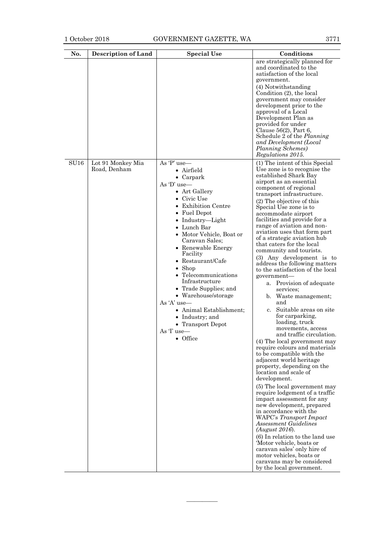| No.  | <b>Description of Land</b>        | <b>Special Use</b>                                                                                                                                                                                                                                                                                                                                                                                                                                                                                          | Conditions                                                                                                                                                                                                                                                                                                                                                                                                                                                                                                                                                                                                                                                                                                                                                                                                                                                                                                                                                                                                                                                                                                                                                                                                                                                                                                                                                                        |
|------|-----------------------------------|-------------------------------------------------------------------------------------------------------------------------------------------------------------------------------------------------------------------------------------------------------------------------------------------------------------------------------------------------------------------------------------------------------------------------------------------------------------------------------------------------------------|-----------------------------------------------------------------------------------------------------------------------------------------------------------------------------------------------------------------------------------------------------------------------------------------------------------------------------------------------------------------------------------------------------------------------------------------------------------------------------------------------------------------------------------------------------------------------------------------------------------------------------------------------------------------------------------------------------------------------------------------------------------------------------------------------------------------------------------------------------------------------------------------------------------------------------------------------------------------------------------------------------------------------------------------------------------------------------------------------------------------------------------------------------------------------------------------------------------------------------------------------------------------------------------------------------------------------------------------------------------------------------------|
|      |                                   |                                                                                                                                                                                                                                                                                                                                                                                                                                                                                                             | are strategically planned for<br>and coordinated to the<br>satisfaction of the local<br>government.<br>(4) Notwithstanding<br>Condition (2), the local<br>government may consider<br>development prior to the<br>approval of a Local<br>Development Plan as<br>provided for under<br>Clause $56(2)$ , Part 6,<br>Schedule 2 of the Planning<br>and Development (Local<br>Planning Schemes)<br>Regulations 2015.                                                                                                                                                                                                                                                                                                                                                                                                                                                                                                                                                                                                                                                                                                                                                                                                                                                                                                                                                                   |
| SU16 | Lot 91 Monkey Mia<br>Road, Denham | As 'P' use-<br>• Airfield<br>• Carpark<br>As 'D' use-<br>• Art Gallery<br>• Civic Use<br><b>Exhibition Centre</b><br>• Fuel Depot<br>• Industry-Light<br>$\bullet~$ Lunch Bar<br>• Motor Vehicle, Boat or<br>Caravan Sales;<br>• Renewable Energy<br>Facility<br>$\bullet$ Restaurant/Cafe<br>Shop<br>Telecommunications<br>Infrastructure<br>• Trade Supplies; and<br>• Warehouse/storage<br>As 'A' use-<br>• Animal Establishment;<br>Industry; and<br>• Transport Depot<br>As T use—<br>$\bullet$ Office | (1) The intent of this Special<br>Use zone is to recognise the<br>established Shark Bay<br>airport as an essential<br>component of regional<br>transport infrastructure.<br>(2) The objective of this<br>Special Use zone is to<br>accommodate airport<br>facilities and provide for a<br>range of aviation and non-<br>aviation uses that form part<br>of a strategic aviation hub<br>that caters for the local<br>community and tourists.<br>(3) Any development is to<br>address the following matters<br>to the satisfaction of the local<br>government-<br>a. Provision of adequate<br>services;<br>b. Waste management;<br>and<br>Suitable areas on site<br>c.<br>for carparking,<br>loading, truck<br>movements, access<br>and traffic circulation.<br>(4) The local government may<br>require colours and materials<br>to be compatible with the<br>adjacent world heritage<br>property, depending on the<br>location and scale of<br>development.<br>(5) The local government may<br>require lodgement of a traffic<br>impact assessment for any<br>new development, prepared<br>in accordance with the<br>WAPC's Transport Impact<br><b>Assessment Guidelines</b><br>(August 2016).<br>(6) In relation to the land use<br>'Motor vehicle, boats or<br>caravan sales' only hire of<br>motor vehicles, boats or<br>caravans may be considered<br>by the local government. |

————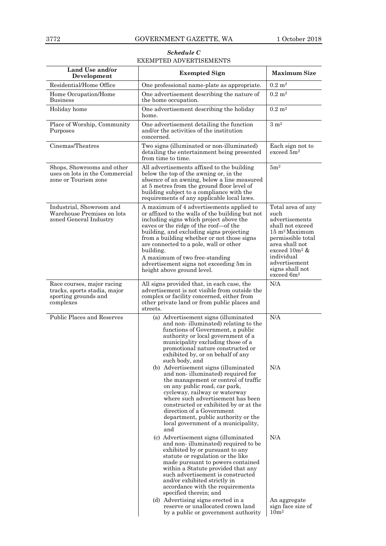# *Schedule C* EXEMPTED ADVERTISEMENTS

| Land Use and/or<br>Development                                                                  | <b>Exempted Sign</b>                                                                                                                                                                                                                                                                                                                                                                                                                                                                                                                                                                                                                                                                                                                                                                                                                                                                                              | <b>Maximum Size</b>                                                                                                                                                                                                                |
|-------------------------------------------------------------------------------------------------|-------------------------------------------------------------------------------------------------------------------------------------------------------------------------------------------------------------------------------------------------------------------------------------------------------------------------------------------------------------------------------------------------------------------------------------------------------------------------------------------------------------------------------------------------------------------------------------------------------------------------------------------------------------------------------------------------------------------------------------------------------------------------------------------------------------------------------------------------------------------------------------------------------------------|------------------------------------------------------------------------------------------------------------------------------------------------------------------------------------------------------------------------------------|
| Residential/Home Office                                                                         | One professional name-plate as appropriate.                                                                                                                                                                                                                                                                                                                                                                                                                                                                                                                                                                                                                                                                                                                                                                                                                                                                       | $0.2~{\rm m}^2$                                                                                                                                                                                                                    |
| Home Occupation/Home<br><b>Business</b>                                                         | One advertisement describing the nature of<br>the home occupation.                                                                                                                                                                                                                                                                                                                                                                                                                                                                                                                                                                                                                                                                                                                                                                                                                                                | $0.2 \; \mathrm{m}^2$                                                                                                                                                                                                              |
| Holiday home                                                                                    | One advertisement describing the holiday<br>home.                                                                                                                                                                                                                                                                                                                                                                                                                                                                                                                                                                                                                                                                                                                                                                                                                                                                 | $0.2 \; \mathrm{m}^2$                                                                                                                                                                                                              |
| Place of Worship, Community<br>Purposes                                                         | One advertisement detailing the function<br>and/or the activities of the institution<br>concerned.                                                                                                                                                                                                                                                                                                                                                                                                                                                                                                                                                                                                                                                                                                                                                                                                                | $3 \; \mathrm{m}^2$                                                                                                                                                                                                                |
| Cinemas/Theatres                                                                                | Two signs (illuminated or non-illuminated)<br>detailing the entertainment being presented<br>from time to time.                                                                                                                                                                                                                                                                                                                                                                                                                                                                                                                                                                                                                                                                                                                                                                                                   | Each sign not to<br>exceed $5m^2$                                                                                                                                                                                                  |
| Shops, Showrooms and other<br>uses on lots in the Commercial<br>zone or Tourism zone            | All advertisements affixed to the building<br>below the top of the awning or, in the<br>absence of an awning, below a line measured<br>at 5 metres from the ground floor level of<br>building subject to a compliance with the<br>requirements of any applicable local laws.                                                                                                                                                                                                                                                                                                                                                                                                                                                                                                                                                                                                                                      | 5m <sup>2</sup>                                                                                                                                                                                                                    |
| Industrial, Showroom and<br>Warehouse Premises on lots<br>zoned General Industry                | A maximum of 4 advertisements applied to<br>or affixed to the walls of the building but not<br>including signs which project above the<br>eaves or the ridge of the roof-of the<br>building, and excluding signs projecting<br>from a building whether or not those signs<br>are connected to a pole, wall or other<br>building.<br>A maximum of two free-standing<br>advertisement signs not exceeding 5m in<br>height above ground level.                                                                                                                                                                                                                                                                                                                                                                                                                                                                       | Total area of any<br>such<br>advertisements<br>shall not exceed<br>$15 \text{ m}^2$ Maximum<br>permissible total<br>area shall not<br>exceed $10m^2$ &<br>individual<br>advertisement<br>signs shall not<br>exceed 6m <sup>2</sup> |
| Race courses, major racing<br>tracks, sports stadia, major<br>sporting grounds and<br>complexes | All signs provided that, in each case, the<br>advertisement is not visible from outside the<br>complex or facility concerned, either from<br>other private land or from public places and<br>streets.                                                                                                                                                                                                                                                                                                                                                                                                                                                                                                                                                                                                                                                                                                             | N/A                                                                                                                                                                                                                                |
| Public Places and Reserves                                                                      | (a) Advertisement signs (illuminated<br>and non-illuminated) relating to the<br>functions of Government, a public<br>authority or local government of a<br>municipality excluding those of a<br>promotional nature constructed or<br>exhibited by, or on behalf of any<br>such body, and<br>(b) Advertisement signs (illuminated<br>and non-illuminated) required for<br>the management or control of traffic<br>on any public road, car park,<br>cycleway, railway or waterway<br>where such advertisement has been<br>constructed or exhibited by or at the<br>direction of a Government<br>department, public authority or the<br>local government of a municipality,<br>and<br>(c) Advertisement signs (illuminated<br>and non-illuminated) required to be<br>exhibited by or pursuant to any<br>statute or regulation or the like<br>made pursuant to powers contained<br>within a Statute provided that any | N/A<br>N/A<br>N/A                                                                                                                                                                                                                  |
|                                                                                                 | such advertisement is constructed<br>and/or exhibited strictly in<br>accordance with the requirements<br>specified therein; and<br>(d) Advertising signs erected in a<br>reserve or unallocated crown land<br>by a public or government authority                                                                                                                                                                                                                                                                                                                                                                                                                                                                                                                                                                                                                                                                 | An aggregate<br>sign face size of<br>10m <sup>2</sup>                                                                                                                                                                              |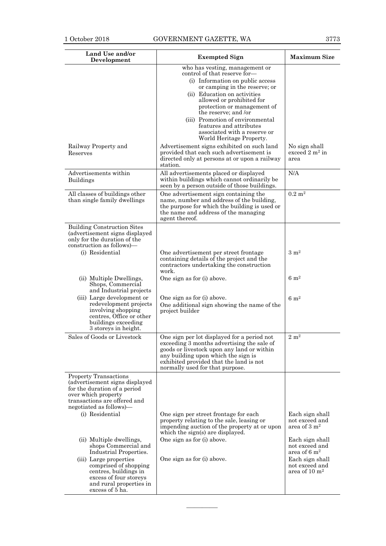| Land Use and/or<br>Development                                                                                                                                                                                                                                                                                                                                                            | <b>Exempted Sign</b>                                                                                                                                                                                                                                                                                                                                                               | <b>Maximum Size</b>                                                                                |
|-------------------------------------------------------------------------------------------------------------------------------------------------------------------------------------------------------------------------------------------------------------------------------------------------------------------------------------------------------------------------------------------|------------------------------------------------------------------------------------------------------------------------------------------------------------------------------------------------------------------------------------------------------------------------------------------------------------------------------------------------------------------------------------|----------------------------------------------------------------------------------------------------|
|                                                                                                                                                                                                                                                                                                                                                                                           | who has vesting, management or<br>control of that reserve for-<br>(i) Information on public access<br>or camping in the reserve; or<br>(ii) Education on activities<br>allowed or prohibited for<br>protection or management of<br>the reserve; and /or<br>(iii) Promotion of environmental<br>features and attributes<br>associated with a reserve or<br>World Heritage Property. |                                                                                                    |
| Railway Property and<br>Reserves                                                                                                                                                                                                                                                                                                                                                          | Advertisement signs exhibited on such land<br>provided that each such advertisement is<br>directed only at persons at or upon a railway<br>station.                                                                                                                                                                                                                                | No sign shall<br>exceed $2 m^2$ in<br>area                                                         |
| Advertisements within<br><b>Buildings</b>                                                                                                                                                                                                                                                                                                                                                 | All advertisements placed or displayed<br>within buildings which cannot ordinarily be<br>seen by a person outside of those buildings.                                                                                                                                                                                                                                              | N/A                                                                                                |
| All classes of buildings other<br>than single family dwellings                                                                                                                                                                                                                                                                                                                            | One advertisement sign containing the<br>name, number and address of the building,<br>the purpose for which the building is used or<br>the name and address of the managing<br>agent thereof.                                                                                                                                                                                      | $0.2~{\rm m}^2$                                                                                    |
| <b>Building Construction Sites</b><br>(advertisement signs displayed<br>only for the duration of the<br>construction as follows)—<br>(i) Residential<br>(ii) Multiple Dwellings,<br>Shops, Commercial<br>and Industrial projects<br>(iii) Large development or<br>redevelopment projects<br>involving shopping<br>centres, Office or other<br>buildings exceeding<br>3 storeys in height. | One advertisement per street frontage<br>containing details of the project and the<br>contractors undertaking the construction<br>work.<br>One sign as for (i) above.<br>One sign as for (i) above.<br>One additional sign showing the name of the<br>project builder                                                                                                              | $3 \text{ m}^2$<br>$6 \text{ m}^2$<br>$6 \; \mathrm{m}^2$                                          |
| Sales of Goods or Livestock                                                                                                                                                                                                                                                                                                                                                               | One sign per lot displayed for a period not<br>exceeding 3 months advertising the sale of<br>goods or livestock upon any land or within<br>any building upon which the sign is<br>exhibited provided that the land is not<br>normally used for that purpose.                                                                                                                       | $2\ {\rm m^2}$                                                                                     |
| <b>Property Transactions</b><br>(advertisement signs displayed<br>for the duration of a period<br>over which property<br>transactions are offered and<br>negotiated as follows)-<br>(i) Residential<br>(ii) Multiple dwellings,<br>shops Commercial and                                                                                                                                   | One sign per street frontage for each<br>property relating to the sale, leasing or<br>impending auction of the property at or upon<br>which the sign(s) are displayed.<br>One sign as for (i) above.                                                                                                                                                                               | Each sign shall<br>not exceed and<br>area of 3 m <sup>2</sup><br>Each sign shall<br>not exceed and |
| Industrial Properties.<br>(iii) Large properties<br>comprised of shopping<br>centres, buildings in<br>excess of four storeys<br>and rural properties in<br>excess of 5 ha.                                                                                                                                                                                                                | One sign as for (i) above.                                                                                                                                                                                                                                                                                                                                                         | area of 6 $\rm m2$<br>Each sign shall<br>not exceed and<br>area of $10 \text{ m}^2$                |

————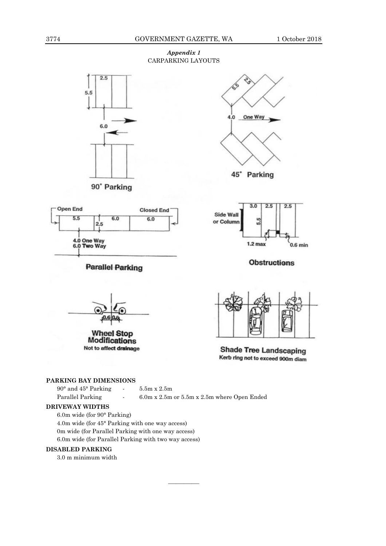# *Appendix 1* CARPARKING LAYOUTS





6.0

**Parallel Parking** 

 $2.5$ 

4.0 One Way<br>6.0 Two Way

**Closed End** 

 $6.0$ 





**Obstructions** 



**Wheel Stop Modifications** Not to affect drainage



**Shade Tree Landscaping** Kerb ring not to exceed 900m diam

# **PARKING BAY DIMENSIONS**

| $90^{\circ}$ and $45^{\circ}$ Parking |                          | $5.5m \times 2.5m$                          |
|---------------------------------------|--------------------------|---------------------------------------------|
| Parallel Parking                      | $\overline{\phantom{a}}$ | 6.0m x 2.5m or 5.5m x 2.5m where Open Ended |

————

# **DRIVEWAY WIDTHS**

**Open End** 

 $5.5$ 

6.0m wide (for 90° Parking) 4.0m wide (for 45° Parking with one way access) 0m wide (for Parallel Parking with one way access) 6.0m wide (for Parallel Parking with two way access)

# **DISABLED PARKING**

3.0 m minimum width